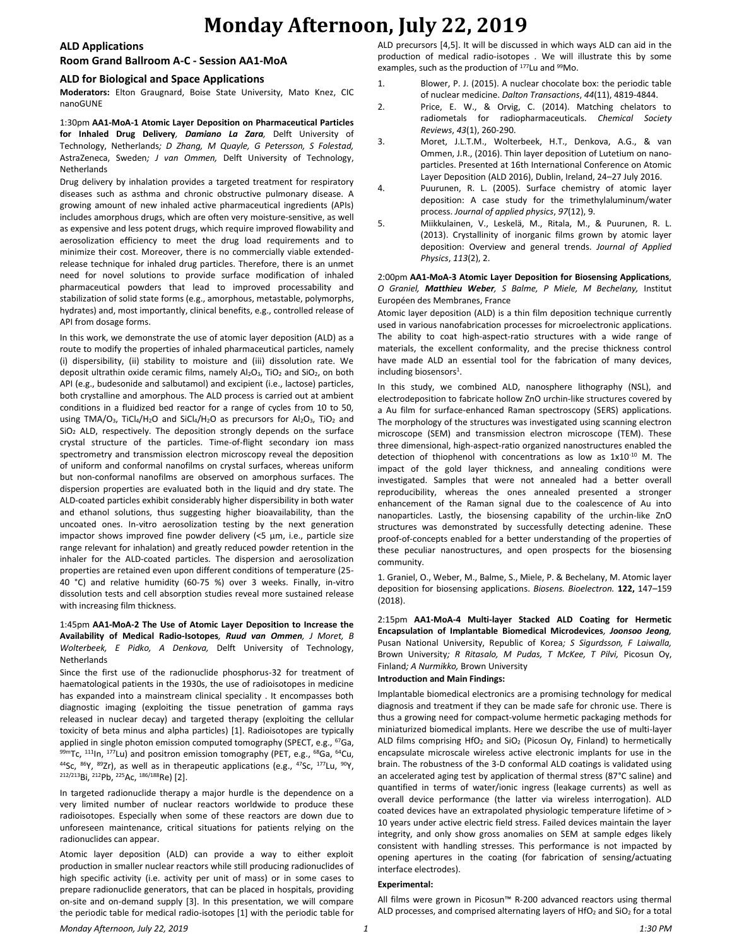#### **ALD Applications**

### **Room Grand Ballroom A-C - Session AA1-MoA**

#### **ALD for Biological and Space Applications**

**Moderators:** Elton Graugnard, Boise State University, Mato Knez, CIC nanoGUNE

1:30pm **AA1-MoA-1 Atomic Layer Deposition on Pharmaceutical Particles for Inhaled Drug Delivery***, Damiano La Zara,* Delft University of Technology, Netherlands*; D Zhang, M Quayle, G Petersson, S Folestad,*  AstraZeneca, Sweden*; J van Ommen,* Delft University of Technology, Netherlands

Drug delivery by inhalation provides a targeted treatment for respiratory diseases such as asthma and chronic obstructive pulmonary disease. A growing amount of new inhaled active pharmaceutical ingredients (APIs) includes amorphous drugs, which are often very moisture-sensitive, as well as expensive and less potent drugs, which require improved flowability and aerosolization efficiency to meet the drug load requirements and to minimize their cost. Moreover, there is no commercially viable extendedrelease technique for inhaled drug particles. Therefore, there is an unmet need for novel solutions to provide surface modification of inhaled pharmaceutical powders that lead to improved processability and stabilization of solid state forms (e.g., amorphous, metastable, polymorphs, hydrates) and, most importantly, clinical benefits, e.g., controlled release of API from dosage forms.

In this work, we demonstrate the use of atomic layer deposition (ALD) as a route to modify the properties of inhaled pharmaceutical particles, namely (i) dispersibility, (ii) stability to moisture and (iii) dissolution rate. We deposit ultrathin oxide ceramic films, namely  $Al_2O_3$ , TiO<sub>2</sub> and SiO<sub>2</sub>, on both API (e.g., budesonide and salbutamol) and excipient (i.e., lactose) particles, both crystalline and amorphous. The ALD process is carried out at ambient conditions in a fluidized bed reactor for a range of cycles from 10 to 50, using TMA/O<sub>3</sub>, TiCl<sub>4</sub>/H<sub>2</sub>O and SiCl<sub>4</sub>/H<sub>2</sub>O as precursors for Al<sub>2</sub>O<sub>3</sub>, TiO<sub>2</sub> and SiO<sub>2</sub> ALD, respectively. The deposition strongly depends on the surface crystal structure of the particles. Time-of-flight secondary ion mass spectrometry and transmission electron microscopy reveal the deposition of uniform and conformal nanofilms on crystal surfaces, whereas uniform but non-conformal nanofilms are observed on amorphous surfaces. The dispersion properties are evaluated both in the liquid and dry state. The ALD-coated particles exhibit considerably higher dispersibility in both water and ethanol solutions, thus suggesting higher bioavailability, than the uncoated ones. In-vitro aerosolization testing by the next generation impactor shows improved fine powder delivery (<5 μm, i.e., particle size range relevant for inhalation) and greatly reduced powder retention in the inhaler for the ALD-coated particles. The dispersion and aerosolization properties are retained even upon different conditions of temperature (25- 40 °C) and relative humidity (60-75 %) over 3 weeks. Finally, in-vitro dissolution tests and cell absorption studies reveal more sustained release with increasing film thickness.

#### 1:45pm **AA1-MoA-2 The Use of Atomic Layer Deposition to Increase the Availability of Medical Radio-Isotopes***, Ruud van Ommen, J Moret, B Wolterbeek, E Pidko, A Denkova,* Delft University of Technology, Netherlands

Since the first use of the radionuclide phosphorus-32 for treatment of haematological patients in the 1930s, the use of radioisotopes in medicine has expanded into a mainstream clinical speciality . It encompasses both diagnostic imaging (exploiting the tissue penetration of gamma rays released in nuclear decay) and targeted therapy (exploiting the cellular toxicity of beta minus and alpha particles) [1]. Radioisotopes are typically applied in single photon emission computed tomography (SPECT, e.g., <sup>67</sup>Ga, 99mTc, <sup>111</sup>In, <sup>177</sup>Lu) and positron emission tomography (PET, e.g., <sup>68</sup>Ga, <sup>64</sup>Cu,  $44$ Sc,  $86$ Y,  $89$ Zr), as well as in therapeutic applications (e.g.,  $47$ Sc,  $177$ Lu,  $90$ Y, 212/213Bi, <sup>212</sup>Pb, <sup>225</sup>Ac, 186/188Re) [2].

In targeted radionuclide therapy a major hurdle is the dependence on a very limited number of nuclear reactors worldwide to produce these radioisotopes. Especially when some of these reactors are down due to unforeseen maintenance, critical situations for patients relying on the radionuclides can appear.

Atomic layer deposition (ALD) can provide a way to either exploit production in smaller nuclear reactors while still producing radionuclides of high specific activity (i.e. activity per unit of mass) or in some cases to prepare radionuclide generators, that can be placed in hospitals, providing on-site and on-demand supply [3]. In this presentation, we will compare the periodic table for medical radio-isotopes [1] with the periodic table for ALD precursors [4,5]. It will be discussed in which ways ALD can aid in the production of medical radio-isotopes . We will illustrate this by some examples, such as the production of <sup>177</sup>Lu and <sup>99</sup>Mo.

- 1. Blower, P. J. (2015). A nuclear chocolate box: the periodic table of nuclear medicine. *Dalton Transactions*, *44*(11), 4819-4844.
- 2. Price, E. W., & Orvig, C. (2014). Matching chelators to radiometals for radiopharmaceuticals. *Chemical Society Reviews*, *43*(1), 260-290.
- 3. Moret, J.L.T.M., Wolterbeek, H.T., Denkova, A.G., & van Ommen, J.R., (2016). Thin layer deposition of Lutetium on nanoparticles. Presented at 16th International Conference on Atomic Layer Deposition (ALD 2016), Dublin, Ireland, 24–27 July 2016.
- 4. Puurunen, R. L. (2005). Surface chemistry of atomic layer deposition: A case study for the trimethylaluminum/water process. *Journal of applied physics*, *97*(12), 9.
- 5. Miikkulainen, V., Leskelä, M., Ritala, M., & Puurunen, R. L. (2013). Crystallinity of inorganic films grown by atomic layer deposition: Overview and general trends. *Journal of Applied Physics*, *113*(2), 2.

#### 2:00pm **AA1-MoA-3 Atomic Layer Deposition for Biosensing Applications***, O Graniel, Matthieu Weber, S Balme, P Miele, M Bechelany,* Institut Européen des Membranes, France

Atomic layer deposition (ALD) is a thin film deposition technique currently used in various nanofabrication processes for microelectronic applications. The ability to coat high-aspect-ratio structures with a wide range of materials, the excellent conformality, and the precise thickness control have made ALD an essential tool for the fabrication of many devices, including biosensors<sup>1</sup>.

In this study, we combined ALD, nanosphere lithography (NSL), and electrodeposition to fabricate hollow ZnO urchin-like structures covered by a Au film for surface-enhanced Raman spectroscopy (SERS) applications. The morphology of the structures was investigated using scanning electron microscope (SEM) and transmission electron microscope (TEM). These three dimensional, high-aspect-ratio organized nanostructures enabled the detection of thiophenol with concentrations as low as  $1x10^{-10}$  M. The impact of the gold layer thickness, and annealing conditions were investigated. Samples that were not annealed had a better overall reproducibility, whereas the ones annealed presented a stronger enhancement of the Raman signal due to the coalescence of Au into nanoparticles. Lastly, the biosensing capability of the urchin-like ZnO structures was demonstrated by successfully detecting adenine. These proof-of-concepts enabled for a better understanding of the properties of these peculiar nanostructures, and open prospects for the biosensing community.

1. Graniel, O., Weber, M., Balme, S., Miele, P. & Bechelany, M. Atomic layer deposition for biosensing applications. *Biosens. Bioelectron.* **122,** 147–159 (2018).

2:15pm **AA1-MoA-4 Multi-layer Stacked ALD Coating for Hermetic Encapsulation of Implantable Biomedical Microdevices***, Joonsoo Jeong,*  Pusan National University, Republic of Korea*; S Sigurdsson, F Laiwalla,*  Brown University*; R Ritasalo, M Pudas, T McKee, T Pilvi,* Picosun Oy, Finland*; A Nurmikko,* Brown University

#### **Introduction and Main Findings:**

Implantable biomedical electronics are a promising technology for medical diagnosis and treatment if they can be made safe for chronic use. There is thus a growing need for compact-volume hermetic packaging methods for miniaturized biomedical implants. Here we describe the use of multi-layer ALD films comprising HfO<sub>2</sub> and SiO<sub>2</sub> (Picosun Oy, Finland) to hermetically encapsulate microscale wireless active electronic implants for use in the brain. The robustness of the 3-D conformal ALD coatings is validated using an accelerated aging test by application of thermal stress (87°C saline) and quantified in terms of water/ionic ingress (leakage currents) as well as overall device performance (the latter via wireless interrogation). ALD coated devices have an extrapolated physiologic temperature lifetime of > 10 years under active electric field stress. Failed devices maintain the layer integrity, and only show gross anomalies on SEM at sample edges likely consistent with handling stresses. This performance is not impacted by opening apertures in the coating (for fabrication of sensing/actuating interface electrodes).

### **Experimental:**

All films were grown in Picosun™ R-200 advanced reactors using thermal ALD processes, and comprised alternating layers of  $HfO<sub>2</sub>$  and SiO<sub>2</sub> for a total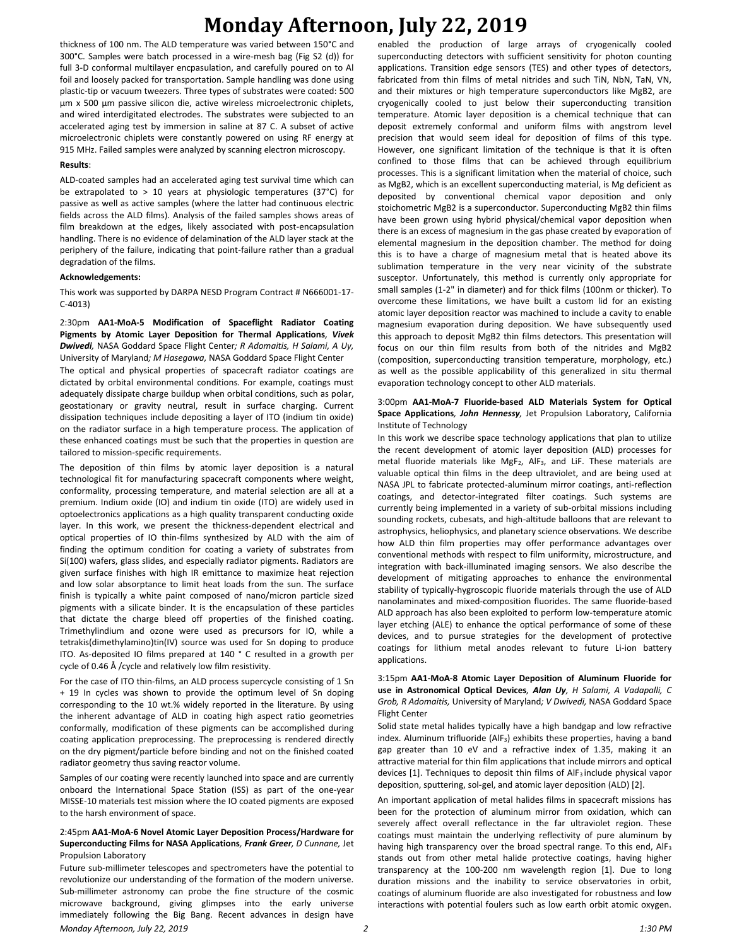thickness of 100 nm. The ALD temperature was varied between 150°C and 300°C. Samples were batch processed in a wire-mesh bag (Fig S2 (d)) for full 3-D conformal multilayer encpasulation, and carefully poured on to Al foil and loosely packed for transportation. Sample handling was done using plastic-tip or vacuum tweezers. Three types of substrates were coated: 500 µm x 500 µm passive silicon die, active wireless microelectronic chiplets, and wired interdigitated electrodes. The substrates were subjected to an accelerated aging test by immersion in saline at 87 C. A subset of active microelectronic chiplets were constantly powered on using RF energy at 915 MHz. Failed samples were analyzed by scanning electron microscopy.

#### **Results**:

ALD-coated samples had an accelerated aging test survival time which can be extrapolated to  $> 10$  years at physiologic temperatures (37°C) for passive as well as active samples (where the latter had continuous electric fields across the ALD films). Analysis of the failed samples shows areas of film breakdown at the edges, likely associated with post-encapsulation handling. There is no evidence of delamination of the ALD layer stack at the periphery of the failure, indicating that point-failure rather than a gradual degradation of the films.

#### **Acknowledgements:**

This work was supported by DARPA NESD Program Contract # N666001-17- C-4013)

2:30pm **AA1-MoA-5 Modification of Spaceflight Radiator Coating Pigments by Atomic Layer Deposition for Thermal Applications***, Vivek Dwivedi,* NASA Goddard Space Flight Center*; R Adomaitis, H Salami, A Uy,*  University of Maryland*; M Hasegawa,* NASA Goddard Space Flight Center

The optical and physical properties of spacecraft radiator coatings are dictated by orbital environmental conditions. For example, coatings must adequately dissipate charge buildup when orbital conditions, such as polar, geostationary or gravity neutral, result in surface charging. Current dissipation techniques include depositing a layer of ITO (indium tin oxide) on the radiator surface in a high temperature process. The application of these enhanced coatings must be such that the properties in question are tailored to mission-specific requirements.

The deposition of thin films by atomic layer deposition is a natural technological fit for manufacturing spacecraft components where weight, conformality, processing temperature, and material selection are all at a premium. Indium oxide (IO) and indium tin oxide (ITO) are widely used in optoelectronics applications as a high quality transparent conducting oxide layer. In this work, we present the thickness-dependent electrical and optical properties of IO thin-films synthesized by ALD with the aim of finding the optimum condition for coating a variety of substrates from Si(100) wafers, glass slides, and especially radiator pigments. Radiators are given surface finishes with high IR emittance to maximize heat rejection and low solar absorptance to limit heat loads from the sun. The surface finish is typically a white paint composed of nano/micron particle sized pigments with a silicate binder. It is the encapsulation of these particles that dictate the charge bleed off properties of the finished coating. Trimethylindium and ozone were used as precursors for IO, while a tetrakis(dimethylamino)tin(IV) source was used for Sn doping to produce ITO. As-deposited IO films prepared at 140 ° C resulted in a growth per cycle of 0.46 Å /cycle and relatively low film resistivity.

For the case of ITO thin-films, an ALD process supercycle consisting of 1 Sn + 19 In cycles was shown to provide the optimum level of Sn doping corresponding to the 10 wt.% widely reported in the literature. By using the inherent advantage of ALD in coating high aspect ratio geometries conformally, modification of these pigments can be accomplished during coating application preprocessing. The preprocessing is rendered directly on the dry pigment/particle before binding and not on the finished coated radiator geometry thus saving reactor volume.

Samples of our coating were recently launched into space and are currently onboard the International Space Station (ISS) as part of the one-year MISSE-10 materials test mission where the IO coated pigments are exposed to the harsh environment of space.

#### 2:45pm **AA1-MoA-6 Novel Atomic Layer Deposition Process/Hardware for Superconducting Films for NASA Applications***, Frank Greer, D Cunnane,* Jet Propulsion Laboratory

*Monday Afternoon, July 22, 2019 2 1:30 PM* Future sub-millimeter telescopes and spectrometers have the potential to revolutionize our understanding of the formation of the modern universe. Sub-millimeter astronomy can probe the fine structure of the cosmic microwave background, giving glimpses into the early universe immediately following the Big Bang. Recent advances in design have

enabled the production of large arrays of cryogenically cooled superconducting detectors with sufficient sensitivity for photon counting applications. Transition edge sensors (TES) and other types of detectors, fabricated from thin films of metal nitrides and such TiN, NbN, TaN, VN, and their mixtures or high temperature superconductors like MgB2, are cryogenically cooled to just below their superconducting transition temperature. Atomic layer deposition is a chemical technique that can deposit extremely conformal and uniform films with angstrom level precision that would seem ideal for deposition of films of this type. However, one significant limitation of the technique is that it is often confined to those films that can be achieved through equilibrium processes. This is a significant limitation when the material of choice, such as MgB2, which is an excellent superconducting material, is Mg deficient as deposited by conventional chemical vapor deposition and only stoichometric MgB2 is a superconductor. Superconducting MgB2 thin films have been grown using hybrid physical/chemical vapor deposition when there is an excess of magnesium in the gas phase created by evaporation of elemental magnesium in the deposition chamber. The method for doing this is to have a charge of magnesium metal that is heated above its sublimation temperature in the very near vicinity of the substrate susceptor. Unfortunately, this method is currently only appropriate for small samples (1-2" in diameter) and for thick films (100nm or thicker). To overcome these limitations, we have built a custom lid for an existing atomic layer deposition reactor was machined to include a cavity to enable magnesium evaporation during deposition. We have subsequently used this approach to deposit MgB2 thin films detectors. This presentation will focus on our thin film results from both of the nitrides and MgB2 (composition, superconducting transition temperature, morphology, etc.) as well as the possible applicability of this generalized in situ thermal evaporation technology concept to other ALD materials.

#### 3:00pm **AA1-MoA-7 Fluoride-based ALD Materials System for Optical Space Applications***, John Hennessy,* Jet Propulsion Laboratory, California Institute of Technology

In this work we describe space technology applications that plan to utilize the recent development of atomic layer deposition (ALD) processes for metal fluoride materials like MgF2, AlF3, and LiF. These materials are valuable optical thin films in the deep ultraviolet, and are being used at NASA JPL to fabricate protected-aluminum mirror coatings, anti-reflection coatings, and detector-integrated filter coatings. Such systems are currently being implemented in a variety of sub-orbital missions including sounding rockets, cubesats, and high-altitude balloons that are relevant to astrophysics, heliophysics, and planetary science observations. We describe how ALD thin film properties may offer performance advantages over conventional methods with respect to film uniformity, microstructure, and integration with back-illuminated imaging sensors. We also describe the development of mitigating approaches to enhance the environmental stability of typically-hygroscopic fluoride materials through the use of ALD nanolaminates and mixed-composition fluorides. The same fluoride-based ALD approach has also been exploited to perform low-temperature atomic layer etching (ALE) to enhance the optical performance of some of these devices, and to pursue strategies for the development of protective coatings for lithium metal anodes relevant to future Li-ion battery applications.

3:15pm **AA1-MoA-8 Atomic Layer Deposition of Aluminum Fluoride for use in Astronomical Optical Devices***, Alan Uy, H Salami, A Vadapalli, C Grob, R Adomaitis,* University of Maryland*; V Dwivedi,* NASA Goddard Space Flight Center

Solid state metal halides typically have a high bandgap and low refractive index. Aluminum trifluoride (AlF<sub>3</sub>) exhibits these properties, having a band gap greater than 10 eV and a refractive index of 1.35, making it an attractive material for thin film applications that include mirrors and optical devices [1]. Techniques to deposit thin films of AlF3 include physical vapor deposition, sputtering, sol-gel, and atomic layer deposition (ALD) [2].

An important application of metal halides films in spacecraft missions has been for the protection of aluminum mirror from oxidation, which can severely affect overall reflectance in the far ultraviolet region. These coatings must maintain the underlying reflectivity of pure aluminum by having high transparency over the broad spectral range. To this end, AlF<sup>3</sup> stands out from other metal halide protective coatings, having higher transparency at the 100-200 nm wavelength region [1]. Due to long duration missions and the inability to service observatories in orbit, coatings of aluminum fluoride are also investigated for robustness and low interactions with potential foulers such as low earth orbit atomic oxygen.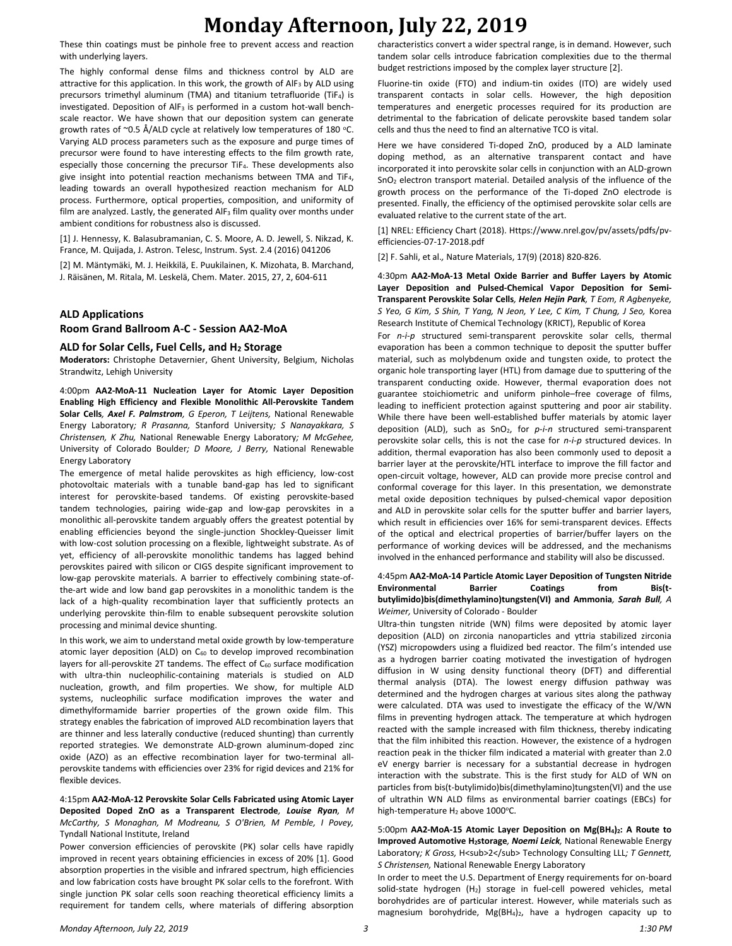These thin coatings must be pinhole free to prevent access and reaction with underlying layers.

The highly conformal dense films and thickness control by ALD are attractive for this application. In this work, the growth of AlF<sub>3</sub> by ALD using precursors trimethyl aluminum (TMA) and titanium tetrafluoride (TiF4) is investigated. Deposition of AlF<sub>3</sub> is performed in a custom hot-wall benchscale reactor. We have shown that our deposition system can generate growth rates of  $\degree$ 0.5 Å/ALD cycle at relatively low temperatures of 180  $\degree$ C. Varying ALD process parameters such as the exposure and purge times of precursor were found to have interesting effects to the film growth rate, especially those concerning the precursor TiF4. These developments also give insight into potential reaction mechanisms between TMA and TiF<sub>4</sub>, leading towards an overall hypothesized reaction mechanism for ALD process. Furthermore, optical properties, composition, and uniformity of film are analyzed. Lastly, the generated  $AIF_3$  film quality over months under ambient conditions for robustness also is discussed.

[1] J. Hennessy, K. Balasubramanian, C. S. Moore, A. D. Jewell, S. Nikzad, K. France, M. Quijada, J. Astron. Telesc, Instrum. Syst. 2.4 (2016) 041206

[2] M. Mäntymäki, M. J. Heikkilä, E. Puukilainen, K. Mizohata, B. Marchand, J. Räisänen, M. Ritala, M. Leskelä, Chem. Mater. 2015, 27, 2, 604-611

### **ALD Applications**

#### **Room Grand Ballroom A-C - Session AA2-MoA**

### **ALD for Solar Cells, Fuel Cells, and H<sup>2</sup> Storage**

**Moderators:** Christophe Detavernier, Ghent University, Belgium, Nicholas Strandwitz, Lehigh University

4:00pm **AA2-MoA-11 Nucleation Layer for Atomic Layer Deposition Enabling High Efficiency and Flexible Monolithic All-Perovskite Tandem Solar Cells***, Axel F. Palmstrom, G Eperon, T Leijtens,* National Renewable Energy Laboratory*; R Prasanna,* Stanford University*; S Nanayakkara, S Christensen, K Zhu,* National Renewable Energy Laboratory*; M McGehee,*  University of Colorado Boulder*; D Moore, J Berry,* National Renewable Energy Laboratory

The emergence of metal halide perovskites as high efficiency, low-cost photovoltaic materials with a tunable band-gap has led to significant interest for perovskite-based tandems. Of existing perovskite-based tandem technologies, pairing wide-gap and low-gap perovskites in a monolithic all-perovskite tandem arguably offers the greatest potential by enabling efficiencies beyond the single-junction Shockley-Queisser limit with low-cost solution processing on a flexible, lightweight substrate. As of yet, efficiency of all-perovskite monolithic tandems has lagged behind perovskites paired with silicon or CIGS despite significant improvement to low-gap perovskite materials. A barrier to effectively combining state-ofthe-art wide and low band gap perovskites in a monolithic tandem is the lack of a high-quality recombination layer that sufficiently protects an underlying perovskite thin-film to enable subsequent perovskite solution processing and minimal device shunting.

In this work, we aim to understand metal oxide growth by low-temperature atomic layer deposition (ALD) on C<sub>60</sub> to develop improved recombination layers for all-perovskite 2T tandems. The effect of C<sub>60</sub> surface modification with ultra-thin nucleophilic-containing materials is studied on ALD nucleation, growth, and film properties. We show, for multiple ALD systems, nucleophilic surface modification improves the water and dimethylformamide barrier properties of the grown oxide film. This strategy enables the fabrication of improved ALD recombination layers that are thinner and less laterally conductive (reduced shunting) than currently reported strategies. We demonstrate ALD-grown aluminum-doped zinc oxide (AZO) as an effective recombination layer for two-terminal allperovskite tandems with efficiencies over 23% for rigid devices and 21% for flexible devices.

#### 4:15pm **AA2-MoA-12 Perovskite Solar Cells Fabricated using Atomic Layer Deposited Doped ZnO as a Transparent Electrode***, Louise Ryan, M McCarthy, S Monaghan, M Modreanu, S O'Brien, M Pemble, I Povey,*  Tyndall National Institute, Ireland

Power conversion efficiencies of perovskite (PK) solar cells have rapidly improved in recent years obtaining efficiencies in excess of 20% [1]. Good absorption properties in the visible and infrared spectrum, high efficiencies and low fabrication costs have brought PK solar cells to the forefront. With single junction PK solar cells soon reaching theoretical efficiency limits a requirement for tandem cells, where materials of differing absorption

characteristics convert a wider spectral range, is in demand. However, such tandem solar cells introduce fabrication complexities due to the thermal budget restrictions imposed by the complex layer structure [2].

Fluorine-tin oxide (FTO) and indium-tin oxides (ITO) are widely used transparent contacts in solar cells. However, the high deposition temperatures and energetic processes required for its production are detrimental to the fabrication of delicate perovskite based tandem solar cells and thus the need to find an alternative TCO is vital.

Here we have considered Ti-doped ZnO, produced by a ALD laminate doping method, as an alternative transparent contact and have incorporated it into perovskite solar cells in conjunction with an ALD-grown  $SnO<sub>2</sub>$  electron transport material. Detailed analysis of the influence of the growth process on the performance of the Ti-doped ZnO electrode is presented. Finally, the efficiency of the optimised perovskite solar cells are evaluated relative to the current state of the art.

[1] NREL: Efficiency Chart (2018). Https://www.nrel.gov/pv/assets/pdfs/pvefficiencies-07-17-2018.pdf

[2] F. Sahli, et al.*,* Nature Materials, 17(9) (2018) 820-826.

4:30pm **AA2-MoA-13 Metal Oxide Barrier and Buffer Layers by Atomic Layer Deposition and Pulsed-Chemical Vapor Deposition for Semi-Transparent Perovskite Solar Cells***, Helen Hejin Park, T Eom, R Agbenyeke, S Yeo, G Kim, S Shin, T Yang, N Jeon, Y Lee, C Kim, T Chung, J Seo,* Korea Research Institute of Chemical Technology (KRICT), Republic of Korea

For *n*-*i*-*p* structured semi-transparent perovskite solar cells, thermal evaporation has been a common technique to deposit the sputter buffer material, such as molybdenum oxide and tungsten oxide, to protect the organic hole transporting layer (HTL) from damage due to sputtering of the transparent conducting oxide. However, thermal evaporation does not guarantee stoichiometric and uniform pinhole–free coverage of films, leading to inefficient protection against sputtering and poor air stability. While there have been well-established buffer materials by atomic layer deposition (ALD), such as SnO2, for *p*-*i*-*n* structured semi-transparent perovskite solar cells, this is not the case for *n*-*i*-*p* structured devices. In addition, thermal evaporation has also been commonly used to deposit a barrier layer at the perovskite/HTL interface to improve the fill factor and open-circuit voltage, however, ALD can provide more precise control and conformal coverage for this layer. In this presentation, we demonstrate metal oxide deposition techniques by pulsed-chemical vapor deposition and ALD in perovskite solar cells for the sputter buffer and barrier layers, which result in efficiencies over 16% for semi-transparent devices. Effects of the optical and electrical properties of barrier/buffer layers on the performance of working devices will be addressed, and the mechanisms involved in the enhanced performance and stability will also be discussed.

### 4:45pm **AA2-MoA-14 Particle Atomic Layer Deposition of Tungsten Nitride Environmental Barrier Coatings from Bis(tbutylimido)bis(dimethylamino)tungsten(VI) and Ammonia***, Sarah Bull, A Weimer,* University of Colorado - Boulder

Ultra-thin tungsten nitride (WN) films were deposited by atomic layer deposition (ALD) on zirconia nanoparticles and yttria stabilized zirconia (YSZ) micropowders using a fluidized bed reactor. The film's intended use as a hydrogen barrier coating motivated the investigation of hydrogen diffusion in W using density functional theory (DFT) and differential thermal analysis (DTA). The lowest energy diffusion pathway was determined and the hydrogen charges at various sites along the pathway were calculated. DTA was used to investigate the efficacy of the W/WN films in preventing hydrogen attack. The temperature at which hydrogen reacted with the sample increased with film thickness, thereby indicating that the film inhibited this reaction. However, the existence of a hydrogen reaction peak in the thicker film indicated a material with greater than 2.0 eV energy barrier is necessary for a substantial decrease in hydrogen interaction with the substrate. This is the first study for ALD of WN on particles from bis(t-butylimido)bis(dimethylamino)tungsten(VI) and the use of ultrathin WN ALD films as environmental barrier coatings (EBCs) for high-temperature  $H_2$  above 1000 $^{\circ}$ C.

5:00pm **AA2-MoA-15 Atomic Layer Deposition on Mg(BH4)2: A Route to Improved Automotive H2storage***, Noemi Leick,* National Renewable Energy Laboratory; K Gross, H<sub>2</sub> Technology Consulting LLL; T Gennett, *S Christensen,* National Renewable Energy Laboratory

In order to meet the U.S. Department of Energy requirements for on-board solid-state hydrogen  $(H_2)$  storage in fuel-cell powered vehicles, metal borohydrides are of particular interest. However, while materials such as magnesium borohydride, Mg(BH<sub>4</sub>)<sub>2</sub>, have a hydrogen capacity up to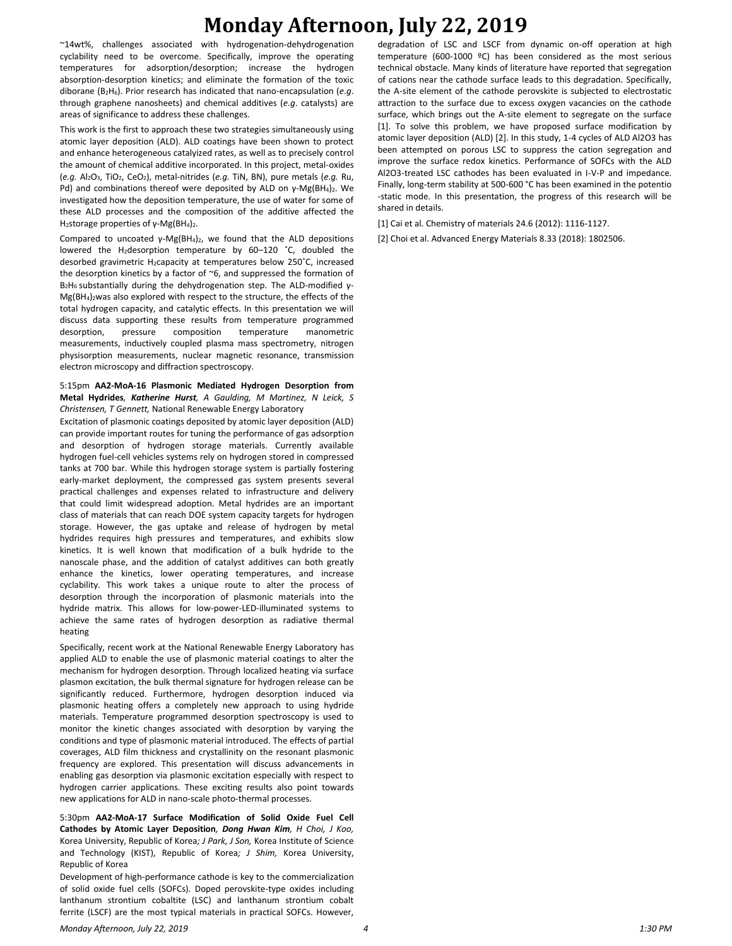~14wt%, challenges associated with hydrogenation-dehydrogenation cyclability need to be overcome. Specifically, improve the operating temperatures for adsorption/desorption; increase the hydrogen absorption-desorption kinetics; and eliminate the formation of the toxic diborane (B2H6). Prior research has indicated that nano-encapsulation (*e*.*g*. through graphene nanosheets) and chemical additives (*e*.*g*. catalysts) are areas of significance to address these challenges.

This work is the first to approach these two strategies simultaneously using atomic layer deposition (ALD). ALD coatings have been shown to protect and enhance heterogeneous catalyized rates, as well as to precisely control the amount of chemical additive incorporated. In this project, metal-oxides (*e.g.* Al2O3, TiO2, CeO2), metal-nitrides (*e.g.* TiN, BN), pure metals (*e.g.* Ru, Pd) and combinations thereof were deposited by ALD on γ-Mg(BH<sub>4</sub>)<sub>2</sub>. We investigated how the deposition temperature, the use of water for some of these ALD processes and the composition of the additive affected the H2storage properties of γ-Mg(BH4)2.

Compared to uncoated  $\gamma$ -Mg(BH<sub>4</sub>)<sub>2</sub>, we found that the ALD depositions lowered the H<sub>2</sub>desorption temperature by 60-120 °C, doubled the desorbed gravimetric H<sub>2</sub>capacity at temperatures below 250°C, increased the desorption kinetics by a factor of ~6, and suppressed the formation of B2H6 substantially during the dehydrogenation step. The ALD-modified γ- $Mg(BH_4)$ <sub>2</sub> was also explored with respect to the structure, the effects of the total hydrogen capacity, and catalytic effects. In this presentation we will discuss data supporting these results from temperature programmed desorption, pressure composition temperature manometric measurements, inductively coupled plasma mass spectrometry, nitrogen physisorption measurements, nuclear magnetic resonance, transmission electron microscopy and diffraction spectroscopy.

#### 5:15pm **AA2-MoA-16 Plasmonic Mediated Hydrogen Desorption from Metal Hydrides***, Katherine Hurst, A Gaulding, M Martinez, N Leick, S Christensen, T Gennett,* National Renewable Energy Laboratory

Excitation of plasmonic coatings deposited by atomic layer deposition (ALD) can provide important routes for tuning the performance of gas adsorption and desorption of hydrogen storage materials. Currently available hydrogen fuel-cell vehicles systems rely on hydrogen stored in compressed tanks at 700 bar. While this hydrogen storage system is partially fostering early-market deployment, the compressed gas system presents several practical challenges and expenses related to infrastructure and delivery that could limit widespread adoption. Metal hydrides are an important class of materials that can reach DOE system capacity targets for hydrogen storage. However, the gas uptake and release of hydrogen by metal hydrides requires high pressures and temperatures, and exhibits slow kinetics. It is well known that modification of a bulk hydride to the nanoscale phase, and the addition of catalyst additives can both greatly enhance the kinetics, lower operating temperatures, and increase cyclability. This work takes a unique route to alter the process of desorption through the incorporation of plasmonic materials into the hydride matrix. This allows for low-power-LED-illuminated systems to achieve the same rates of hydrogen desorption as radiative thermal heating

Specifically, recent work at the National Renewable Energy Laboratory has applied ALD to enable the use of plasmonic material coatings to alter the mechanism for hydrogen desorption. Through localized heating via surface plasmon excitation, the bulk thermal signature for hydrogen release can be significantly reduced. Furthermore, hydrogen desorption induced via plasmonic heating offers a completely new approach to using hydride materials. Temperature programmed desorption spectroscopy is used to monitor the kinetic changes associated with desorption by varying the conditions and type of plasmonic material introduced. The effects of partial coverages, ALD film thickness and crystallinity on the resonant plasmonic frequency are explored. This presentation will discuss advancements in enabling gas desorption via plasmonic excitation especially with respect to hydrogen carrier applications. These exciting results also point towards new applications for ALD in nano-scale photo-thermal processes.

5:30pm **AA2-MoA-17 Surface Modification of Solid Oxide Fuel Cell Cathodes by Atomic Layer Deposition***, Dong Hwan Kim, H Choi, J Koo,*  Korea University, Republic of Korea*; J Park, J Son,* Korea Institute of Science and Technology (KIST), Republic of Korea*; J Shim,* Korea University, Republic of Korea

Development of high-performance cathode is key to the commercialization of solid oxide fuel cells (SOFCs). Doped perovskite-type oxides including lanthanum strontium cobaltite (LSC) and lanthanum strontium cobalt ferrite (LSCF) are the most typical materials in practical SOFCs. However, degradation of LSC and LSCF from dynamic on-off operation at high temperature (600-1000 ºC) has been considered as the most serious technical obstacle. Many kinds of literature have reported that segregation of cations near the cathode surface leads to this degradation. Specifically, the A-site element of the cathode perovskite is subjected to electrostatic attraction to the surface due to excess oxygen vacancies on the cathode surface, which brings out the A-site element to segregate on the surface [1]. To solve this problem, we have proposed surface modification by atomic layer deposition (ALD) [2]. In this study, 1-4 cycles of ALD Al2O3 has been attempted on porous LSC to suppress the cation segregation and improve the surface redox kinetics. Performance of SOFCs with the ALD Al2O3-treated LSC cathodes has been evaluated in I-V-P and impedance. Finally, long-term stability at 500-600 °C has been examined in the potentio -static mode. In this presentation, the progress of this research will be shared in details.

[1] Cai et al. Chemistry of materials 24.6 (2012): 1116-1127.

[2] Choi et al. Advanced Energy Materials 8.33 (2018): 1802506.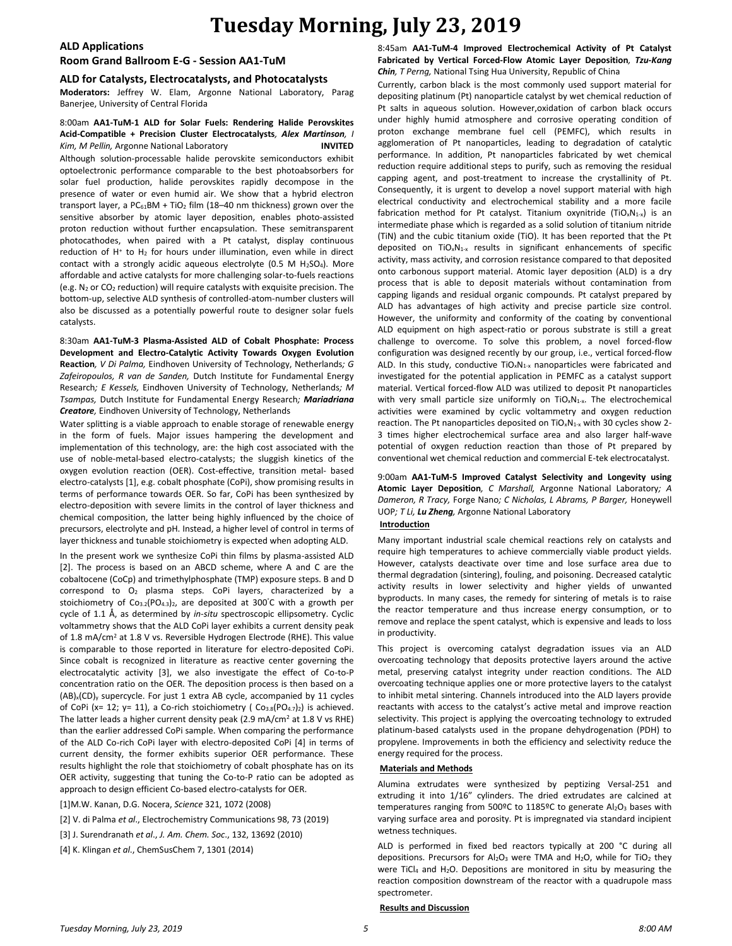### **ALD Applications**

### **Room Grand Ballroom E-G - Session AA1-TuM**

#### **ALD for Catalysts, Electrocatalysts, and Photocatalysts**

**Moderators:** Jeffrey W. Elam, Argonne National Laboratory, Parag Banerjee, University of Central Florida

#### 8:00am **AA1-TuM-1 ALD for Solar Fuels: Rendering Halide Perovskites Acid-Compatible + Precision Cluster Electrocatalysts***, Alex Martinson, I Kim, M Pellin,* Argonne National Laboratory **INVITED**

Although solution-processable halide perovskite semiconductors exhibit optoelectronic performance comparable to the best photoabsorbers for solar fuel production, halide perovskites rapidly decompose in the presence of water or even humid air. We show that a hybrid electron transport layer, a  $PC_{61}BM + TiO<sub>2</sub> film (18–40 nm thickness) grown over the$ sensitive absorber by atomic layer deposition, enables photo-assisted proton reduction without further encapsulation. These semitransparent photocathodes, when paired with a Pt catalyst, display continuous reduction of H<sup>+</sup> to H<sub>2</sub> for hours under illumination, even while in direct contact with a strongly acidic aqueous electrolyte (0.5 M  $H_2SO_4$ ). More affordable and active catalysts for more challenging solar-to-fuels reactions (e.g.  $N_2$  or  $CO_2$  reduction) will require catalysts with exquisite precision. The bottom-up, selective ALD synthesis of controlled-atom-number clusters will also be discussed as a potentially powerful route to designer solar fuels catalysts.

8:30am **AA1-TuM-3 Plasma-Assisted ALD of Cobalt Phosphate: Process Development and Electro-Catalytic Activity Towards Oxygen Evolution Reaction***, V Di Palma,* Eindhoven University of Technology, Netherlands*; G Zafeiropoulos, R van de Sanden,* Dutch Institute for Fundamental Energy Research*; E Kessels,* Eindhoven University of Technology, Netherlands*; M Tsampas,* Dutch Institute for Fundamental Energy Research*; Mariadriana Creatore,* Eindhoven University of Technology, Netherlands

Water splitting is a viable approach to enable storage of renewable energy in the form of fuels. Major issues hampering the development and implementation of this technology, are: the high cost associated with the use of noble-metal-based electro-catalysts; the sluggish kinetics of the oxygen evolution reaction (OER). Cost-effective, transition metal- based electro-catalysts [1], e.g. cobalt phosphate (CoPi), show promising results in terms of performance towards OER. So far, CoPi has been synthesized by electro-deposition with severe limits in the control of layer thickness and chemical composition, the latter being highly influenced by the choice of precursors, electrolyte and pH. Instead, a higher level of control in terms of layer thickness and tunable stoichiometry is expected when adopting ALD.

In the present work we synthesize CoPi thin films by plasma-assisted ALD [2]. The process is based on an ABCD scheme, where A and C are the cobaltocene (CoCp) and trimethylphosphate (TMP) exposure steps. B and D correspond to O<sup>2</sup> plasma steps. CoPi layers, characterized by a stoichiometry of  $Co_{3.2}(PO_{4.3})_2$ , are deposited at 300°C with a growth per cycle of 1.1 Å, as determined by *in-situ* spectroscopic ellipsometry. Cyclic voltammetry shows that the ALD CoPi layer exhibits a current density peak of 1.8 mA/cm<sup>2</sup> at 1.8 V vs. Reversible Hydrogen Electrode (RHE). This value is comparable to those reported in literature for electro-deposited CoPi. Since cobalt is recognized in literature as reactive center governing the electrocatalytic activity [3], we also investigate the effect of Co-to-P concentration ratio on the OER. The deposition process is then based on a  $(AB)_x(CD)_y$  supercycle. For just 1 extra AB cycle, accompanied by 11 cycles of CoPi (x= 12; y= 11), a Co-rich stoichiometry ( $Co<sub>3.8</sub>(PO<sub>4.7</sub>)<sub>2</sub>$ ) is achieved. The latter leads a higher current density peak (2.9 mA/cm<sup>2</sup> at 1.8 V vs RHE) than the earlier addressed CoPi sample. When comparing the performance of the ALD Co-rich CoPi layer with electro-deposited CoPi [4] in terms of current density, the former exhibits superior OER performance. These results highlight the role that stoichiometry of cobalt phosphate has on its OER activity, suggesting that tuning the Co-to-P ratio can be adopted as approach to design efficient Co-based electro-catalysts for OER.

[1]M.W. Kanan, D.G. Nocera, *Science* 321, 1072 (2008)

[2] V. di Palma *et al*., Electrochemistry Communications 98, 73 (2019)

- [3] J. Surendranath *et al*., *J. Am. Chem. Soc*., 132, 13692 (2010)
- [4] K. Klingan *et al*., ChemSusChem 7, 1301 (2014)

8:45am **AA1-TuM-4 Improved Electrochemical Activity of Pt Catalyst Fabricated by Vertical Forced-Flow Atomic Layer Deposition***, Tzu-Kang Chin, T Perng,* National Tsing Hua University, Republic of China

Currently, carbon black is the most commonly used support material for depositing platinum (Pt) nanoparticle catalyst by wet chemical reduction of Pt salts in aqueous solution. However,oxidation of carbon black occurs under highly humid atmosphere and corrosive operating condition of proton exchange membrane fuel cell (PEMFC), which results in agglomeration of Pt nanoparticles, leading to degradation of catalytic performance. In addition, Pt nanoparticles fabricated by wet chemical reduction require additional steps to purify, such as removing the residual capping agent, and post-treatment to increase the crystallinity of Pt. Consequently, it is urgent to develop a novel support material with high electrical conductivity and electrochemical stability and a more facile fabrication method for Pt catalyst. Titanium oxynitride (TiO<sub>x</sub>N<sub>1-x</sub>) is an intermediate phase which is regarded as a solid solution of titanium nitride (TiN) and the cubic titanium oxide (TiO). It has been reported that the Pt deposited on  $TiO_xN_{1-x}$  results in significant enhancements of specific activity, mass activity, and corrosion resistance compared to that deposited onto carbonous support material. Atomic layer deposition (ALD) is a dry process that is able to deposit materials without contamination from capping ligands and residual organic compounds. Pt catalyst prepared by ALD has advantages of high activity and precise particle size control. However, the uniformity and conformity of the coating by conventional ALD equipment on high aspect-ratio or porous substrate is still a great challenge to overcome. To solve this problem, a novel forced-flow configuration was designed recently by our group, i.e., vertical forced-flow ALD. In this study, conductive  $TiO_xN_{1-x}$  nanoparticles were fabricated and investigated for the potential application in PEMFC as a catalyst support material. Vertical forced-flow ALD was utilized to deposit Pt nanoparticles with very small particle size uniformly on TiO<sub>x</sub>N<sub>1-x</sub>. The electrochemical activities were examined by cyclic voltammetry and oxygen reduction reaction. The Pt nanoparticles deposited on  $TiO_xN_{1-x}$  with 30 cycles show 2-3 times higher electrochemical surface area and also larger half-wave potential of oxygen reduction reaction than those of Pt prepared by conventional wet chemical reduction and commercial E-tek electrocatalyst.

9:00am **AA1-TuM-5 Improved Catalyst Selectivity and Longevity using Atomic Layer Deposition***, C Marshall,* Argonne National Laboratory*; A Dameron, R Tracy,* Forge Nano*; C Nicholas, L Abrams, P Barger,* Honeywell UOP*; T Li, Lu Zheng,* Argonne National Laboratory

### **Introduction**

Many important industrial scale chemical reactions rely on catalysts and require high temperatures to achieve commercially viable product yields. However, catalysts deactivate over time and lose surface area due to thermal degradation (sintering), fouling, and poisoning. Decreased catalytic activity results in lower selectivity and higher yields of unwanted byproducts. In many cases, the remedy for sintering of metals is to raise the reactor temperature and thus increase energy consumption, or to remove and replace the spent catalyst, which is expensive and leads to loss in productivity.

This project is overcoming catalyst degradation issues via an ALD overcoating technology that deposits protective layers around the active metal, preserving catalyst integrity under reaction conditions. The ALD overcoating technique applies one or more protective layers to the catalyst to inhibit metal sintering. Channels introduced into the ALD layers provide reactants with access to the catalyst's active metal and improve reaction selectivity. This project is applying the overcoating technology to extruded platinum-based catalysts used in the propane dehydrogenation (PDH) to propylene. Improvements in both the efficiency and selectivity reduce the energy required for the process.

#### **Materials and Methods**

Alumina extrudates were synthesized by peptizing Versal-251 and extruding it into 1/16" cylinders. The dried extrudates are calcined at temperatures ranging from 500ºC to 1185ºC to generate  $Al_2O_3$  bases with varying surface area and porosity. Pt is impregnated via standard incipient wetness techniques.

ALD is performed in fixed bed reactors typically at 200 °C during all depositions. Precursors for  $Al_2O_3$  were TMA and H<sub>2</sub>O, while for TiO<sub>2</sub> they were TiCl<sub>4</sub> and H<sub>2</sub>O. Depositions are monitored in situ by measuring the reaction composition downstream of the reactor with a quadrupole mass spectrometer.

#### **Results and Discussion**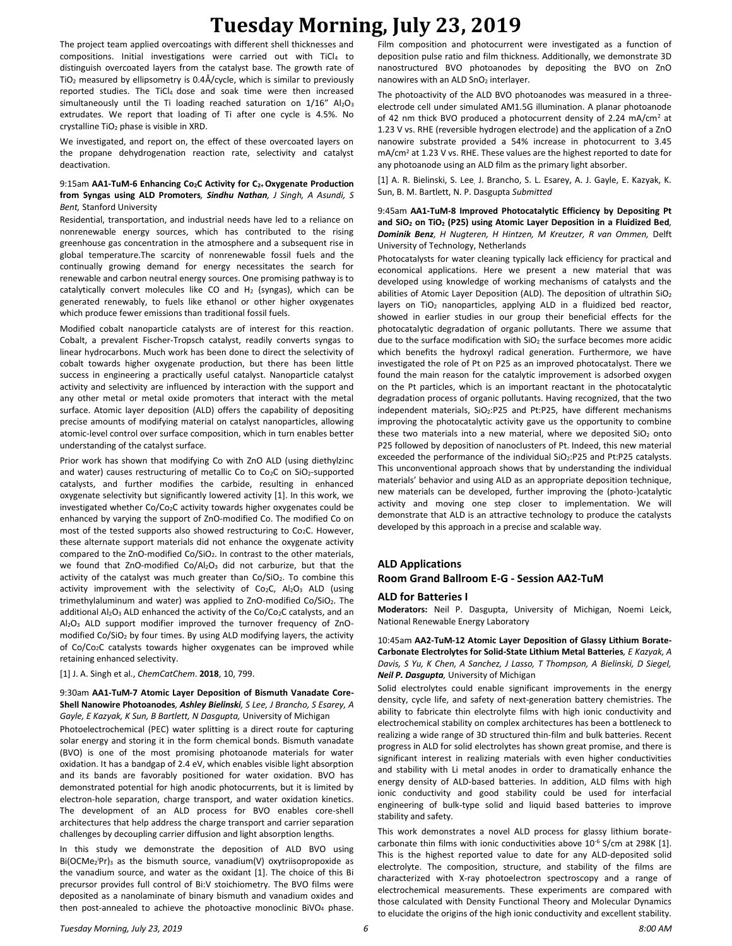The project team applied overcoatings with different shell thicknesses and compositions. Initial investigations were carried out with TiCl<sup>4</sup> to distinguish overcoated layers from the catalyst base. The growth rate of TiO<sup>2</sup> measured by ellipsometry is 0.4Å/cycle, which is similar to previously reported studies. The TiCl<sub>4</sub> dose and soak time were then increased simultaneously until the Ti loading reached saturation on 1/16" Al2O3 extrudates. We report that loading of Ti after one cycle is 4.5%. No crystalline TiO<sup>2</sup> phase is visible in XRD.

We investigated, and report on, the effect of these overcoated layers on the propane dehydrogenation reaction rate, selectivity and catalyst deactivation.

#### 9:15am **AA1-TuM-6 Enhancing Co2C Activity for C2+ Oxygenate Production from Syngas using ALD Promoters***, Sindhu Nathan, J Singh, A Asundi, S Bent,* Stanford University

Residential, transportation, and industrial needs have led to a reliance on nonrenewable energy sources, which has contributed to the rising greenhouse gas concentration in the atmosphere and a subsequent rise in global temperature.The scarcity of nonrenewable fossil fuels and the continually growing demand for energy necessitates the search for renewable and carbon neutral energy sources. One promising pathway is to catalytically convert molecules like CO and  $H_2$  (syngas), which can be generated renewably, to fuels like ethanol or other higher oxygenates which produce fewer emissions than traditional fossil fuels.

Modified cobalt nanoparticle catalysts are of interest for this reaction. Cobalt, a prevalent Fischer-Tropsch catalyst, readily converts syngas to linear hydrocarbons. Much work has been done to direct the selectivity of cobalt towards higher oxygenate production, but there has been little success in engineering a practically useful catalyst. Nanoparticle catalyst activity and selectivity are influenced by interaction with the support and any other metal or metal oxide promoters that interact with the metal surface. Atomic layer deposition (ALD) offers the capability of depositing precise amounts of modifying material on catalyst nanoparticles, allowing atomic-level control over surface composition, which in turn enables better understanding of the catalyst surface.

Prior work has shown that modifying Co with ZnO ALD (using diethylzinc and water) causes restructuring of metallic Co to Co<sub>2</sub>C on SiO<sub>2</sub>-supported catalysts, and further modifies the carbide, resulting in enhanced oxygenate selectivity but significantly lowered activity [1]. In this work, we investigated whether Co/Co<sub>2</sub>C activity towards higher oxygenates could be enhanced by varying the support of ZnO-modified Co. The modified Co on most of the tested supports also showed restructuring to Co<sub>2</sub>C. However, these alternate support materials did not enhance the oxygenate activity compared to the ZnO-modified  $Co/SIO<sub>2</sub>$ . In contrast to the other materials, we found that  $ZnO$ -modified  $Co/Al_2O_3$  did not carburize, but that the activity of the catalyst was much greater than  $Co/SiO<sub>2</sub>$ . To combine this activity improvement with the selectivity of  $Co_2C$ ,  $Al_2O_3$  ALD (using trimethylaluminum and water) was applied to ZnO-modified Co/SiO2. The additional Al<sub>2</sub>O<sub>3</sub> ALD enhanced the activity of the Co/Co<sub>2</sub>C catalysts, and an Al2O<sup>3</sup> ALD support modifier improved the turnover frequency of ZnOmodified Co/SiO<sup>2</sup> by four times. By using ALD modifying layers, the activity of Co/Co2C catalysts towards higher oxygenates can be improved while retaining enhanced selectivity.

[1] J. A. Singh et al., *ChemCatChem*. **2018**, 10, 799.

#### 9:30am **AA1-TuM-7 Atomic Layer Deposition of Bismuth Vanadate Core-Shell Nanowire Photoanodes***, Ashley Bielinski, S Lee, J Brancho, S Esarey, A*  Gayle, E Kazyak, K Sun, B Bartlett, N Dasgupta, University of Michigan

Photoelectrochemical (PEC) water splitting is a direct route for capturing solar energy and storing it in the form chemical bonds. Bismuth vanadate (BVO) is one of the most promising photoanode materials for water oxidation. It has a bandgap of 2.4 eV, which enables visible light absorption and its bands are favorably positioned for water oxidation. BVO has demonstrated potential for high anodic photocurrents, but it is limited by electron-hole separation, charge transport, and water oxidation kinetics. The development of an ALD process for BVO enables core-shell architectures that help address the charge transport and carrier separation challenges by decoupling carrier diffusion and light absorption lengths.

In this study we demonstrate the deposition of ALD BVO using Bi(OCMe<sub>2</sub>Pr)<sub>3</sub> as the bismuth source, vanadium(V) oxytriisopropoxide as the vanadium source, and water as the oxidant [1]. The choice of this Bi precursor provides full control of Bi:V stoichiometry. The BVO films were deposited as a nanolaminate of binary bismuth and vanadium oxides and then post-annealed to achieve the photoactive monoclinic BiVO<sub>4</sub> phase.

Film composition and photocurrent were investigated as a function of deposition pulse ratio and film thickness. Additionally, we demonstrate 3D nanostructured BVO photoanodes by depositing the BVO on ZnO nanowires with an ALD SnO<sub>2</sub> interlayer.

The photoactivity of the ALD BVO photoanodes was measured in a threeelectrode cell under simulated AM1.5G illumination. A planar photoanode of 42 nm thick BVO produced a photocurrent density of 2.24 mA/cm<sup>2</sup> at 1.23 V vs. RHE (reversible hydrogen electrode) and the application of a ZnO nanowire substrate provided a 54% increase in photocurrent to 3.45 mA/cm<sup>2</sup> at 1.23 V vs. RHE. These values are the highest reported to date for any photoanode using an ALD film as the primary light absorber.

[1] A. R. Bielinski, S. Lee, J. Brancho, S. L. Esarey, A. J. Gayle, E. Kazyak, K. Sun, B. M. Bartlett, N. P. Dasgupta *Submitted*

#### 9:45am **AA1-TuM-8 Improved Photocatalytic Efficiency by Depositing Pt and SiO<sup>2</sup> on TiO<sup>2</sup> (P25) using Atomic Layer Deposition in a Fluidized Bed***, Dominik Benz, H Nugteren, H Hintzen, M Kreutzer, R van Ommen,* Delft University of Technology, Netherlands

Photocatalysts for water cleaning typically lack efficiency for practical and economical applications. Here we present a new material that was developed using knowledge of working mechanisms of catalysts and the abilities of Atomic Layer Deposition (ALD). The deposition of ultrathin  $SiO<sub>2</sub>$ layers on  $TiO<sub>2</sub>$  nanoparticles, applying ALD in a fluidized bed reactor, showed in earlier studies in our group their beneficial effects for the photocatalytic degradation of organic pollutants. There we assume that due to the surface modification with  $SiO<sub>2</sub>$  the surface becomes more acidic which benefits the hydroxyl radical generation. Furthermore, we have investigated the role of Pt on P25 as an improved photocatalyst. There we found the main reason for the catalytic improvement is adsorbed oxygen on the Pt particles, which is an important reactant in the photocatalytic degradation process of organic pollutants. Having recognized, that the two independent materials,  $SiO<sub>2</sub>:P25$  and Pt:P25, have different mechanisms improving the photocatalytic activity gave us the opportunity to combine these two materials into a new material, where we deposited  $SiO<sub>2</sub>$  onto P25 followed by deposition of nanoclusters of Pt. Indeed, this new material exceeded the performance of the individual SiO<sub>2</sub>:P25 and Pt:P25 catalysts. This unconventional approach shows that by understanding the individual materials' behavior and using ALD as an appropriate deposition technique, new materials can be developed, further improving the (photo-)catalytic activity and moving one step closer to implementation. We will demonstrate that ALD is an attractive technology to produce the catalysts developed by this approach in a precise and scalable way.

### **ALD Applications**

**Room Grand Ballroom E-G - Session AA2-TuM**

#### **ALD for Batteries I**

**Moderators:** Neil P. Dasgupta, University of Michigan, Noemi Leick, National Renewable Energy Laboratory

10:45am **AA2-TuM-12 Atomic Layer Deposition of Glassy Lithium Borate-Carbonate Electrolytes for Solid-State Lithium Metal Batteries***, E Kazyak, A Davis, S Yu, K Chen, A Sanchez, J Lasso, T Thompson, A Bielinski, D Siegel, Neil P. Dasgupta,* University of Michigan

Solid electrolytes could enable significant improvements in the energy density, cycle life, and safety of next-generation battery chemistries. The ability to fabricate thin electrolyte films with high ionic conductivity and electrochemical stability on complex architectures has been a bottleneck to realizing a wide range of 3D structured thin-film and bulk batteries. Recent progress in ALD for solid electrolytes has shown great promise, and there is significant interest in realizing materials with even higher conductivities and stability with Li metal anodes in order to dramatically enhance the energy density of ALD-based batteries. In addition, ALD films with high ionic conductivity and good stability could be used for interfacial engineering of bulk-type solid and liquid based batteries to improve stability and safety.

This work demonstrates a novel ALD process for glassy lithium boratecarbonate thin films with ionic conductivities above  $10^{-6}$  S/cm at 298K [1]. This is the highest reported value to date for any ALD-deposited solid electrolyte. The composition, structure, and stability of the films are characterized with X-ray photoelectron spectroscopy and a range of electrochemical measurements. These experiments are compared with those calculated with Density Functional Theory and Molecular Dynamics to elucidate the origins of the high ionic conductivity and excellent stability.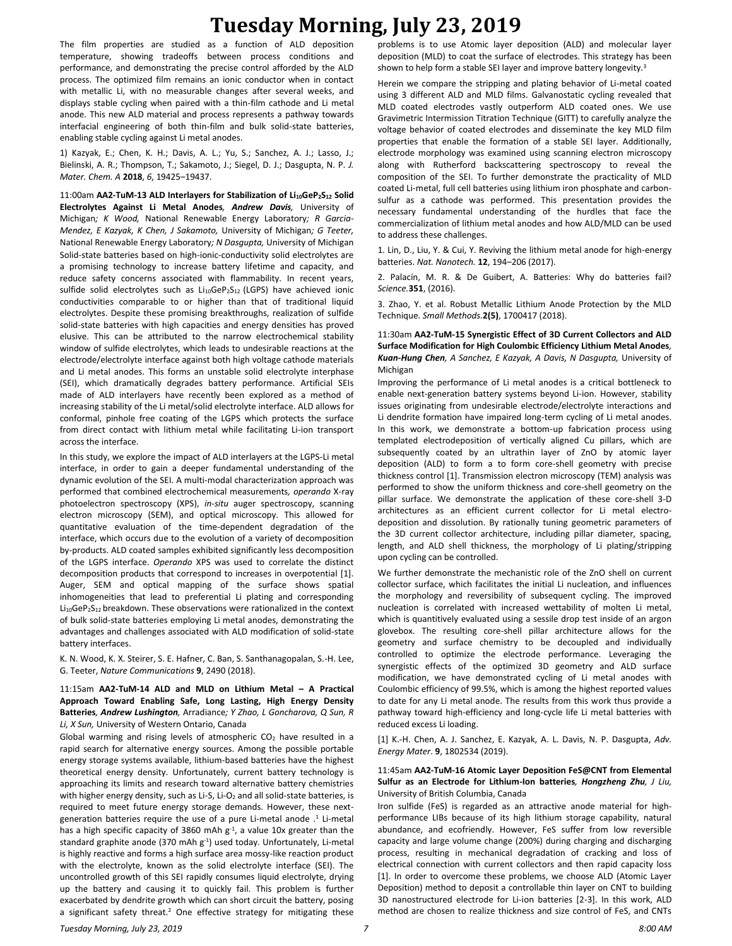The film properties are studied as a function of ALD deposition temperature, showing tradeoffs between process conditions and performance, and demonstrating the precise control afforded by the ALD process. The optimized film remains an ionic conductor when in contact with metallic Li, with no measurable changes after several weeks, and displays stable cycling when paired with a thin-film cathode and Li metal anode. This new ALD material and process represents a pathway towards interfacial engineering of both thin-film and bulk solid-state batteries, enabling stable cycling against Li metal anodes.

1) Kazyak, E.; Chen, K. H.; Davis, A. L.; Yu, S.; Sanchez, A. J.; Lasso, J.; Bielinski, A. R.; Thompson, T.; Sakamoto, J.; Siegel, D. J.; Dasgupta, N. P. *J. Mater. Chem. A* **2018**, *6*, 19425–19437.

11:00am **AA2-TuM-13 ALD Interlayers for Stabilization of Li10GeP2S<sup>12</sup> Solid Electrolytes Against Li Metal Anodes***, Andrew Davis,* University of Michigan*; K Wood,* National Renewable Energy Laboratory*; R Garcia-Mendez, E Kazyak, K Chen, J Sakamoto,* University of Michigan*; G Teeter,*  National Renewable Energy Laboratory*; N Dasgupta,* University of Michigan Solid-state batteries based on high-ionic-conductivity solid electrolytes are a promising technology to increase battery lifetime and capacity, and reduce safety concerns associated with flammability. In recent years, sulfide solid electrolytes such as  $Li_{10}GeP_2S_{12}$  (LGPS) have achieved ionic conductivities comparable to or higher than that of traditional liquid electrolytes. Despite these promising breakthroughs, realization of sulfide solid-state batteries with high capacities and energy densities has proved elusive. This can be attributed to the narrow electrochemical stability window of sulfide electrolytes, which leads to undesirable reactions at the electrode/electrolyte interface against both high voltage cathode materials and Li metal anodes. This forms an unstable solid electrolyte interphase (SEI), which dramatically degrades battery performance. Artificial SEIs made of ALD interlayers have recently been explored as a method of increasing stability of the Li metal/solid electrolyte interface. ALD allows for conformal, pinhole free coating of the LGPS which protects the surface from direct contact with lithium metal while facilitating Li-ion transport across the interface.

In this study, we explore the impact of ALD interlayers at the LGPS-Li metal interface, in order to gain a deeper fundamental understanding of the dynamic evolution of the SEI. A multi-modal characterization approach was performed that combined electrochemical measurements*, operando* X-ray photoelectron spectroscopy (XPS), *in-situ* auger spectroscopy, scanning electron microscopy (SEM), and optical microscopy. This allowed for quantitative evaluation of the time-dependent degradation of the interface, which occurs due to the evolution of a variety of decomposition by-products. ALD coated samples exhibited significantly less decomposition of the LGPS interface. *Operando* XPS was used to correlate the distinct decomposition products that correspond to increases in overpotential [1]. Auger, SEM and optical mapping of the surface shows spatial inhomogeneities that lead to preferential Li plating and corresponding Li<sub>10</sub>GeP<sub>2</sub>S<sub>12</sub> breakdown. These observations were rationalized in the context of bulk solid-state batteries employing Li metal anodes, demonstrating the advantages and challenges associated with ALD modification of solid-state battery interfaces.

K. N. Wood, K. X. Steirer, S. E. Hafner, C. Ban, S. Santhanagopalan, S.-H. Lee, G. Teeter, *Nature Communications* **9**, 2490 (2018).

11:15am **AA2-TuM-14 ALD and MLD on Lithium Metal – A Practical Approach Toward Enabling Safe, Long Lasting, High Energy Density Batteries***, Andrew Lushington,* Arradiance*; Y Zhao, L Goncharova, Q Sun, R Li, X Sun,* University of Western Ontario, Canada

Global warming and rising levels of atmospheric  $CO<sub>2</sub>$  have resulted in a rapid search for alternative energy sources. Among the possible portable energy storage systems available, lithium-based batteries have the highest theoretical energy density. Unfortunately, current battery technology is approaching its limits and research toward alternative battery chemistries with higher energy density, such as Li-S, Li-O<sub>2</sub> and all solid-state batteries, is required to meet future energy storage demands. However, these nextgeneration batteries require the use of a pure Li-metal anode .<sup>1</sup> Li-metal has a high specific capacity of 3860 mAh  $g<sup>-1</sup>$ , a value 10x greater than the standard graphite anode (370 mAh g<sup>-1</sup>) used today. Unfortunately, Li-metal is highly reactive and forms a high surface area mossy-like reaction product with the electrolyte, known as the solid electrolyte interface (SEI). The uncontrolled growth of this SEI rapidly consumes liquid electrolyte, drying up the battery and causing it to quickly fail. This problem is further exacerbated by dendrite growth which can short circuit the battery, posing a significant safety threat.<sup>2</sup> One effective strategy for mitigating these problems is to use Atomic layer deposition (ALD) and molecular layer deposition (MLD) to coat the surface of electrodes. This strategy has been shown to help form a stable SEI layer and improve battery longevity.<sup>3</sup>

Herein we compare the stripping and plating behavior of Li-metal coated using 3 different ALD and MLD films. Galvanostatic cycling revealed that MLD coated electrodes vastly outperform ALD coated ones. We use Gravimetric Intermission Titration Technique (GITT) to carefully analyze the voltage behavior of coated electrodes and disseminate the key MLD film properties that enable the formation of a stable SEI layer. Additionally, electrode morphology was examined using scanning electron microscopy along with Rutherford backscattering spectroscopy to reveal the composition of the SEI. To further demonstrate the practicality of MLD coated Li-metal, full cell batteries using lithium iron phosphate and carbonsulfur as a cathode was performed. This presentation provides the necessary fundamental understanding of the hurdles that face the commercialization of lithium metal anodes and how ALD/MLD can be used to address these challenges.

1. Lin, D., Liu, Y. & Cui, Y. Reviving the lithium metal anode for high-energy batteries. *Nat. Nanotech.* **12**, 194–206 (2017).

2. Palacín, M. R. & De Guibert, A. Batteries: Why do batteries fail? *Science.***351**, (2016).

3. Zhao, Y. et al. Robust Metallic Lithium Anode Protection by the MLD Technique. *Small Methods.***2(5)**, 1700417 (2018).

#### 11:30am **AA2-TuM-15 Synergistic Effect of 3D Current Collectors and ALD Surface Modification for High Coulombic Efficiency Lithium Metal Anodes***, Kuan-Hung Chen, A Sanchez, E Kazyak, A Davis, N Dasgupta,* University of Michigan

Improving the performance of Li metal anodes is a critical bottleneck to enable next-generation battery systems beyond Li-ion. However, stability issues originating from undesirable electrode/electrolyte interactions and Li dendrite formation have impaired long-term cycling of Li metal anodes. In this work, we demonstrate a bottom-up fabrication process using templated electrodeposition of vertically aligned Cu pillars, which are subsequently coated by an ultrathin layer of ZnO by atomic layer deposition (ALD) to form a to form core-shell geometry with precise thickness control [1]. Transmission electron microscopy (TEM) analysis was performed to show the uniform thickness and core-shell geometry on the pillar surface. We demonstrate the application of these core-shell 3-D architectures as an efficient current collector for Li metal electrodeposition and dissolution. By rationally tuning geometric parameters of the 3D current collector architecture, including pillar diameter, spacing, length, and ALD shell thickness, the morphology of Li plating/stripping upon cycling can be controlled.

We further demonstrate the mechanistic role of the ZnO shell on current collector surface, which facilitates the initial Li nucleation, and influences the morphology and reversibility of subsequent cycling. The improved nucleation is correlated with increased wettability of molten Li metal, which is quantitively evaluated using a sessile drop test inside of an argon glovebox. The resulting core-shell pillar architecture allows for the geometry and surface chemistry to be decoupled and individually controlled to optimize the electrode performance. Leveraging the synergistic effects of the optimized 3D geometry and ALD surface modification, we have demonstrated cycling of Li metal anodes with Coulombic efficiency of 99.5%, which is among the highest reported values to date for any Li metal anode. The results from this work thus provide a pathway toward high-efficiency and long-cycle life Li metal batteries with reduced excess Li loading.

[1] K.-H. Chen, A. J. Sanchez, E. Kazyak, A. L. Davis, N. P. Dasgupta, *Adv. Energy Mater*. **9**, 1802534 (2019).

#### 11:45am **AA2-TuM-16 Atomic Layer Deposition FeS@CNT from Elemental Sulfur as an Electrode for Lithium-Ion batteries***, Hongzheng Zhu, J Liu,*  University of British Columbia, Canada

Iron sulfide (FeS) is regarded as an attractive anode material for highperformance LIBs because of its high lithium storage capability, natural abundance, and ecofriendly. However, FeS suffer from low reversible capacity and large volume change (200%) during charging and discharging process, resulting in mechanical degradation of cracking and loss of electrical connection with current collectors and then rapid capacity loss [1]. In order to overcome these problems, we choose ALD (Atomic Layer Deposition) method to deposit a controllable thin layer on CNT to building 3D nanostructured electrode for Li-ion batteries [2-3]. In this work, ALD method are chosen to realize thickness and size control of FeS, and CNTs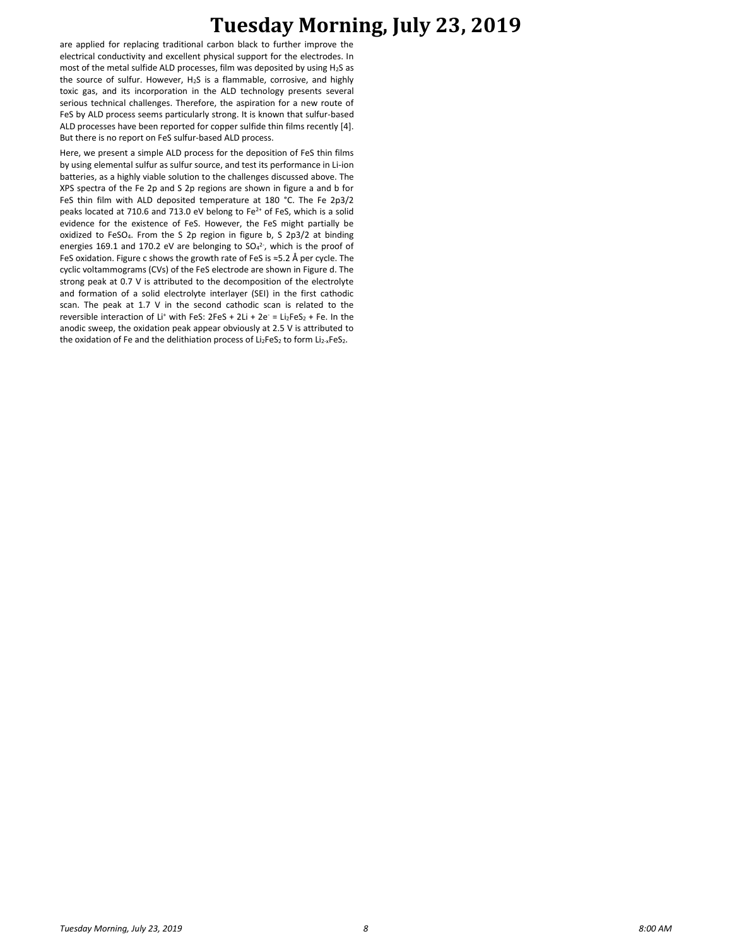are applied for replacing traditional carbon black to further improve the electrical conductivity and excellent physical support for the electrodes. In most of the metal sulfide ALD processes, film was deposited by using H2S as the source of sulfur. However, H2S is a flammable, corrosive, and highly toxic gas, and its incorporation in the ALD technology presents several serious technical challenges. Therefore, the aspiration for a new route of FeS by ALD process seems particularly strong. It is known that sulfur-based ALD processes have been reported for copper sulfide thin films recently [4]. But there is no report on FeS sulfur-based ALD process.

Here, we present a simple ALD process for the deposition of FeS thin films by using elemental sulfur as sulfur source, and test its performance in Li-ion batteries, as a highly viable solution to the challenges discussed above. The XPS spectra of the Fe 2p and S 2p regions are shown in figure a and b for FeS thin film with ALD deposited temperature at 180 °C. The Fe 2p3/2 peaks located at 710.6 and 713.0 eV belong to Fe<sup>2+</sup> of FeS, which is a solid evidence for the existence of FeS. However, the FeS might partially be oxidized to FeSO4. From the S 2p region in figure b, S 2p3/2 at binding energies 169.1 and 170.2 eV are belonging to  $SO_4^2$ , which is the proof of FeS oxidation. Figure c shows the growth rate of FeS is ≈5.2 Å per cycle. The cyclic voltammograms (CVs) of the FeS electrode are shown in Figure d. The strong peak at 0.7 V is attributed to the decomposition of the electrolyte and formation of a solid electrolyte interlayer (SEI) in the first cathodic scan. The peak at 1.7 V in the second cathodic scan is related to the reversible interaction of Li<sup>+</sup> with FeS:  $2FeS + 2Li + 2e^- = Li_2FeS_2 + Fe$ . In the anodic sweep, the oxidation peak appear obviously at 2.5 V is attributed to the oxidation of Fe and the delithiation process of Li<sub>2</sub>FeS<sub>2</sub> to form Li<sub>2-x</sub>FeS<sub>2</sub>.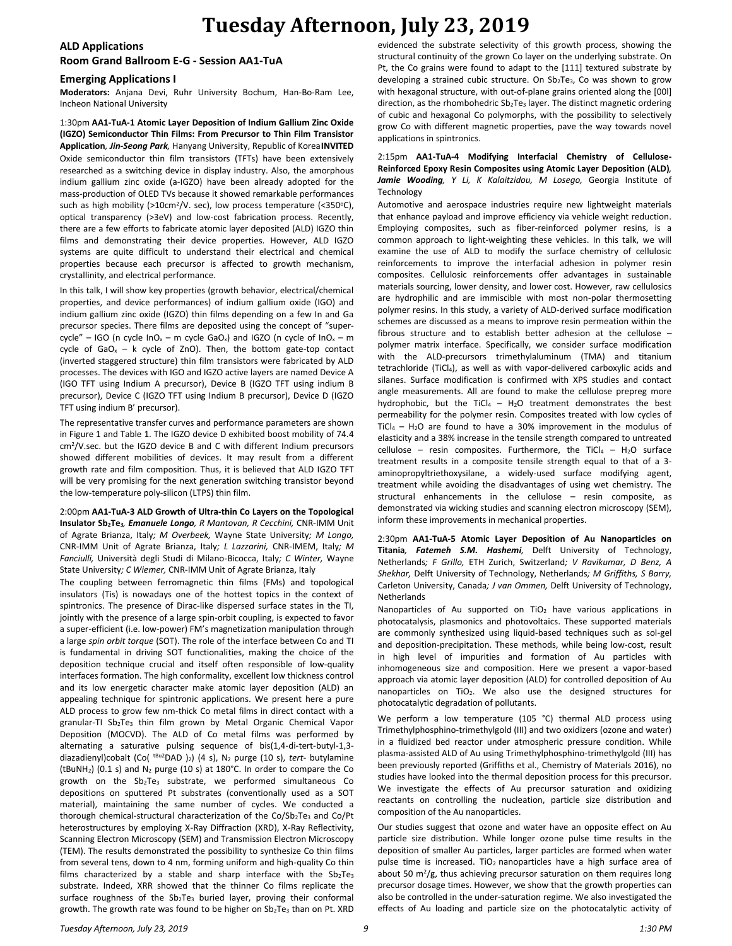## **ALD Applications**

### **Room Grand Ballroom E-G - Session AA1-TuA**

### **Emerging Applications I**

**Moderators:** Anjana Devi, Ruhr University Bochum, Han-Bo-Ram Lee, Incheon National University

1:30pm **AA1-TuA-1 Atomic Layer Deposition of Indium Gallium Zinc Oxide (IGZO) Semiconductor Thin Films: From Precursor to Thin Film Transistor Application***, Jin-Seong Park,* Hanyang University, Republic of Korea**INVITED** Oxide semiconductor thin film transistors (TFTs) have been extensively researched as a switching device in display industry. Also, the amorphous indium gallium zinc oxide (a-IGZO) have been already adopted for the mass-production of OLED TVs because it showed remarkable performances such as high mobility (>10cm<sup>2</sup>/V. sec), low process temperature (<350°C), optical transparency (>3eV) and low-cost fabrication process. Recently, there are a few efforts to fabricate atomic layer deposited (ALD) IGZO thin films and demonstrating their device properties. However, ALD IGZO systems are quite difficult to understand their electrical and chemical properties because each precursor is affected to growth mechanism, crystallinity, and electrical performance.

In this talk, I will show key properties (growth behavior, electrical/chemical properties, and device performances) of indium gallium oxide (IGO) and indium gallium zinc oxide (IGZO) thin films depending on a few In and Ga precursor species. There films are deposited using the concept of "supercycle" – IGO (n cycle  $InO_x - m$  cycle GaO<sub>x</sub>) and IGZO (n cycle of  $InO_x - m$ cycle of GaO<sub>x</sub> – k cycle of ZnO). Then, the bottom gate-top contact (inverted staggered structure) thin film transistors were fabricated by ALD processes. The devices with IGO and IGZO active layers are named Device A (IGO TFT using Indium A precursor), Device B (IGZO TFT using indium B precursor), Device C (IGZO TFT using Indium B precursor), Device D (IGZO TFT using indium B' precursor).

The representative transfer curves and performance parameters are shown in Figure 1 and Table 1. The IGZO device D exhibited boost mobility of 74.4 cm<sup>2</sup>/V.sec. but the IGZO device B and C with different Indium precursors showed different mobilities of devices. It may result from a different growth rate and film composition. Thus, it is believed that ALD IGZO TFT will be very promising for the next generation switching transistor beyond the low-temperature poly-silicon (LTPS) thin film.

2:00pm **AA1-TuA-3 ALD Growth of Ultra-thin Co Layers on the Topological Insulator Sb2Te3***, Emanuele Longo, R Mantovan, R Cecchini,* CNR-IMM Unit of Agrate Brianza, Italy*; M Overbeek,* Wayne State University*; M Longo,*  CNR-IMM Unit of Agrate Brianza, Italy*; L Lazzarini,* CNR-IMEM, Italy*; M Fanciulli,* Università degli Studi di Milano-Bicocca, Italy*; C Winter,* Wayne State University*; C Wiemer,* CNR-IMM Unit of Agrate Brianza, Italy

The coupling between ferromagnetic thin films (FMs) and topological insulators (Tis) is nowadays one of the hottest topics in the context of spintronics. The presence of Dirac-like dispersed surface states in the TI, jointly with the presence of a large spin-orbit coupling, is expected to favor a super-efficient (i.e. low-power) FM's magnetization manipulation through a large *spin orbit torque* (SOT). The role of the interface between Co and TI is fundamental in driving SOT functionalities, making the choice of the deposition technique crucial and itself often responsible of low-quality interfaces formation. The high conformality, excellent low thickness control and its low energetic character make atomic layer deposition (ALD) an appealing technique for spintronic applications. We present here a pure ALD process to grow few nm-thick Co metal films in direct contact with a granular-TI  $Sb_2Te_3$  thin film grown by Metal Organic Chemical Vapor Deposition (MOCVD). The ALD of Co metal films was performed by alternating a saturative pulsing sequence of bis(1,4-di-tert-butyl-1,3 diazadienyl)cobalt (Co(<sup>tBu2</sup>DAD)<sub>2</sub>) (4 s), N<sub>2</sub> purge (10 s), *tert*- butylamine (tBuNH<sub>2</sub>) (0.1 s) and N<sub>2</sub> purge (10 s) at 180°C. In order to compare the Co growth on the Sb2Te3 substrate, we performed simultaneous Co depositions on sputtered Pt substrates (conventionally used as a SOT material), maintaining the same number of cycles. We conducted a thorough chemical-structural characterization of the Co/Sb2Te3 and Co/Pt heterostructures by employing X-Ray Diffraction (XRD), X-Ray Reflectivity, Scanning Electron Microscopy (SEM) and Transmission Electron Microscopy (TEM). The results demonstrated the possibility to synthesize Co thin films from several tens, down to 4 nm, forming uniform and high-quality Co thin films characterized by a stable and sharp interface with the  $Sb_2Te_3$ substrate. Indeed, XRR showed that the thinner Co films replicate the surface roughness of the Sb<sub>2</sub>Te<sub>3</sub> buried layer, proving their conformal growth. The growth rate was found to be higher on Sb2Te3 than on Pt. XRD evidenced the substrate selectivity of this growth process, showing the structural continuity of the grown Co layer on the underlying substrate. On Pt, the Co grains were found to adapt to the [111] textured substrate by developing a strained cubic structure. On  $Sb<sub>2</sub>Te<sub>3</sub>$ , Co was shown to grow with hexagonal structure, with out-of-plane grains oriented along the [00l] direction, as the rhombohedric  $Sb_2Te_3$  layer. The distinct magnetic ordering of cubic and hexagonal Co polymorphs, with the possibility to selectively grow Co with different magnetic properties, pave the way towards novel applications in spintronics.

#### 2:15pm **AA1-TuA-4 Modifying Interfacial Chemistry of Cellulose-Reinforced Epoxy Resin Composites using Atomic Layer Deposition (ALD)***, Jamie Wooding, Y Li, K Kalaitzidou, M Losego,* Georgia Institute of Technology

Automotive and aerospace industries require new lightweight materials that enhance payload and improve efficiency via vehicle weight reduction. Employing composites, such as fiber-reinforced polymer resins, is a common approach to light-weighting these vehicles. In this talk, we will examine the use of ALD to modify the surface chemistry of cellulosic reinforcements to improve the interfacial adhesion in polymer resin composites. Cellulosic reinforcements offer advantages in sustainable materials sourcing, lower density, and lower cost. However, raw cellulosics are hydrophilic and are immiscible with most non-polar thermosetting polymer resins. In this study, a variety of ALD-derived surface modification schemes are discussed as a means to improve resin permeation within the fibrous structure and to establish better adhesion at the cellulose – polymer matrix interface. Specifically, we consider surface modification with the ALD-precursors trimethylaluminum (TMA) and titanium tetrachloride (TiCl4), as well as with vapor-delivered carboxylic acids and silanes. Surface modification is confirmed with XPS studies and contact angle measurements. All are found to make the cellulose prepreg more hydrophobic, but the TiCl<sub>4</sub> – H<sub>2</sub>O treatment demonstrates the best permeability for the polymer resin. Composites treated with low cycles of TiCl<sub>4</sub> – H<sub>2</sub>O are found to have a 30% improvement in the modulus of elasticity and a 38% increase in the tensile strength compared to untreated cellulose – resin composites. Furthermore, the TiCl<sub>4</sub> – H<sub>2</sub>O surface treatment results in a composite tensile strength equal to that of a 3 aminopropyltriethoxysilane, a widely-used surface modifying agent, treatment while avoiding the disadvantages of using wet chemistry. The structural enhancements in the cellulose – resin composite, as demonstrated via wicking studies and scanning electron microscopy (SEM), inform these improvements in mechanical properties.

2:30pm **AA1-TuA-5 Atomic Layer Deposition of Au Nanoparticles on Titania***, Fatemeh S.M. Hashemi,* Delft University of Technology, Netherlands*; F Grillo,* ETH Zurich, Switzerland*; V Ravikumar, D Benz, A Shekhar,* Delft University of Technology, Netherlands*; M Griffiths, S Barry,*  Carleton University, Canada*; J van Ommen,* Delft University of Technology, Netherlands

Nanoparticles of Au supported on TiO<sub>2</sub> have various applications in photocatalysis, plasmonics and photovoltaics. These supported materials are commonly synthesized using liquid-based techniques such as sol-gel and deposition-precipitation. These methods, while being low-cost, result in high level of impurities and formation of Au particles with inhomogeneous size and composition. Here we present a vapor-based approach via atomic layer deposition (ALD) for controlled deposition of Au nanoparticles on TiO2. We also use the designed structures for photocatalytic degradation of pollutants.

We perform a low temperature (105 °C) thermal ALD process using Trimethylphosphino-trimethylgold (III) and two oxidizers (ozone and water) in a fluidized bed reactor under atmospheric pressure condition. While plasma-assisted ALD of Au using Trimethylphosphino-trimethylgold (III) has been previously reported (Griffiths et al., Chemistry of Materials 2016), no studies have looked into the thermal deposition process for this precursor. We investigate the effects of Au precursor saturation and oxidizing reactants on controlling the nucleation, particle size distribution and composition of the Au nanoparticles.

Our studies suggest that ozone and water have an opposite effect on Au particle size distribution. While longer ozone pulse time results in the deposition of smaller Au particles, larger particles are formed when water pulse time is increased. TiO<sub>2</sub> nanoparticles have a high surface area of about 50 m<sup>2</sup>/g, thus achieving precursor saturation on them requires long precursor dosage times. However, we show that the growth properties can also be controlled in the under-saturation regime. We also investigated the effects of Au loading and particle size on the photocatalytic activity of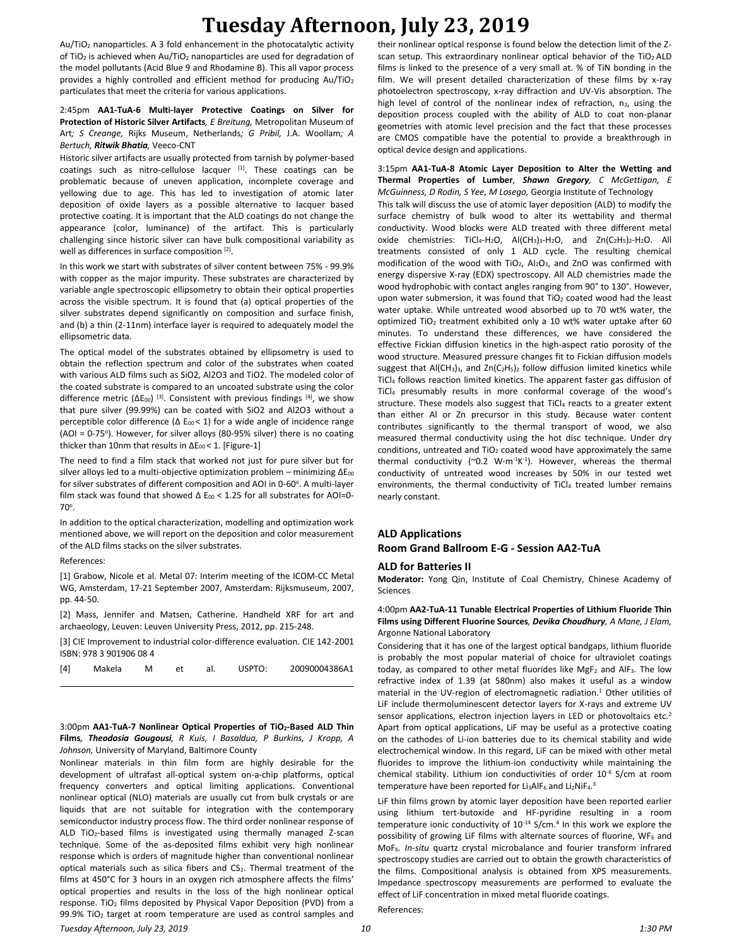Au/TiO<sup>2</sup> nanoparticles. A 3 fold enhancement in the photocatalytic activity of TiO<sub>2</sub> is achieved when Au/TiO<sub>2</sub> nanoparticles are used for degradation of the model pollutants (Acid Blue 9 and Rhodamine B). This all vapor process provides a highly controlled and efficient method for producing Au/TiO<sup>2</sup> particulates that meet the criteria for various applications.

#### 2:45pm **AA1-TuA-6 Multi-layer Protective Coatings on Silver for Protection of Historic Silver Artifacts***, E Breitung,* Metropolitan Museum of Art*; S Creange,* Rijks Museum, Netherlands*; G Pribil,* J.A. Woollam*; A Bertuch, Ritwik Bhatia,* Veeco-CNT

Historic silver artifacts are usually protected from tarnish by polymer-based coatings such as nitro-cellulose lacquer [1]. These coatings can be problematic because of uneven application, incomplete coverage and yellowing due to age. This has led to investigation of atomic later deposition of oxide layers as a possible alternative to lacquer based protective coating. It is important that the ALD coatings do not change the appearance (color, luminance) of the artifact. This is particularly challenging since historic silver can have bulk compositional variability as well as differences in surface composition [2].

In this work we start with substrates of silver content between 75% - 99.9% with copper as the major impurity. These substrates are characterized by variable angle spectroscopic ellipsometry to obtain their optical properties across the visible spectrum. It is found that (a) optical properties of the silver substrates depend significantly on composition and surface finish, and (b) a thin (2-11nm) interface layer is required to adequately model the ellipsometric data.

The optical model of the substrates obtained by ellipsometry is used to obtain the reflection spectrum and color of the substrates when coated with various ALD films such as SiO2, Al2O3 and TiO2. The modeled color of the coated substrate is compared to an uncoated substrate using the color difference metric (ΔE<sub>00</sub>)<sup>[3]</sup>. Consistent with previous findings<sup>[4]</sup>, we show that pure silver (99.99%) can be coated with SiO2 and Al2O3 without a perceptible color difference ( $\Delta$  E<sub>00</sub> < 1) for a wide angle of incidence range (AOI = 0-75°). However, for silver alloys (80-95% silver) there is no coating thicker than 10nm that results in  $\Delta E_{00}$  < 1. [Figure-1]

The need to find a film stack that worked not just for pure silver but for silver alloys led to a multi-objective optimization problem – minimizing ΔΕ<sub>00</sub> for silver substrates of different composition and AOI in 0-60°. A multi-layer film stack was found that showed  $\Delta E_{00}$  < 1.25 for all substrates for AOI=0-70°.

In addition to the optical characterization, modelling and optimization work mentioned above, we will report on the deposition and color measurement of the ALD films stacks on the silver substrates.

References:

[1] Grabow, Nicole et al. Metal 07: Interim meeting of the ICOM-CC Metal WG, Amsterdam, 17-21 September 2007, Amsterdam: Rijksmuseum, 2007, pp. 44-50.

[2] Mass, Jennifer and Matsen, Catherine. Handheld XRF for art and archaeology, Leuven: Leuven University Press, 2012, pp. 215-248.

[3] CIE Improvement to industrial color-difference evaluation. CIE 142-2001 ISBN: 978 3 901906 08 4

| [4] | Makela | M |  | et al. USPTO: | 20090004386A1 |
|-----|--------|---|--|---------------|---------------|
|     |        |   |  |               |               |

3:00pm **AA1-TuA-7 Nonlinear Optical Properties of TiO2-Based ALD Thin Films***, Theodosia Gougousi, R Kuis, I Basaldua, P Burkins, J Kropp, A Johnson,* University of Maryland, Baltimore County

Nonlinear materials in thin film form are highly desirable for the development of ultrafast all-optical system on-a-chip platforms, optical frequency converters and optical limiting applications. Conventional nonlinear optical (NLO) materials are usually cut from bulk crystals or are liquids that are not suitable for integration with the contemporary semiconductor industry process flow. The third order nonlinear response of ALD TiO<sub>2</sub>-based films is investigated using thermally managed Z-scan technique. Some of the as-deposited films exhibit very high nonlinear response which is orders of magnitude higher than conventional nonlinear optical materials such as silica fibers and CS<sub>2</sub>. Thermal treatment of the films at 450°C for 3 hours in an oxygen rich atmosphere affects the films' optical properties and results in the loss of the high nonlinear optical response. TiO<sub>2</sub> films deposited by Physical Vapor Deposition (PVD) from a 99.9% TiO<sup>2</sup> target at room temperature are used as control samples and

their nonlinear optical response is found below the detection limit of the Zscan setup. This extraordinary nonlinear optical behavior of the  $TiO<sub>2</sub>ALD$ films is linked to the presence of a very small at. % of TiN bonding in the film. We will present detailed characterization of these films by x-ray photoelectron spectroscopy, x-ray diffraction and UV-Vis absorption. The high level of control of the nonlinear index of refraction,  $n_2$ , using the deposition process coupled with the ability of ALD to coat non-planar geometries with atomic level precision and the fact that these processes are CMOS compatible have the potential to provide a breakthrough in optical device design and applications.

3:15pm **AA1-TuA-8 Atomic Layer Deposition to Alter the Wetting and Thermal Properties of Lumber***, Shawn Gregory, C McGettigan, E McGuinness, D Rodin, S Yee, M Losego,* Georgia Institute of Technology This talk will discuss the use of atomic layer deposition (ALD) to modify the surface chemistry of bulk wood to alter its wettability and thermal conductivity. Wood blocks were ALD treated with three different metal oxide chemistries: TiCl<sub>4</sub>-H<sub>2</sub>O, Al(CH<sub>3</sub>)<sub>3</sub>-H<sub>2</sub>O, and Zn(C<sub>2</sub>H<sub>5</sub>)<sub>2</sub>-H<sub>2</sub>O. All treatments consisted of only 1 ALD cycle. The resulting chemical modification of the wood with TiO<sub>2</sub>, Al<sub>2</sub>O<sub>3</sub>, and ZnO was confirmed with energy dispersive X-ray (EDX) spectroscopy. All ALD chemistries made the wood hydrophobic with contact angles ranging from 90° to 130°. However, upon water submersion, it was found that  $TiO<sub>2</sub>$  coated wood had the least water uptake. While untreated wood absorbed up to 70 wt% water, the optimized TiO<sub>2</sub> treatment exhibited only a 10 wt% water uptake after 60 minutes. To understand these differences, we have considered the effective Fickian diffusion kinetics in the high-aspect ratio porosity of the wood structure. Measured pressure changes fit to Fickian diffusion models suggest that  $AI(CH_3)_3$ , and  $Zn(C_2H_5)_2$  follow diffusion limited kinetics while TiCl<sup>4</sup> follows reaction limited kinetics. The apparent faster gas diffusion of TiCl<sup>4</sup> presumably results in more conformal coverage of the wood's structure. These models also suggest that TiCl4 reacts to a greater extent than either Al or Zn precursor in this study. Because water content contributes significantly to the thermal transport of wood, we also measured thermal conductivity using the hot disc technique. Under dry conditions, untreated and  $TiO<sub>2</sub>$  coated wood have approximately the same thermal conductivity ( $\degree$ 0.2 W·m<sup>-1</sup>K<sup>-1</sup>). However, whereas the thermal conductivity of untreated wood increases by 50% in our tested wet environments, the thermal conductivity of TiCl4 treated lumber remains nearly constant.

## **ALD Applications Room Grand Ballroom E-G - Session AA2-TuA**

#### **ALD for Batteries II**

**Moderator:** Yong Qin, Institute of Coal Chemistry, Chinese Academy of Sciences

#### 4:00pm **AA2-TuA-11 Tunable Electrical Properties of Lithium Fluoride Thin Films using Different Fluorine Sources***, Devika Choudhury, A Mane, J Elam,*  Argonne National Laboratory

Considering that it has one of the largest optical bandgaps, lithium fluoride is probably the most popular material of choice for ultraviolet coatings today, as compared to other metal fluorides like  $MgF_2$  and AlF<sub>3</sub>. The low refractive index of 1.39 (at 580nm) also makes it useful as a window material in the UV-region of electromagnetic radiation.<sup>1</sup> Other utilities of LiF include thermoluminescent detector layers for X-rays and extreme UV sensor applications, electron injection layers in LED or photovoltaics etc.<sup>2</sup> Apart from optical applications, LiF may be useful as a protective coating on the cathodes of Li-ion batteries due to its chemical stability and wide electrochemical window. In this regard, LiF can be mixed with other metal fluorides to improve the lithium-ion conductivity while maintaining the chemical stability. Lithium ion conductivities of order 10<sup>-6</sup> S/cm at room temperature have been reported for Li<sub>3</sub>AlF<sub>6</sub> and Li<sub>2</sub>NiF<sub>4</sub>.<sup>3</sup>

LiF thin films grown by atomic layer deposition have been reported earlier using lithium tert-butoxide and HF-pyridine resulting in a room temperature ionic conductivity of 10<sup>-14</sup> S/cm.<sup>4</sup> In this work we explore the possibility of growing LiF films with alternate sources of fluorine, WF<sup>6</sup> and MoF6. *In-situ* quartz crystal microbalance and fourier transform infrared spectroscopy studies are carried out to obtain the growth characteristics of the films. Compositional analysis is obtained from XPS measurements. Impedance spectroscopy measurements are performed to evaluate the effect of LiF concentration in mixed metal fluoride coatings.

References: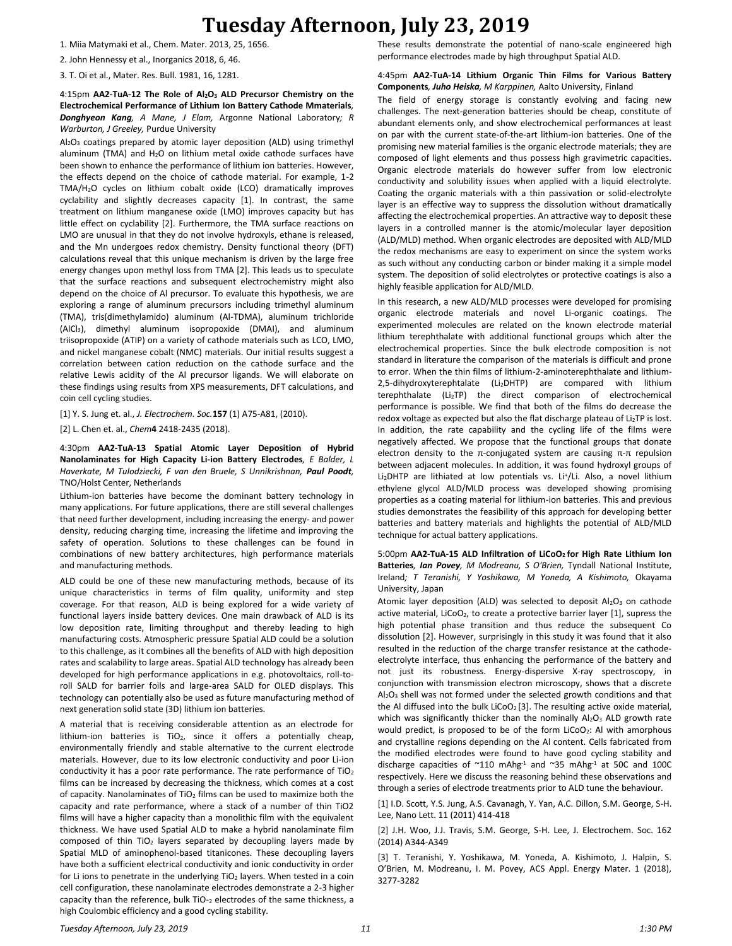1. Miia Matymaki et al., Chem. Mater. 2013, 25, 1656.

2. John Hennessy et al., Inorganics 2018, 6, 46.

3. T. Oi et al., Mater. Res. Bull. 1981, 16, 1281.

4:15pm **AA2-TuA-12 The Role of Al2O<sup>3</sup> ALD Precursor Chemistry on the Electrochemical Performance of Lithium Ion Battery Cathode Mmaterials***, Donghyeon Kang, A Mane, J Elam,* Argonne National Laboratory*; R Warburton, J Greeley,* Purdue University

Al2O<sup>3</sup> coatings prepared by atomic layer deposition (ALD) using trimethyl aluminum (TMA) and H<sub>2</sub>O on lithium metal oxide cathode surfaces have been shown to enhance the performance of lithium ion batteries. However, the effects depend on the choice of cathode material. For example, 1-2 TMA/H2O cycles on lithium cobalt oxide (LCO) dramatically improves cyclability and slightly decreases capacity [1]. In contrast, the same treatment on lithium manganese oxide (LMO) improves capacity but has little effect on cyclability [2]. Furthermore, the TMA surface reactions on LMO are unusual in that they do not involve hydroxyls, ethane is released, and the Mn undergoes redox chemistry. Density functional theory (DFT) calculations reveal that this unique mechanism is driven by the large free energy changes upon methyl loss from TMA [2]. This leads us to speculate that the surface reactions and subsequent electrochemistry might also depend on the choice of Al precursor. To evaluate this hypothesis, we are exploring a range of aluminum precursors including trimethyl aluminum (TMA), tris(dimethylamido) aluminum (Al-TDMA), aluminum trichloride (AlCl3), dimethyl aluminum isopropoxide (DMAI), and aluminum triisopropoxide (ATIP) on a variety of cathode materials such as LCO, LMO, and nickel manganese cobalt (NMC) materials. Our initial results suggest a correlation between cation reduction on the cathode surface and the relative Lewis acidity of the Al precursor ligands. We will elaborate on these findings using results from XPS measurements, DFT calculations, and coin cell cycling studies.

[1] Y. S. Jung et. al., *J. Electrochem. Soc.***157** (1) A75-A81, (2010).

[2] L. Chen et. al., *Chem***4** 2418-2435 (2018).

4:30pm **AA2-TuA-13 Spatial Atomic Layer Deposition of Hybrid Nanolaminates for High Capacity Li-ion Battery Electrodes***, E Balder, L Haverkate, M Tulodziecki, F van den Bruele, S Unnikrishnan, Paul Poodt,*  TNO/Holst Center, Netherlands

Lithium-ion batteries have become the dominant battery technology in many applications. For future applications, there are still several challenges that need further development, including increasing the energy- and power density, reducing charging time, increasing the lifetime and improving the safety of operation. Solutions to these challenges can be found in combinations of new battery architectures, high performance materials and manufacturing methods.

ALD could be one of these new manufacturing methods, because of its unique characteristics in terms of film quality, uniformity and step coverage. For that reason, ALD is being explored for a wide variety of functional layers inside battery devices. One main drawback of ALD is its low deposition rate, limiting throughput and thereby leading to high manufacturing costs. Atmospheric pressure Spatial ALD could be a solution to this challenge, as it combines all the benefits of ALD with high deposition rates and scalability to large areas. Spatial ALD technology has already been developed for high performance applications in e.g. photovoltaics, roll-toroll SALD for barrier foils and large-area SALD for OLED displays. This technology can potentially also be used as future manufacturing method of next generation solid state (3D) lithium ion batteries.

A material that is receiving considerable attention as an electrode for lithium-ion batteries is  $TiO<sub>2</sub>$ , since it offers a potentially cheap, environmentally friendly and stable alternative to the current electrode materials. However, due to its low electronic conductivity and poor Li-ion conductivity it has a poor rate performance. The rate performance of TiO<sup>2</sup> films can be increased by decreasing the thickness, which comes at a cost of capacity. Nanolaminates of TiO<sub>2</sub> films can be used to maximize both the capacity and rate performance, where a stack of a number of thin TiO2 films will have a higher capacity than a monolithic film with the equivalent thickness. We have used Spatial ALD to make a hybrid nanolaminate film composed of thin TiO<sub>2</sub> layers separated by decoupling layers made by Spatial MLD of aminophenol-based titanicones. These decoupling layers have both a sufficient electrical conductivity and ionic conductivity in order for Li ions to penetrate in the underlying  $TiO<sub>2</sub>$  layers. When tested in a coin cell configuration, these nanolaminate electrodes demonstrate a 2-3 higher capacity than the reference, bulk TiO-2 electrodes of the same thickness, a high Coulombic efficiency and a good cycling stability.

These results demonstrate the potential of nano-scale engineered high performance electrodes made by high throughput Spatial ALD.

#### 4:45pm **AA2-TuA-14 Lithium Organic Thin Films for Various Battery Components***, Juho Heiska, M Karppinen,* Aalto University, Finland

The field of energy storage is constantly evolving and facing new challenges. The next-generation batteries should be cheap, constitute of abundant elements only, and show electrochemical performances at least on par with the current state-of-the-art lithium-ion batteries. One of the promising new material families is the organic electrode materials; they are composed of light elements and thus possess high gravimetric capacities. Organic electrode materials do however suffer from low electronic conductivity and solubility issues when applied with a liquid electrolyte. Coating the organic materials with a thin passivation or solid-electrolyte layer is an effective way to suppress the dissolution without dramatically affecting the electrochemical properties. An attractive way to deposit these layers in a controlled manner is the atomic/molecular layer deposition (ALD/MLD) method. When organic electrodes are deposited with ALD/MLD the redox mechanisms are easy to experiment on since the system works as such without any conducting carbon or binder making it a simple model system. The deposition of solid electrolytes or protective coatings is also a highly feasible application for ALD/MLD.

In this research, a new ALD/MLD processes were developed for promising organic electrode materials and novel Li-organic coatings. The experimented molecules are related on the known electrode material lithium terephthalate with additional functional groups which alter the electrochemical properties. Since the bulk electrode composition is not standard in literature the comparison of the materials is difficult and prone to error. When the thin films of lithium-2-aminoterephthalate and lithium-2,5-dihydroxyterephtalate (Li<sub>2</sub>DHTP) are compared with lithium terephthalate (Li2TP) the direct comparison of electrochemical performance is possible. We find that both of the films do decrease the redox voltage as expected but also the flat discharge plateau of Li<sub>2</sub>TP is lost. In addition, the rate capability and the cycling life of the films were negatively affected. We propose that the functional groups that donate electron density to the π-conjugated system are causing  $π$ -π repulsion between adjacent molecules. In addition, it was found hydroxyl groups of Li<sub>2</sub>DHTP are lithiated at low potentials vs. Li<sup>+</sup>/Li. Also, a novel lithium ethylene glycol ALD/MLD process was developed showing promising properties as a coating material for lithium-ion batteries. This and previous studies demonstrates the feasibility of this approach for developing better batteries and battery materials and highlights the potential of ALD/MLD technique for actual battery applications.

5:00pm **AA2-TuA-15 ALD Infiltration of LiCoO2 for High Rate Lithium Ion Batteries***, Ian Povey, M Modreanu, S O'Brien,* Tyndall National Institute, Ireland*; T Teranishi, Y Yoshikawa, M Yoneda, A Kishimoto,* Okayama University, Japan

Atomic layer deposition (ALD) was selected to deposit  $Al_2O_3$  on cathode active material, LiCoO<sub>2</sub>, to create a protective barrier layer [1], supress the high potential phase transition and thus reduce the subsequent Co dissolution [2]. However, surprisingly in this study it was found that it also resulted in the reduction of the charge transfer resistance at the cathodeelectrolyte interface, thus enhancing the performance of the battery and not just its robustness. Energy-dispersive X-ray spectroscopy, in conjunction with transmission electron microscopy, shows that a discrete Al2O<sup>3</sup> shell was not formed under the selected growth conditions and that the Al diffused into the bulk LiCoO<sub>2</sub> [3]. The resulting active oxide material, which was significantly thicker than the nominally  $Al_2O_3$  ALD growth rate would predict, is proposed to be of the form LiCoO<sub>2</sub>: Al with amorphous and crystalline regions depending on the Al content. Cells fabricated from the modified electrodes were found to have good cycling stability and discharge capacities of  $^{\sim}110$  mAhg<sup>-1</sup> and  $^{\sim}35$  mAhg<sup>-1</sup> at 50C and 100C respectively. Here we discuss the reasoning behind these observations and through a series of electrode treatments prior to ALD tune the behaviour.

[1] I.D. Scott, Y.S. Jung, A.S. Cavanagh, Y. Yan, A.C. Dillon, S.M. George, S-H. Lee, Nano Lett. 11 (2011) 414-418

[2] J.H. Woo, J.J. Travis, S.M. George, S-H. Lee, J. Electrochem. Soc. 162 (2014) A344-A349

[3] T. Teranishi, Y. Yoshikawa, M. Yoneda, A. Kishimoto, J. Halpin, S. O'Brien, M. Modreanu, I. M. Povey, ACS Appl. Energy Mater. 1 (2018), 3277-3282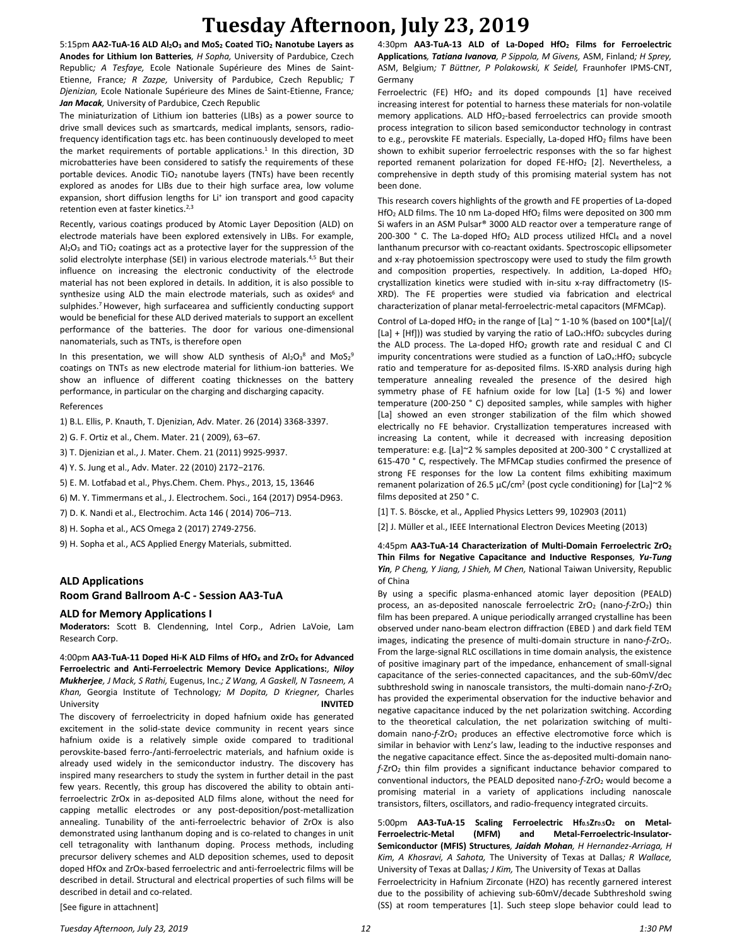5:15pm **AA2-TuA-16 ALD Al2O<sup>3</sup> and MoS<sup>2</sup> Coated TiO<sup>2</sup> Nanotube Layers as Anodes for Lithium Ion Batteries***, H Sopha,* University of Pardubice, Czech Republic*; A Tesfaye,* Ecole Nationale Supérieure des Mines de Saint-Etienne, France*; R Zazpe,* University of Pardubice, Czech Republic*; T Djenizian,* Ecole Nationale Supérieure des Mines de Saint-Etienne, France*; Jan Macak,* University of Pardubice, Czech Republic

The miniaturization of Lithium ion batteries (LIBs) as a power source to drive small devices such as smartcards, medical implants, sensors, radiofrequency identification tags etc. has been continuously developed to meet the market requirements of portable applications.<sup>1</sup> In this direction, 3D microbatteries have been considered to satisfy the requirements of these portable devices. Anodic TiO<sub>2</sub> nanotube layers (TNTs) have been recently explored as anodes for LIBs due to their high surface area, low volume expansion, short diffusion lengths for Li<sup>+</sup> ion transport and good capacity retention even at faster kinetics.<sup>2,3</sup>

Recently, various coatings produced by Atomic Layer Deposition (ALD) on electrode materials have been explored extensively in LIBs. For example,  $Al_2O_3$  and TiO<sub>2</sub> coatings act as a protective layer for the suppression of the solid electrolyte interphase (SEI) in various electrode materials.4,5 But their influence on increasing the electronic conductivity of the electrode material has not been explored in details. In addition, it is also possible to synthesize using ALD the main electrode materials, such as oxides<sup>6</sup> and sulphides.<sup>7</sup> However, high surfacearea and sufficiently conducting support would be beneficial for these ALD derived materials to support an excellent performance of the batteries. The door for various one-dimensional nanomaterials, such as TNTs, is therefore open

In this presentation, we will show ALD synthesis of  $Al_2O_3^8$  and  $MoS_2^9$ coatings on TNTs as new electrode material for lithium-ion batteries. We show an influence of different coating thicknesses on the battery performance, in particular on the charging and discharging capacity.

#### References

1) B.L. Ellis, P. Knauth, T. Djenizian, Adv. Mater. 26 (2014) 3368-3397.

2) G. F. Ortiz et al., Chem. Mater. 21 ( 2009), 63–67.

3) T. Djenizian et al., J. Mater. Chem. 21 (2011) 9925-9937.

4) Y. S. Jung et al., Adv. Mater. 22 (2010) 2172−2176.

5) E. M. Lotfabad et al., Phys.Chem. Chem. Phys., 2013, 15, 13646

6) M. Y. Timmermans et al., J. Electrochem. Soci., 164 (2017) D954-D963.

7) D. K. Nandi et al., Electrochim. Acta 146 ( 2014) 706–713.

8) H. Sopha et al., ACS Omega 2 (2017) 2749-2756.

9) H. Sopha et al., ACS Applied Energy Materials, submitted.

### **ALD Applications**

### **Room Grand Ballroom A-C - Session AA3-TuA**

#### **ALD for Memory Applications I**

**Moderators:** Scott B. Clendenning, Intel Corp., Adrien LaVoie, Lam Research Corp.

4:00pm **AA3-TuA-11 Doped Hi-K ALD Films of HfO<sup>X</sup> and ZrO<sup>X</sup> for Advanced Ferroelectric and Anti-Ferroelectric Memory Device Applications:***, Niloy Mukherjee, J Mack, S Rathi,* Eugenus, Inc.*; Z Wang, A Gaskell, N Tasneem, A Khan,* Georgia Institute of Technology*; M Dopita, D Kriegner,* Charles University **INVITED**

The discovery of ferroelectricity in doped hafnium oxide has generated excitement in the solid-state device community in recent years since hafnium oxide is a relatively simple oxide compared to traditional perovskite-based ferro-/anti-ferroelectric materials, and hafnium oxide is already used widely in the semiconductor industry. The discovery has inspired many researchers to study the system in further detail in the past few years. Recently, this group has discovered the ability to obtain antiferroelectric ZrOx in as-deposited ALD films alone, without the need for capping metallic electrodes or any post-deposition/post-metallization annealing. Tunability of the anti-ferroelectric behavior of ZrOx is also demonstrated using lanthanum doping and is co-related to changes in unit cell tetragonality with lanthanum doping. Process methods, including precursor delivery schemes and ALD deposition schemes, used to deposit doped HfOx and ZrOx-based ferroelectric and anti-ferroelectric films will be described in detail. Structural and electrical properties of such films will be described in detail and co-related.

4:30pm **AA3-TuA-13 ALD of La-Doped HfO<sup>2</sup> Films for Ferroelectric Applications***, Tatiana Ivanova, P Sippola, M Givens,* ASM, Finland*; H Sprey,*  ASM, Belgium*; T Büttner, P Polakowski, K Seidel,* Fraunhofer IPMS-CNT, Germany

Ferroelectric (FE) HfO<sub>2</sub> and its doped compounds [1] have received increasing interest for potential to harness these materials for non-volatile memory applications. ALD HfO2-based ferroelectrics can provide smooth process integration to silicon based semiconductor technology in contrast to e.g., perovskite FE materials. Especially, La-doped HfO<sub>2</sub> films have been shown to exhibit superior ferroelectric responses with the so far highest reported remanent polarization for doped FE-HfO<sub>2</sub> [2]. Nevertheless, a comprehensive in depth study of this promising material system has not been done.

This research covers highlights of the growth and FE properties of La-doped HfO<sub>2</sub> ALD films. The 10 nm La-doped HfO<sub>2</sub> films were deposited on 300 mm Si wafers in an ASM Pulsar® 3000 ALD reactor over a temperature range of 200-300  $\degree$  C. The La-doped HfO<sub>2</sub> ALD process utilized HfCl<sub>4</sub> and a novel lanthanum precursor with co-reactant oxidants. Spectroscopic ellipsometer and x-ray photoemission spectroscopy were used to study the film growth and composition properties, respectively. In addition, La-doped HfO<sub>2</sub> crystallization kinetics were studied with in-situ x-ray diffractometry (IS-XRD). The FE properties were studied via fabrication and electrical characterization of planar metal-ferroelectric-metal capacitors (MFMCap).

Control of La-doped HfO<sub>2</sub> in the range of [La]  $\sim$  1-10 % (based on 100\*[La]/( [La] + [Hf])) was studied by varying the ratio of LaO<sub>x</sub>:HfO<sub>2</sub> subcycles during the ALD process. The La-doped  $HfO<sub>2</sub>$  growth rate and residual C and Cl impurity concentrations were studied as a function of  $LaO<sub>x</sub>:HfO<sub>2</sub>$  subcycle ratio and temperature for as-deposited films. IS-XRD analysis during high temperature annealing revealed the presence of the desired high symmetry phase of FE hafnium oxide for low [La] (1-5 %) and lower temperature (200-250 ° C) deposited samples, while samples with higher [La] showed an even stronger stabilization of the film which showed electrically no FE behavior. Crystallization temperatures increased with increasing La content, while it decreased with increasing deposition temperature: e.g. [La]~2 % samples deposited at 200-300 ° C crystallized at 615-470 ° C, respectively. The MFMCap studies confirmed the presence of strong FE responses for the low La content films exhibiting maximum remanent polarization of 26.5  $\mu$ C/cm<sup>2</sup> (post cycle conditioning) for [La]~2 % films deposited at 250 ° C.

[1] T. S. Böscke, et al., Applied Physics Letters 99, 102903 (2011)

[2] J. Müller et al., IEEE International Electron Devices Meeting (2013)

4:45pm **AA3-TuA-14 Characterization of Multi-Domain Ferroelectric ZrO<sup>2</sup> Thin Films for Negative Capacitance and Inductive Responses***, Yu-Tung Yin, P Cheng, Y Jiang, J Shieh, M Chen,* National Taiwan University, Republic of China

By using a specific plasma-enhanced atomic layer deposition (PEALD) process, an as-deposited nanoscale ferroelectric ZrO<sub>2</sub> (nano-f-ZrO<sub>2</sub>) thin film has been prepared. A unique periodically arranged crystalline has been observed under nano-beam electron diffraction (EBED ) and dark field TEM images, indicating the presence of multi-domain structure in nano-f-ZrO<sub>2</sub>. From the large-signal RLC oscillations in time domain analysis, the existence of positive imaginary part of the impedance, enhancement of small-signal capacitance of the series-connected capacitances, and the sub-60mV/dec subthreshold swing in nanoscale transistors, the multi-domain nano-*f*-ZrO<sub>2</sub> has provided the experimental observation for the inductive behavior and negative capacitance induced by the net polarization switching. According to the theoretical calculation, the net polarization switching of multidomain nano-f-ZrO<sub>2</sub> produces an effective electromotive force which is similar in behavior with Lenz's law, leading to the inductive responses and the negative capacitance effect. Since the as-deposited multi-domain nano*f*-ZrO<sup>2</sup> thin film provides a significant inductance behavior compared to conventional inductors, the PEALD deposited nano-*f*-ZrO<sup>2</sup> would become a promising material in a variety of applications including nanoscale transistors, filters, oscillators, and radio-frequency integrated circuits.

5:00pm **AA3-TuA-15 Scaling Ferroelectric Hf0.5Zr0.5O<sup>2</sup> on Metal-Ferroelectric-Metal (MFM) and Metal-Ferroelectric-Insulator-Semiconductor (MFIS) Structures***, Jaidah Mohan, H Hernandez-Arriaga, H Kim, A Khosravi, A Sahota,* The University of Texas at Dallas*; R Wallace,*  University of Texas at Dallas*; J Kim,* The University of Texas at Dallas Ferroelectricity in Hafnium Zirconate (HZO) has recently garnered interest due to the possibility of achieving sub-60mV/decade Subthreshold swing (SS) at room temperatures [1]. Such steep slope behavior could lead to

[See figure in attachnent]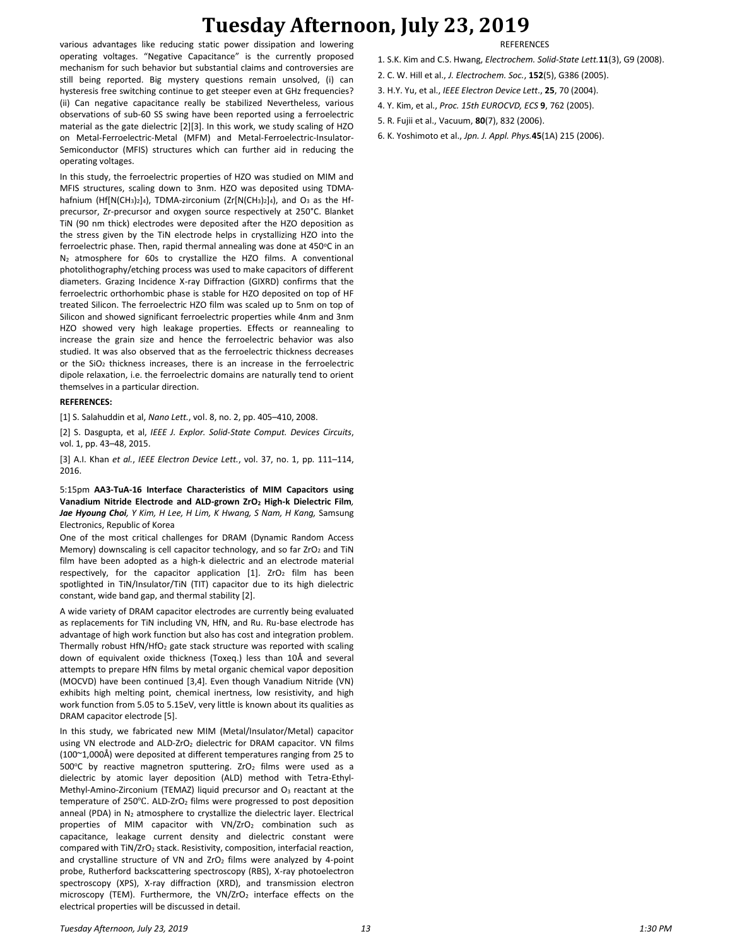various advantages like reducing static power dissipation and lowering operating voltages. "Negative Capacitance" is the currently proposed mechanism for such behavior but substantial claims and controversies are still being reported. Big mystery questions remain unsolved, (i) can hysteresis free switching continue to get steeper even at GHz frequencies? (ii) Can negative capacitance really be stabilized Nevertheless, various observations of sub-60 SS swing have been reported using a ferroelectric material as the gate dielectric [2][3]. In this work, we study scaling of HZO on Metal-Ferroelectric-Metal (MFM) and Metal-Ferroelectric-Insulator-Semiconductor (MFIS) structures which can further aid in reducing the operating voltages.

In this study, the ferroelectric properties of HZO was studied on MIM and MFIS structures, scaling down to 3nm. HZO was deposited using TDMAhafnium (Hf[N(CH<sub>3</sub>)<sub>2</sub>]<sub>4</sub>), TDMA-zirconium (Zr[N(CH<sub>3</sub>)<sub>2</sub>]<sub>4</sub>), and O<sub>3</sub> as the Hfprecursor, Zr-precursor and oxygen source respectively at 250°C. Blanket TiN (90 nm thick) electrodes were deposited after the HZO deposition as the stress given by the TiN electrode helps in crystallizing HZO into the ferroelectric phase. Then, rapid thermal annealing was done at  $450^{\circ}$ C in an N<sup>2</sup> atmosphere for 60s to crystallize the HZO films. A conventional photolithography/etching process was used to make capacitors of different diameters. Grazing Incidence X-ray Diffraction (GIXRD) confirms that the ferroelectric orthorhombic phase is stable for HZO deposited on top of HF treated Silicon. The ferroelectric HZO film was scaled up to 5nm on top of Silicon and showed significant ferroelectric properties while 4nm and 3nm HZO showed very high leakage properties. Effects or reannealing to increase the grain size and hence the ferroelectric behavior was also studied. It was also observed that as the ferroelectric thickness decreases or the  $SiO<sub>2</sub>$  thickness increases, there is an increase in the ferroelectric dipole relaxation, i.e. the ferroelectric domains are naturally tend to orient themselves in a particular direction.

#### **REFERENCES:**

[1] S. Salahuddin et al, *Nano Lett.*, vol. 8, no. 2, pp. 405–410, 2008.

[2] S. Dasgupta, et al, *IEEE J. Explor. Solid-State Comput. Devices Circuits*, vol. 1, pp. 43–48, 2015.

[3] A.I. Khan *et al.*, *IEEE Electron Device Lett.*, vol. 37, no. 1, pp. 111–114, 2016.

5:15pm **AA3-TuA-16 Interface Characteristics of MIM Capacitors using Vanadium Nitride Electrode and ALD-grown ZrO<sup>2</sup> High-k Dielectric Film***, Jae Hyoung Choi, Y Kim, H Lee, H Lim, K Hwang, S Nam, H Kang,* Samsung Electronics, Republic of Korea

One of the most critical challenges for DRAM (Dynamic Random Access Memory) downscaling is cell capacitor technology, and so far  $ZrO<sub>2</sub>$  and TiN film have been adopted as a high-k dielectric and an electrode material respectively, for the capacitor application  $[1]$ . ZrO<sub>2</sub> film has been spotlighted in TiN/Insulator/TiN (TIT) capacitor due to its high dielectric constant, wide band gap, and thermal stability [2].

A wide variety of DRAM capacitor electrodes are currently being evaluated as replacements for TiN including VN, HfN, and Ru. Ru-base electrode has advantage of high work function but also has cost and integration problem. Thermally robust HfN/HfO<sup>2</sup> gate stack structure was reported with scaling down of equivalent oxide thickness (Toxeq.) less than 10Å and several attempts to prepare HfN films by metal organic chemical vapor deposition (MOCVD) have been continued [3,4]. Even though Vanadium Nitride (VN) exhibits high melting point, chemical inertness, low resistivity, and high work function from 5.05 to 5.15eV, very little is known about its qualities as DRAM capacitor electrode [5].

In this study, we fabricated new MIM (Metal/Insulator/Metal) capacitor using VN electrode and ALD-ZrO<sub>2</sub> dielectric for DRAM capacitor. VN films (100~1,000Å) were deposited at different temperatures ranging from 25 to 500 $\degree$ C by reactive magnetron sputtering. ZrO<sub>2</sub> films were used as a dielectric by atomic layer deposition (ALD) method with Tetra-Ethyl-Methyl-Amino-Zirconium (TEMAZ) liquid precursor and O3 reactant at the temperature of 250 $°C$ . ALD-ZrO<sub>2</sub> films were progressed to post deposition anneal (PDA) in  $N_2$  atmosphere to crystallize the dielectric layer. Electrical properties of MIM capacitor with  $VN/ZrO<sub>2</sub>$  combination such as capacitance, leakage current density and dielectric constant were compared with TiN/ZrO<sub>2</sub> stack. Resistivity, composition, interfacial reaction, and crystalline structure of VN and  $ZrO<sub>2</sub>$  films were analyzed by 4-point probe, Rutherford backscattering spectroscopy (RBS), X-ray photoelectron spectroscopy (XPS), X-ray diffraction (XRD), and transmission electron microscopy (TEM). Furthermore, the VN/ZrO<sub>2</sub> interface effects on the electrical properties will be discussed in detail.

#### **REFERENCES**

- 1. S.K. Kim and C.S. Hwang, *Electrochem. Solid-State Lett.***11**(3), G9 (2008).
- 2. C. W. Hill et al., *J. Electrochem. Soc.*, **152**(5), G386 (2005).
- 3. H.Y. Yu, et al., *IEEE Electron Device Lett*., **25**, 70 (2004).
- 4. Y. Kim, et al., *Proc. 15th EUROCVD, ECS* **9**, 762 (2005).
- 5. R. Fujii et al., Vacuum, **80**(7), 832 (2006).
- 6. K. Yoshimoto et al., *Jpn. J. Appl. Phys.***45**(1A) 215 (2006).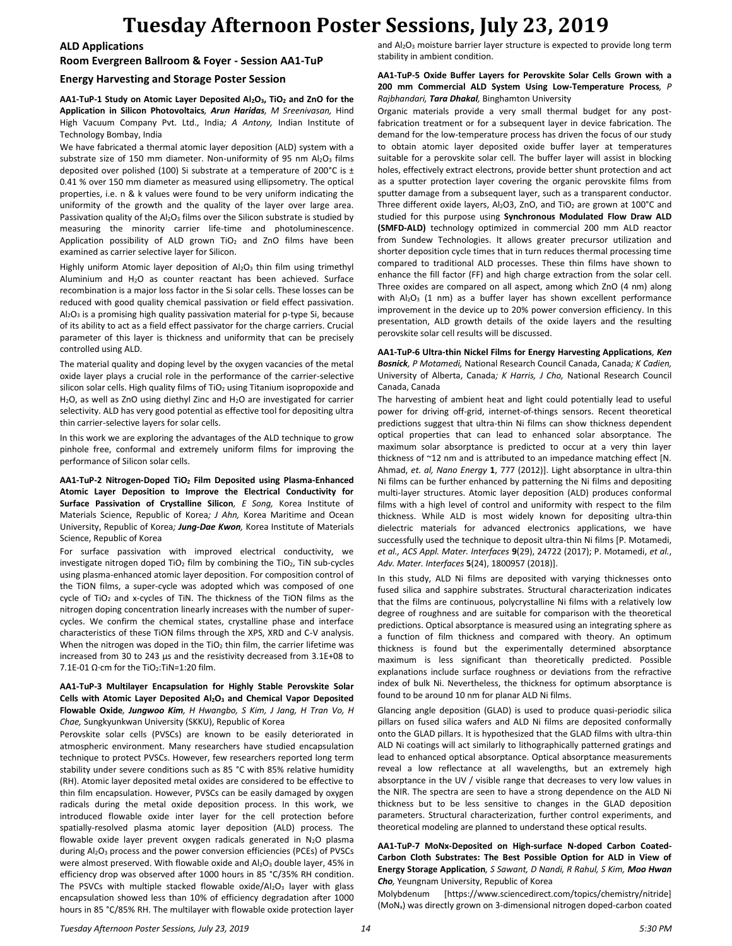**ALD Applications**

**Room Evergreen Ballroom & Foyer - Session AA1-TuP**

### **Energy Harvesting and Storage Poster Session**

**AA1-TuP-1 Study on Atomic Layer Deposited Al2O3, TiO<sup>2</sup> and ZnO for the Application in Silicon Photovoltaics***, Arun Haridas, M Sreenivasan,* Hind High Vacuum Company Pvt. Ltd., India*; A Antony,* Indian Institute of Technology Bombay, India

We have fabricated a thermal atomic layer deposition (ALD) system with a substrate size of 150 mm diameter. Non-uniformity of 95 nm Al2O3 films deposited over polished (100) Si substrate at a temperature of 200 $^{\circ}$ C is  $\pm$ 0.41 % over 150 mm diameter as measured using ellipsometry. The optical properties, i.e. n & k values were found to be very uniform indicating the uniformity of the growth and the quality of the layer over large area. Passivation quality of the  $Al_2O_3$  films over the Silicon substrate is studied by measuring the minority carrier life-time and photoluminescence. Application possibility of ALD grown TiO<sub>2</sub> and ZnO films have been examined as carrier selective layer for Silicon.

Highly uniform Atomic layer deposition of Al<sub>2</sub>O<sub>3</sub> thin film using trimethyl Aluminium and  $H_2O$  as counter reactant has been achieved. Surface recombination is a major loss factor in the Si solar cells. These losses can be reduced with good quality chemical passivation or field effect passivation.  $Al_2O_3$  is a promising high quality passivation material for p-type Si, because of its ability to act as a field effect passivator for the charge carriers. Crucial parameter of this layer is thickness and uniformity that can be precisely controlled using ALD.

The material quality and doping level by the oxygen vacancies of the metal oxide layer plays a crucial role in the performance of the carrier-selective silicon solar cells. High quality films of TiO<sub>2</sub> using Titanium isopropoxide and H<sub>2</sub>O, as well as ZnO using diethyl Zinc and H<sub>2</sub>O are investigated for carrier selectivity. ALD has very good potential as effective tool for depositing ultra thin carrier-selective layers for solar cells.

In this work we are exploring the advantages of the ALD technique to grow pinhole free, conformal and extremely uniform films for improving the performance of Silicon solar cells.

**AA1-TuP-2 Nitrogen-Doped TiO<sup>2</sup> Film Deposited using Plasma-Enhanced Atomic Layer Deposition to Improve the Electrical Conductivity for Surface Passivation of Crystalline Silicon***, E Song,* Korea Institute of Materials Science, Republic of Korea*; J Ahn,* Korea Maritime and Ocean University, Republic of Korea*; Jung-Dae Kwon,* Korea Institute of Materials Science, Republic of Korea

For surface passivation with improved electrical conductivity, we investigate nitrogen doped TiO<sub>2</sub> film by combining the TiO<sub>2</sub>, TiN sub-cycles using plasma-enhanced atomic layer deposition. For composition control of the TiON films, a super-cycle was adopted which was composed of one cycle of TiO<sub>2</sub> and x-cycles of TiN. The thickness of the TiON films as the nitrogen doping concentration linearly increases with the number of supercycles. We confirm the chemical states, crystalline phase and interface characteristics of these TiON films through the XPS, XRD and C-V analysis. When the nitrogen was doped in the TiO<sub>2</sub> thin film, the carrier lifetime was increased from 30 to 243 μs and the resistivity decreased from 3.1E+08 to 7.1E-01 Ω·cm for the TiO<sub>2</sub>:TiN=1:20 film.

#### **AA1-TuP-3 Multilayer Encapsulation for Highly Stable Perovskite Solar Cells with Atomic Layer Deposited Al2O<sup>3</sup> and Chemical Vapor Deposited Flowable Oxide***, Jungwoo Kim, H Hwangbo, S Kim, J Jang, H Tran Vo, H Chae,* Sungkyunkwan University (SKKU), Republic of Korea

Perovskite solar cells (PVSCs) are known to be easily deteriorated in atmospheric environment. Many researchers have studied encapsulation technique to protect PVSCs. However, few researchers reported long term stability under severe conditions such as 85 °C with 85% relative humidity (RH). Atomic layer deposited metal oxides are considered to be effective to thin film encapsulation. However, PVSCs can be easily damaged by oxygen radicals during the metal oxide deposition process. In this work, we introduced flowable oxide inter layer for the cell protection before spatially-resolved plasma atomic layer deposition (ALD) process. The flowable oxide layer prevent oxygen radicals generated in  $N_2O$  plasma during Al<sub>2</sub>O<sub>3</sub> process and the power conversion efficiencies (PCEs) of PVSCs were almost preserved. With flowable oxide and Al<sub>2</sub>O<sub>3</sub> double layer, 45% in efficiency drop was observed after 1000 hours in 85 °C/35% RH condition. The PSVCs with multiple stacked flowable oxide/ $Al_2O_3$  layer with glass encapsulation showed less than 10% of efficiency degradation after 1000 hours in 85 °C/85% RH. The multilayer with flowable oxide protection layer

and Al<sub>2</sub>O<sub>3</sub> moisture barrier layer structure is expected to provide long term stability in ambient condition.

### **AA1-TuP-5 Oxide Buffer Layers for Perovskite Solar Cells Grown with a 200 mm Commercial ALD System Using Low-Temperature Process***, P Rajbhandari, Tara Dhakal,* Binghamton University

Organic materials provide a very small thermal budget for any postfabrication treatment or for a subsequent layer in device fabrication. The demand for the low-temperature process has driven the focus of our study to obtain atomic layer deposited oxide buffer layer at temperatures suitable for a perovskite solar cell. The buffer layer will assist in blocking holes, effectively extract electrons, provide better shunt protection and act as a sputter protection layer covering the organic perovskite films from sputter damage from a subsequent layer, such as a transparent conductor. Three different oxide layers, Al<sub>2</sub>O3, ZnO, and TiO<sub>2</sub> are grown at 100°C and studied for this purpose using **Synchronous Modulated Flow Draw ALD (SMFD-ALD)** technology optimized in commercial 200 mm ALD reactor from Sundew Technologies. It allows greater precursor utilization and shorter deposition cycle times that in turn reduces thermal processing time compared to traditional ALD processes. These thin films have shown to enhance the fill factor (FF) and high charge extraction from the solar cell. Three oxides are compared on all aspect, among which ZnO (4 nm) along with  $Al_2O_3$  (1 nm) as a buffer layer has shown excellent performance improvement in the device up to 20% power conversion efficiency. In this presentation, ALD growth details of the oxide layers and the resulting perovskite solar cell results will be discussed.

**AA1-TuP-6 Ultra-thin Nickel Films for Energy Harvesting Applications***, Ken Bosnick, P Motamedi,* National Research Council Canada, Canada*; K Cadien,*  University of Alberta, Canada*; K Harris, J Cho,* National Research Council Canada, Canada

The harvesting of ambient heat and light could potentially lead to useful power for driving off-grid, internet-of-things sensors. Recent theoretical predictions suggest that ultra-thin Ni films can show thickness dependent optical properties that can lead to enhanced solar absorptance. The maximum solar absorptance is predicted to occur at a very thin layer thickness of ~12 nm and is attributed to an impedance matching effect [N. Ahmad, *et. al, Nano Energy* **1**, 777 (2012)]. Light absorptance in ultra-thin Ni films can be further enhanced by patterning the Ni films and depositing multi-layer structures. Atomic layer deposition (ALD) produces conformal films with a high level of control and uniformity with respect to the film thickness. While ALD is most widely known for depositing ultra-thin dielectric materials for advanced electronics applications, we have successfully used the technique to deposit ultra-thin Ni films [P. Motamedi, *et al., ACS Appl. Mater. Interfaces* **9**(29), 24722 (2017); P. Motamedi, *et al.*, *Adv. Mater. Interfaces* **5**(24), 1800957 (2018)].

In this study, ALD Ni films are deposited with varying thicknesses onto fused silica and sapphire substrates. Structural characterization indicates that the films are continuous, polycrystalline Ni films with a relatively low degree of roughness and are suitable for comparison with the theoretical predictions. Optical absorptance is measured using an integrating sphere as a function of film thickness and compared with theory. An optimum thickness is found but the experimentally determined absorptance maximum is less significant than theoretically predicted. Possible explanations include surface roughness or deviations from the refractive index of bulk Ni. Nevertheless, the thickness for optimum absorptance is found to be around 10 nm for planar ALD Ni films.

Glancing angle deposition (GLAD) is used to produce quasi-periodic silica pillars on fused silica wafers and ALD Ni films are deposited conformally onto the GLAD pillars. It is hypothesized that the GLAD films with ultra-thin ALD Ni coatings will act similarly to lithographically patterned gratings and lead to enhanced optical absorptance. Optical absorptance measurements reveal a low reflectance at all wavelengths, but an extremely high absorptance in the UV / visible range that decreases to very low values in the NIR. The spectra are seen to have a strong dependence on the ALD Ni thickness but to be less sensitive to changes in the GLAD deposition parameters. Structural characterization, further control experiments, and theoretical modeling are planned to understand these optical results.

**AA1-TuP-7 MoNx-Deposited on High-surface N-doped Carbon Coated-Carbon Cloth Substrates: The Best Possible Option for ALD in View of Energy Storage Application***, S Sawant, D Nandi, R Rahul, S Kim, Moo Hwan Cho,* Yeungnam University, Republic of Korea

Molybdenum [https://www.sciencedirect.com/topics/chemistry/nitride] (MoNx) was directly grown on 3-dimensional nitrogen doped-carbon coated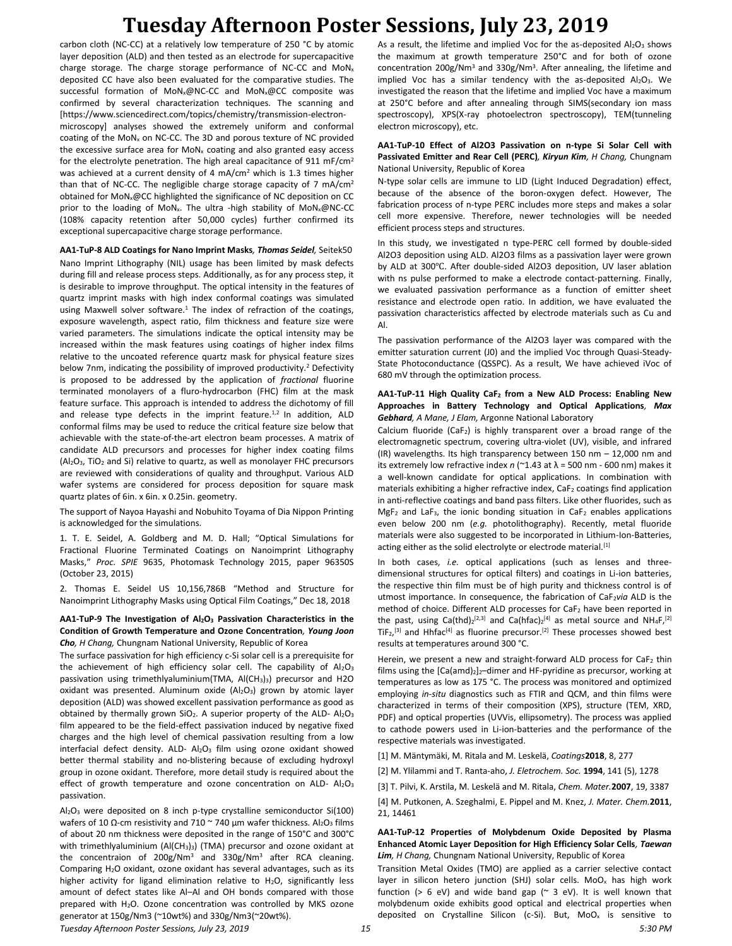carbon cloth (NC-CC) at a relatively low temperature of 250 °C by atomic layer deposition (ALD) and then tested as an electrode for supercapacitive charge storage. The charge storage performance of NC-CC and MoN<sup>x</sup> deposited CC have also been evaluated for the comparative studies. The successful formation of MoNx@NC-CC and MoNx@CC composite was confirmed by several characterization techniques. The scanning and [https://www.sciencedirect.com/topics/chemistry/transmission-electronmicroscopy] analyses showed the extremely uniform and conformal coating of the MoN<sub>x</sub> on NC-CC. The 3D and porous texture of NC provided the excessive surface area for  $MoN<sub>x</sub>$  coating and also granted easy access for the electrolyte penetration. The high areal capacitance of 911 mF/cm<sup>2</sup> was achieved at a current density of 4 mA/cm<sup>2</sup> which is 1.3 times higher than that of NC-CC. The negligible charge storage capacity of 7 mA/cm<sup>2</sup> obtained for MoN<sub>x</sub>@CC highlighted the significance of NC deposition on CC prior to the loading of MoN<sub>x</sub>. The ultra -high stability of MoN<sub>x</sub>@NC-CC (108% capacity retention after 50,000 cycles) further confirmed its exceptional supercapacitive charge storage performance.

#### **AA1-TuP-8 ALD Coatings for Nano Imprint Masks***, Thomas Seidel,* Seitek50

Nano Imprint Lithography (NIL) usage has been limited by mask defects during fill and release process steps. Additionally, as for any process step, it is desirable to improve throughput. The optical intensity in the features of quartz imprint masks with high index conformal coatings was simulated using Maxwell solver software.<sup>1</sup> The index of refraction of the coatings, exposure wavelength, aspect ratio, film thickness and feature size were varied parameters. The simulations indicate the optical intensity may be increased within the mask features using coatings of higher index films relative to the uncoated reference quartz mask for physical feature sizes below 7nm, indicating the possibility of improved productivity.<sup>2</sup> Defectivity is proposed to be addressed by the application of *fractional* fluorine terminated monolayers of a fluro-hydrocarbon (FHC) film at the mask feature surface. This approach is intended to address the dichotomy of fill and release type defects in the imprint feature. $1,2$  In addition, ALD conformal films may be used to reduce the critical feature size below that achievable with the state-of-the-art electron beam processes. A matrix of candidate ALD precursors and processes for higher index coating films  $(AI<sub>2</sub>O<sub>3</sub>, TiO<sub>2</sub>$  and Si) relative to quartz, as well as monolayer FHC precursors are reviewed with considerations of quality and throughput. Various ALD wafer systems are considered for process deposition for square mask quartz plates of 6in. x 6in. x 0.25in. geometry.

The support of Nayoa Hayashi and Nobuhito Toyama of Dia Nippon Printing is acknowledged for the simulations.

1. T. E. Seidel, A. Goldberg and M. D. Hall; "Optical Simulations for Fractional Fluorine Terminated Coatings on Nanoimprint Lithography Masks," *Proc. SPIE* 9635, Photomask Technology 2015, paper 96350S (October 23, 2015)

2. Thomas E. Seidel US 10,156,786B "Method and Structure for Nanoimprint Lithography Masks using Optical Film Coatings," Dec 18, 2018

#### **AA1-TuP-9 The Investigation of Al2O<sup>3</sup> Passivation Characteristics in the Condition of Growth Temperature and Ozone Concentration***, Young Joon Cho, H Chang,* Chungnam National University, Republic of Korea

The surface passivation for high efficiency c-Si solar cell is a prerequisite for the achievement of high efficiency solar cell. The capability of  $Al_2O_3$ passivation using trimethlyaluminium(TMA,  $AI(CH<sub>3</sub>)<sub>3</sub>$ ) precursor and H2O oxidant was presented. Aluminum oxide  $(A|_2O_3)$  grown by atomic layer deposition (ALD) was showed excellent passivation performance as good as obtained by thermally grown  $SiO<sub>2</sub>$ . A superior property of the ALD-  $Al<sub>2</sub>O<sub>3</sub>$ film appeared to be the field-effect passivation induced by negative fixed charges and the high level of chemical passivation resulting from a low interfacial defect density. ALD- Al<sub>2</sub>O<sub>3</sub> film using ozone oxidant showed better thermal stability and no-blistering because of excluding hydroxyl group in ozone oxidant. Therefore, more detail study is required about the effect of growth temperature and ozone concentration on ALD- Al2O3 passivation.

Al2O<sup>3</sup> were deposited on 8 inch p-type crystalline semiconductor Si(100) wafers of 10 Ω-cm resistivity and 710  $\sim$  740 μm wafer thickness. Al<sub>2</sub>O<sub>3</sub> films of about 20 nm thickness were deposited in the range of 150°C and 300°C with trimethlyaluminium (Al(CH<sub>3</sub>)<sub>3</sub>) (TMA) precursor and ozone oxidant at the concentraion of  $200g/Nm<sup>3</sup>$  and  $330g/Nm<sup>3</sup>$  after RCA cleaning. Comparing H2O oxidant, ozone oxidant has several advantages, such as its higher activity for ligand elimination relative to  $H_2O$ , significantly less amount of defect states like Al–Al and OH bonds compared with those prepared with H<sub>2</sub>O. Ozone concentration was controlled by MKS ozone generator at 150g/Nm3 (~10wt%) and 330g/Nm3(~20wt%).

As a result, the lifetime and implied Voc for the as-deposited  $Al_2O_3$  shows the maximum at growth temperature 250°C and for both of ozone concentration 200g/Nm<sup>3</sup> and 330g/Nm<sup>3</sup>. After annealing, the lifetime and implied Voc has a similar tendency with the as-deposited  $Al_2O_3$ . We investigated the reason that the lifetime and implied Voc have a maximum at 250°C before and after annealing through SIMS(secondary ion mass spectroscopy), XPS(X-ray photoelectron spectroscopy), TEM(tunneling electron microscopy), etc.

#### **AA1-TuP-10 Effect of Al2O3 Passivation on n-type Si Solar Cell with Passivated Emitter and Rear Cell (PERC)***, Kiryun Kim, H Chang,* Chungnam National University, Republic of Korea

N-type solar cells are immune to LID (Light Induced Degradation) effect, because of the absence of the boron-oxygen defect. However, The fabrication process of n-type PERC includes more steps and makes a solar cell more expensive. Therefore, newer technologies will be needed efficient process steps and structures.

In this study, we investigated n type-PERC cell formed by double-sided Al2O3 deposition using ALD. Al2O3 films as a passivation layer were grown by ALD at 300℃. After double-sided Al2O3 deposition, UV laser ablation with ns pulse performed to make a electrode contact-patterning. Finally, we evaluated passivation performance as a function of emitter sheet resistance and electrode open ratio. In addition, we have evaluated the passivation characteristics affected by electrode materials such as Cu and Al.

The passivation performance of the Al2O3 layer was compared with the emitter saturation current (J0) and the implied Voc through Quasi-Steady-State Photoconductance (QSSPC). As a result, We have achieved iVoc of 680 mV through the optimization process.

### **AA1-TuP-11 High Quality CaF<sup>2</sup> from a New ALD Process: Enabling New Approaches in Battery Technology and Optical Applications***, Max Gebhard, A Mane, J Elam,* Argonne National Laboratory

Calcium fluoride (CaF<sub>2</sub>) is highly transparent over a broad range of the electromagnetic spectrum, covering ultra-violet (UV), visible, and infrared (IR) wavelengths. Its high transparency between 150 nm – 12,000 nm and its extremely low refractive index  $n$  ( $\approx$ 1.43 at  $\lambda$  = 500 nm - 600 nm) makes it a well-known candidate for optical applications. In combination with materials exhibiting a higher refractive index, CaF<sub>2</sub> coatings find application in anti-reflective coatings and band pass filters. Like other fluorides, such as  $MgF<sub>2</sub>$  and LaF<sub>3</sub>, the ionic bonding situation in CaF<sub>2</sub> enables applications even below 200 nm (*e.g.* photolithography). Recently, metal fluoride materials were also suggested to be incorporated in Lithium-Ion-Batteries, acting either as the solid electrolyte or electrode material.<sup>[1]</sup>

In both cases, *i.e.* optical applications (such as lenses and threedimensional structures for optical filters) and coatings in Li-ion batteries, the respective thin film must be of high purity and thickness control is of utmost importance. In consequence, the fabrication of CaF<sub>2</sub>via ALD is the method of choice. Different ALD processes for  $CaF<sub>2</sub>$  have been reported in the past, using Ca(thd)<sub>2</sub><sup>[2,3]</sup> and Ca(hfac)<sub>2</sub><sup>[4]</sup> as metal source and NH<sub>4</sub>F<sub>,</sub><sup>[2]</sup>  $TiF<sub>2</sub>,<sup>[3]</sup>$  and Hhfac<sup>[4]</sup> as fluorine precursor.<sup>[2]</sup> These processes showed best results at temperatures around 300 °C.

Herein, we present a new and straight-forward ALD process for  $CaF<sub>2</sub>$  thin films using the  $[Ca(amd)_2]_2$ -dimer and HF-pyridine as precursor, working at temperatures as low as 175 °C. The process was monitored and optimized employing *in-situ* diagnostics such as FTIR and QCM, and thin films were characterized in terms of their composition (XPS), structure (TEM, XRD, PDF) and optical properties (UVVis, ellipsometry). The process was applied to cathode powers used in Li-ion-batteries and the performance of the respective materials was investigated.

[1] M. Mäntymäki, M. Ritala and M. Leskelä, *Coatings***2018**, 8, 277

[2] M. Ylilammi and T. Ranta-aho, *J. Eletrochem. Soc.* **1994**, 141 (5), 1278

[3] T. Pilvi, K. Arstila, M. Leskelä and M. Ritala, *Chem. Mater.***2007**, 19, 3387

[4] M. Putkonen, A. Szeghalmi, E. Pippel and M. Knez, *J. Mater. Chem.***2011**, 21, 14461

#### **AA1-TuP-12 Properties of Molybdenum Oxide Deposited by Plasma Enhanced Atomic Layer Deposition for High Efficiency Solar Cells***, Taewan Lim, H Chang,* Chungnam National University, Republic of Korea

Transition Metal Oxides (TMO) are applied as a carrier selective contact layer in silicon hetero junction (SHJ) solar cells. MoO<sub>x</sub> has high work function (> 6 eV) and wide band gap ( $\approx$  3 eV). It is well known that molybdenum oxide exhibits good optical and electrical properties when deposited on Crystalline Silicon (c-Si). But, MoO<sub>x</sub> is sensitive to

*Tuesday Afternoon Poster Sessions, July 23, 2019 15 5:30 PM*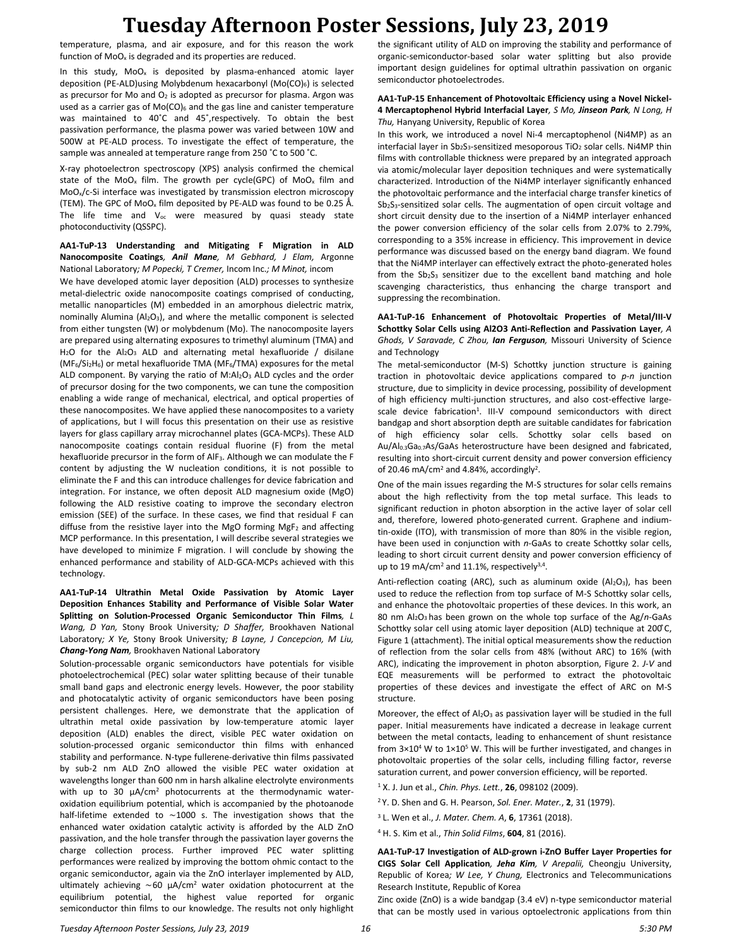temperature, plasma, and air exposure, and for this reason the work function of  $MoO<sub>x</sub>$  is degraded and its properties are reduced.

In this study,  $MoO<sub>x</sub>$  is deposited by plasma-enhanced atomic layer deposition (PE-ALD)using Molybdenum hexacarbonyl (Mo(CO)<sub>6</sub>) is selected as precursor for Mo and  $O<sub>2</sub>$  is adopted as precursor for plasma. Argon was used as a carrier gas of  $Mo(CO)_{6}$  and the gas line and canister temperature was maintained to 40˚C and 45˚,respectively. To obtain the best passivation performance, the plasma power was varied between 10W and 500W at PE-ALD process. To investigate the effect of temperature, the sample was annealed at temperature range from 250 ˚C to 500 ˚C.

X-ray photoelectron spectroscopy (XPS) analysis confirmed the chemical state of the MoO<sub>x</sub> film. The growth per cycle(GPC) of MoO<sub>x</sub> film and MoOx/c-Si interface was investigated by transmission electron microscopy (TEM). The GPC of MoO<sub>x</sub> film deposited by PE-ALD was found to be 0.25 Å. The life time and  $V_{oc}$  were measured by quasi steady state photoconductivity (QSSPC).

**AA1-TuP-13 Understanding and Mitigating F Migration in ALD Nanocomposite Coatings***, Anil Mane, M Gebhard, J Elam,* Argonne National Laboratory*; M Popecki, T Cremer,* Incom Inc.*; M Minot,* incom

We have developed atomic layer deposition (ALD) processes to synthesize metal-dielectric oxide nanocomposite coatings comprised of conducting, metallic nanoparticles (M) embedded in an amorphous dielectric matrix, nominally Alumina (Al<sub>2</sub>O<sub>3</sub>), and where the metallic component is selected from either tungsten (W) or molybdenum (Mo). The nanocomposite layers are prepared using alternating exposures to trimethyl aluminum (TMA) and H<sub>2</sub>O for the Al<sub>2</sub>O<sub>3</sub> ALD and alternating metal hexafluoride / disilane ( $MF<sub>6</sub>/Si<sub>2</sub>H<sub>6</sub>$ ) or metal hexafluoride TMA (MF $<sub>6</sub>/TMA$ ) exposures for the metal</sub> ALD component. By varying the ratio of M:Al<sub>2</sub>O<sub>3</sub> ALD cycles and the order of precursor dosing for the two components, we can tune the composition enabling a wide range of mechanical, electrical, and optical properties of these nanocomposites. We have applied these nanocomposites to a variety of applications, but I will focus this presentation on their use as resistive layers for glass capillary array microchannel plates (GCA-MCPs). These ALD nanocomposite coatings contain residual fluorine (F) from the metal hexafluoride precursor in the form of AlF3. Although we can modulate the F content by adjusting the W nucleation conditions, it is not possible to eliminate the F and this can introduce challenges for device fabrication and integration. For instance, we often deposit ALD magnesium oxide (MgO) following the ALD resistive coating to improve the secondary electron emission (SEE) of the surface. In these cases, we find that residual F can diffuse from the resistive layer into the MgO forming  $MgF_2$  and affecting MCP performance. In this presentation, I will describe several strategies we have developed to minimize F migration. I will conclude by showing the enhanced performance and stability of ALD-GCA-MCPs achieved with this technology.

### **AA1-TuP-14 Ultrathin Metal Oxide Passivation by Atomic Layer Deposition Enhances Stability and Performance of Visible Solar Water Splitting on Solution-Processed Organic Semiconductor Thin Films***, L Wang, D Yan,* Stony Brook University*; D Shaffer,* Brookhaven National Laboratory*; X Ye,* Stony Brook University*; B Layne, J Concepcion, M Liu, Chang-Yong Nam,* Brookhaven National Laboratory

Solution-processable organic semiconductors have potentials for visible photoelectrochemical (PEC) solar water splitting because of their tunable small band gaps and electronic energy levels. However, the poor stability and photocatalytic activity of organic semiconductors have been posing persistent challenges. Here, we demonstrate that the application of ultrathin metal oxide passivation by low-temperature atomic layer deposition (ALD) enables the direct, visible PEC water oxidation on solution-processed organic semiconductor thin films with enhanced stability and performance. N-type fullerene-derivative thin films passivated by sub-2 nm ALD ZnO allowed the visible PEC water oxidation at wavelengths longer than 600 nm in harsh alkaline electrolyte environments with up to 30 μA/cm<sup>2</sup> photocurrents at the thermodynamic wateroxidation equilibrium potential, which is accompanied by the photoanode half-lifetime extended to ∼1000 s. The investigation shows that the enhanced water oxidation catalytic activity is afforded by the ALD ZnO passivation, and the hole transfer through the passivation layer governs the charge collection process. Further improved PEC water splitting performances were realized by improving the bottom ohmic contact to the organic semiconductor, again via the ZnO interlayer implemented by ALD, ultimately achieving ∼60 μA/cm<sup>2</sup> water oxidation photocurrent at the equilibrium potential, the highest value reported for organic semiconductor thin films to our knowledge. The results not only highlight the significant utility of ALD on improving the stability and performance of organic-semiconductor-based solar water splitting but also provide important design guidelines for optimal ultrathin passivation on organic semiconductor photoelectrodes.

### **AA1-TuP-15 Enhancement of Photovoltaic Efficiency using a Novel Nickel-4 Mercaptophenol Hybrid Interfacial Layer***, S Mo, Jinseon Park, N Long, H Thu,* Hanyang University, Republic of Korea

In this work, we introduced a novel Ni-4 mercaptophenol (Ni4MP) as an interfacial layer in  $Sb_2S_3$ -sensitized mesoporous TiO<sub>2</sub> solar cells. Ni4MP thin films with controllable thickness were prepared by an integrated approach via atomic/molecular layer deposition techniques and were systematically characterized. Introduction of the Ni4MP interlayer significantly enhanced the photovoltaic performance and the interfacial charge transfer kinetics of Sb<sub>2</sub>S<sub>3</sub>-sensitized solar cells. The augmentation of open circuit voltage and short circuit density due to the insertion of a Ni4MP interlayer enhanced the power conversion efficiency of the solar cells from 2.07% to 2.79%, corresponding to a 35% increase in efficiency. This improvement in device performance was discussed based on the energy band diagram. We found that the Ni4MP interlayer can effectively extract the photo-generated holes from the  $Sb_2S_3$  sensitizer due to the excellent band matching and hole scavenging characteristics, thus enhancing the charge transport and suppressing the recombination.

### **AA1-TuP-16 Enhancement of Photovoltaic Properties of Metal/III-V Schottky Solar Cells using Al2O3 Anti-Reflection and Passivation Layer***, A Ghods, V Saravade, C Zhou, Ian Ferguson,* Missouri University of Science and Technology

The metal-semiconductor (M-S) Schottky junction structure is gaining traction in photovoltaic device applications compared to *p*-*n* junction structure, due to simplicity in device processing, possibility of development of high efficiency multi-junction structures, and also cost-effective largescale device fabrication<sup>1</sup>. III-V compound semiconductors with direct bandgap and short absorption depth are suitable candidates for fabrication of high efficiency solar cells. Schottky solar cells based on Au/Al0.3Ga0.7As/GaAs heterostructure have been designed and fabricated, resulting into short-circuit current density and power conversion efficiency of 20.46 mA/cm<sup>2</sup> and 4.84%, accordingly<sup>2</sup>.

One of the main issues regarding the M-S structures for solar cells remains about the high reflectivity from the top metal surface. This leads to significant reduction in photon absorption in the active layer of solar cell and, therefore, lowered photo-generated current. Graphene and indiumtin-oxide (ITO), with transmission of more than 80% in the visible region, have been used in conjunction with *n*-GaAs to create Schottky solar cells, leading to short circuit current density and power conversion efficiency of up to 19 mA/cm<sup>2</sup> and 11.1%, respectively<sup>3,4</sup>.

Anti-reflection coating (ARC), such as aluminum oxide (Al<sub>2</sub>O<sub>3</sub>), has been used to reduce the reflection from top surface of M-S Schottky solar cells, and enhance the photovoltaic properties of these devices. In this work, an 80 nm Al2O3 has been grown on the whole top surface of the Ag/*n*-GaAs Schottky solar cell using atomic layer deposition (ALD) technique at 200°C, Figure 1 (attachment). The initial optical measurements show the reduction of reflection from the solar cells from 48% (without ARC) to 16% (with ARC), indicating the improvement in photon absorption, Figure 2. *J*-*V* and EQE measurements will be performed to extract the photovoltaic properties of these devices and investigate the effect of ARC on M-S structure.

Moreover, the effect of  $Al_2O_3$  as passivation layer will be studied in the full paper. Initial measurements have indicated a decrease in leakage current between the metal contacts, leading to enhancement of shunt resistance from  $3\times10^4$  W to  $1\times10^5$  W. This will be further investigated, and changes in photovoltaic properties of the solar cells, including filling factor, reverse saturation current, and power conversion efficiency, will be reported.

- <sup>1</sup> X. J. Jun et al., *Chin. Phys. Lett.*, **26**, 098102 (2009).
- <sup>2</sup>Y. D. Shen and G. H. Pearson, *Sol. Ener. Mater.*, **2**, 31 (1979).
- <sup>3</sup> L. Wen et al., *J. Mater. Chem. A*, **6**, 17361 (2018).
- <sup>4</sup> H. S. Kim et al., *Thin Solid Films*, **604**, 81 (2016).

**AA1-TuP-17 Investigation of ALD-grown i-ZnO Buffer Layer Properties for CIGS Solar Cell Application***, Jeha Kim, V Arepalii,* Cheongju University, Republic of Korea*; W Lee, Y Chung,* Electronics and Telecommunications Research Institute, Republic of Korea

Zinc oxide (ZnO) is a wide bandgap (3.4 eV) n-type semiconductor material that can be mostly used in various optoelectronic applications from thin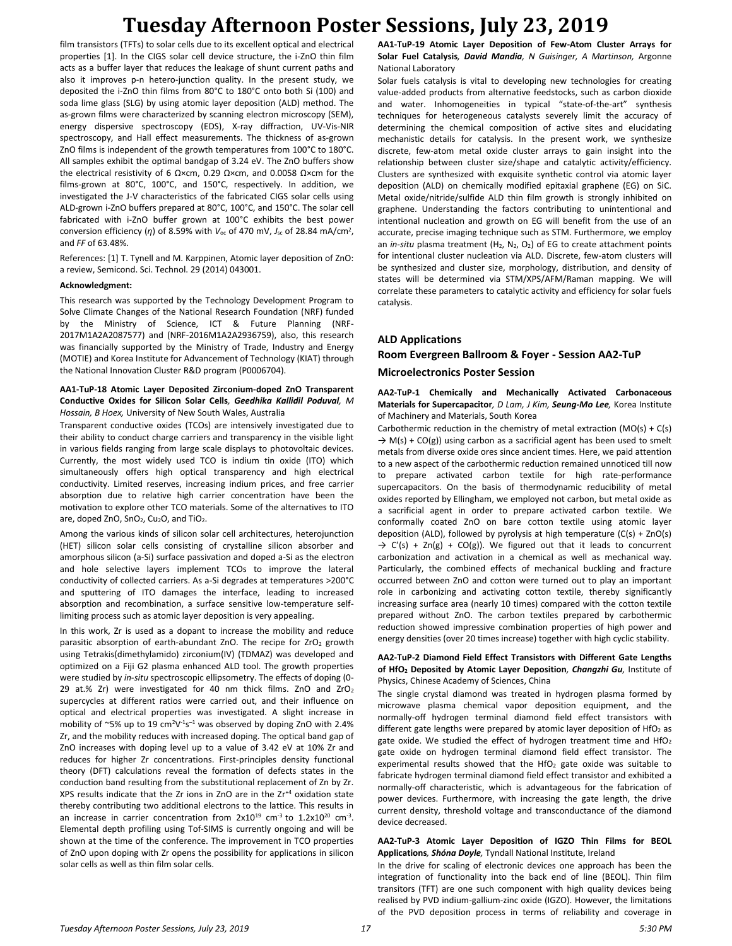film transistors (TFTs) to solar cells due to its excellent optical and electrical properties [1]. In the CIGS solar cell device structure, the i-ZnO thin film acts as a buffer layer that reduces the leakage of shunt current paths and also it improves p-n hetero-junction quality. In the present study, we deposited the i-ZnO thin films from 80°C to 180°C onto both Si (100) and soda lime glass (SLG) by using atomic layer deposition (ALD) method. The as-grown films were characterized by scanning electron microscopy (SEM), energy dispersive spectroscopy (EDS), X-ray diffraction, UV-Vis-NIR spectroscopy, and Hall effect measurements. The thickness of as-grown ZnO films is independent of the growth temperatures from 100°C to 180°C. All samples exhibit the optimal bandgap of 3.24 eV. The ZnO buffers show the electrical resistivity of 6 Ω×cm, 0.29 Ω×cm, and 0.0058 Ω×cm for the films-grown at 80°C, 100°C, and 150°C, respectively. In addition, we investigated the J-V characteristics of the fabricated CIGS solar cells using ALD-grown i-ZnO buffers prepared at 80°C, 100°C, and 150°C. The solar cell fabricated with i-ZnO buffer grown at 100°C exhibits the best power conversion efficiency  $(\eta)$  of 8.59% with  $V_{\text{oc}}$  of 470 mV,  $J_{\text{sc}}$  of 28.84 mA/cm<sup>2</sup>, and *FF* of 63.48%.

References: [1] T. Tynell and M. Karppinen, Atomic layer deposition of ZnO: a review, Semicond. Sci. Technol. 29 (2014) 043001.

#### **Acknowledgment:**

This research was supported by the Technology Development Program to Solve Climate Changes of the National Research Foundation (NRF) funded by the Ministry of Science, ICT & Future Planning (NRF-2017M1A2A2087577) and (NRF-2016M1A2A2936759), also, this research was financially supported by the Ministry of Trade, Industry and Energy (MOTIE) and Korea Institute for Advancement of Technology (KIAT) through the National Innovation Cluster R&D program (P0006704).

#### **AA1-TuP-18 Atomic Layer Deposited Zirconium-doped ZnO Transparent Conductive Oxides for Silicon Solar Cells***, Geedhika Kallidil Poduval, M Hossain, B Hoex,* University of New South Wales, Australia

Transparent conductive oxides (TCOs) are intensively investigated due to their ability to conduct charge carriers and transparency in the visible light in various fields ranging from large scale displays to photovoltaic devices. Currently, the most widely used TCO is indium tin oxide (ITO) which simultaneously offers high optical transparency and high electrical conductivity. Limited reserves, increasing indium prices, and free carrier absorption due to relative high carrier concentration have been the motivation to explore other TCO materials. Some of the alternatives to ITO are, doped ZnO, SnO<sub>2</sub>, Cu<sub>2</sub>O, and TiO<sub>2</sub>.

Among the various kinds of silicon solar cell architectures, heterojunction (HET) silicon solar cells consisting of crystalline silicon absorber and amorphous silicon (a-Si) surface passivation and doped a-Si as the electron and hole selective layers implement TCOs to improve the lateral conductivity of collected carriers. As a-Si degrades at temperatures >200°C and sputtering of ITO damages the interface, leading to increased absorption and recombination, a surface sensitive low-temperature selflimiting process such as atomic layer deposition is very appealing.

In this work, Zr is used as a dopant to increase the mobility and reduce parasitic absorption of earth-abundant ZnO. The recipe for  $ZrO<sub>2</sub>$  growth using Tetrakis(dimethylamido) zirconium(IV) (TDMAZ) was developed and optimized on a Fiji G2 plasma enhanced ALD tool. The growth properties were studied by *in-situ* spectroscopic ellipsometry. The effects of doping (0- 29 at.% Zr) were investigated for 40 nm thick films. ZnO and ZrO<sup>2</sup> supercycles at different ratios were carried out, and their influence on optical and electrical properties was investigated. A slight increase in mobility of  $\sim$ 5% up to 19 cm<sup>2</sup>V<sup>-1</sup>s<sup>-1</sup> was observed by doping ZnO with 2.4% Zr, and the mobility reduces with increased doping. The optical band gap of ZnO increases with doping level up to a value of 3.42 eV at 10% Zr and reduces for higher Zr concentrations. First-principles density functional theory (DFT) calculations reveal the formation of defects states in the conduction band resulting from the substitutional replacement of Zn by Zr. XPS results indicate that the Zr ions in ZnO are in the Zr+4 oxidation state thereby contributing two additional electrons to the lattice. This results in an increase in carrier concentration from  $2x10^{19}$  cm<sup>-3</sup> to  $1.2x10^{20}$  cm<sup>-3</sup>. Elemental depth profiling using Tof-SIMS is currently ongoing and will be shown at the time of the conference. The improvement in TCO properties of ZnO upon doping with Zr opens the possibility for applications in silicon solar cells as well as thin film solar cells.

**AA1-TuP-19 Atomic Layer Deposition of Few-Atom Cluster Arrays for Solar Fuel Catalysis***, David Mandia, N Guisinger, A Martinson,* Argonne National Laboratory

Solar fuels catalysis is vital to developing new technologies for creating value-added products from alternative feedstocks, such as carbon dioxide and water. Inhomogeneities in typical "state-of-the-art" synthesis techniques for heterogeneous catalysts severely limit the accuracy of determining the chemical composition of active sites and elucidating mechanistic details for catalysis. In the present work, we synthesize discrete, few-atom metal oxide cluster arrays to gain insight into the relationship between cluster size/shape and catalytic activity/efficiency. Clusters are synthesized with exquisite synthetic control via atomic layer deposition (ALD) on chemically modified epitaxial graphene (EG) on SiC. Metal oxide/nitride/sulfide ALD thin film growth is strongly inhibited on graphene. Understanding the factors contributing to unintentional and intentional nucleation and growth on EG will benefit from the use of an accurate, precise imaging technique such as STM. Furthermore, we employ an *in-situ* plasma treatment  $(H_2, N_2, O_2)$  of EG to create attachment points for intentional cluster nucleation via ALD. Discrete, few-atom clusters will be synthesized and cluster size, morphology, distribution, and density of states will be determined via STM/XPS/AFM/Raman mapping. We will correlate these parameters to catalytic activity and efficiency for solar fuels catalysis.

## **ALD Applications Room Evergreen Ballroom & Foyer - Session AA2-TuP**

## **Microelectronics Poster Session**

**AA2-TuP-1 Chemically and Mechanically Activated Carbonaceous Materials for Supercapacitor***, D Lam, J Kim, Seung-Mo Lee,* Korea Institute of Machinery and Materials, South Korea

Carbothermic reduction in the chemistry of metal extraction  $(MO(s) + C(s))$  $\rightarrow$  M(s) + CO(g)) using carbon as a sacrificial agent has been used to smelt metals from diverse oxide ores since ancient times. Here, we paid attention to a new aspect of the carbothermic reduction remained unnoticed till now to prepare activated carbon textile for high rate-performance supercapacitors. On the basis of thermodynamic reducibility of metal oxides reported by Ellingham, we employed not carbon, but metal oxide as a sacrificial agent in order to prepare activated carbon textile. We conformally coated ZnO on bare cotton textile using atomic layer deposition (ALD), followed by pyrolysis at high temperature  $(C(s) + ZnO(s))$  $\rightarrow$  C'(s) + Zn(g) + CO(g)). We figured out that it leads to concurrent carbonization and activation in a chemical as well as mechanical way. Particularly, the combined effects of mechanical buckling and fracture occurred between ZnO and cotton were turned out to play an important role in carbonizing and activating cotton textile, thereby significantly increasing surface area (nearly 10 times) compared with the cotton textile prepared without ZnO. The carbon textiles prepared by carbothermic reduction showed impressive combination properties of high power and energy densities (over 20 times increase) together with high cyclic stability.

#### **AA2-TuP-2 Diamond Field Effect Transistors with Different Gate Lengths of HfO<sup>2</sup> Deposited by Atomic Layer Deposition***, Changzhi Gu,* Institute of Physics, Chinese Academy of Sciences, China

The single crystal diamond was treated in hydrogen plasma formed by microwave plasma chemical vapor deposition equipment, and the normally-off hydrogen terminal diamond field effect transistors with different gate lengths were prepared by atomic layer deposition of  $HfO<sub>2</sub>$  as gate oxide. We studied the effect of hydrogen treatment time and  $HfO<sub>2</sub>$ gate oxide on hydrogen terminal diamond field effect transistor. The experimental results showed that the HfO<sub>2</sub> gate oxide was suitable to fabricate hydrogen terminal diamond field effect transistor and exhibited a normally-off characteristic, which is advantageous for the fabrication of power devices. Furthermore, with increasing the gate length, the drive current density, threshold voltage and transconductance of the diamond device decreased.

#### **AA2-TuP-3 Atomic Layer Deposition of IGZO Thin Films for BEOL Applications***, Shóna Doyle,* Tyndall National Institute, Ireland

In the drive for scaling of electronic devices one approach has been the integration of functionality into the back end of line (BEOL). Thin film transitors (TFT) are one such component with high quality devices being realised by PVD indium-gallium-zinc oxide (IGZO). However, the limitations of the PVD deposition process in terms of reliability and coverage in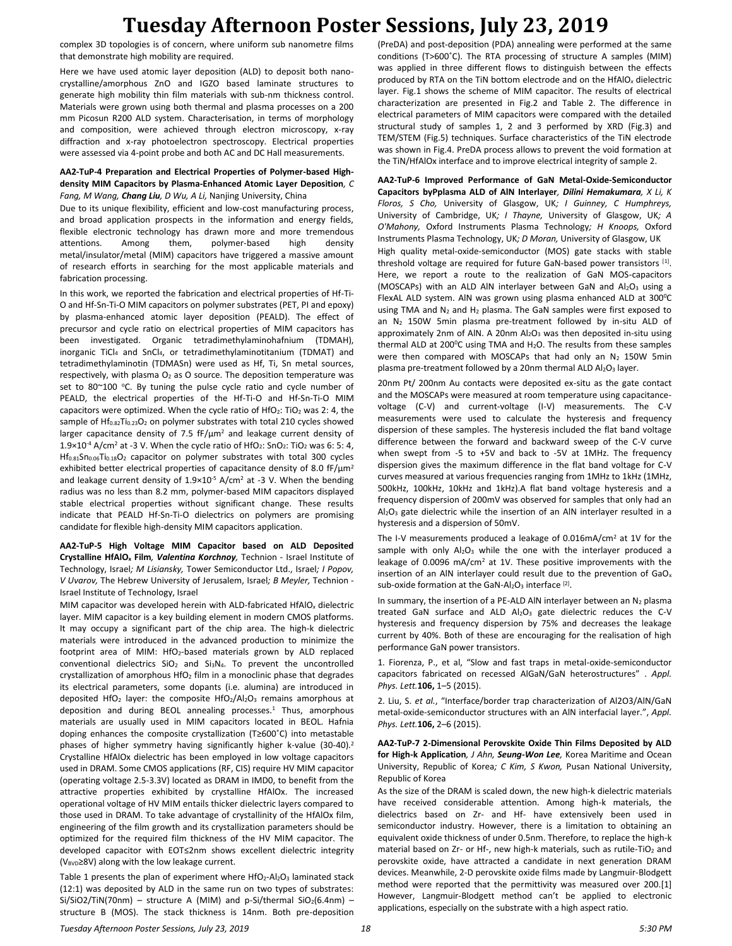complex 3D topologies is of concern, where uniform sub nanometre films that demonstrate high mobility are required.

Here we have used atomic layer deposition (ALD) to deposit both nanocrystalline/amorphous ZnO and IGZO based laminate structures to generate high mobility thin film materials with sub-nm thickness control. Materials were grown using both thermal and plasma processes on a 200 mm Picosun R200 ALD system. Characterisation, in terms of morphology and composition, were achieved through electron microscopy, x-ray diffraction and x-ray photoelectron spectroscopy. Electrical properties were assessed via 4-point probe and both AC and DC Hall measurements.

#### **AA2-TuP-4 Preparation and Electrical Properties of Polymer-based Highdensity MIM Capacitors by Plasma-Enhanced Atomic Layer Deposition***, C Fang, M Wang, Chang Liu, D Wu, A Li,* Nanjing University, China

Due to its unique flexibility, efficient and low-cost manufacturing process, and broad application prospects in the information and energy fields, flexible electronic technology has drawn more and more tremendous attentions. Among them, polymer-based high density metal/insulator/metal (MIM) capacitors have triggered a massive amount of research efforts in searching for the most applicable materials and fabrication processing.

In this work, we reported the fabrication and electrical properties of Hf-Ti-O and Hf-Sn-Ti-O MIM capacitors on polymer substrates (PET, PI and epoxy) by plasma-enhanced atomic layer deposition (PEALD). The effect of precursor and cycle ratio on electrical properties of MIM capacitors has been investigated. Organic tetradimethylaminohafnium (TDMAH), inorganic TiCl<sup>4</sup> and SnCl4, or tetradimethylaminotitanium (TDMAT) and tetradimethylaminotin (TDMASn) were used as Hf, Ti, Sn metal sources, respectively, with plasma  $O_2$  as O source. The deposition temperature was set to 80~100 °C. By tuning the pulse cycle ratio and cycle number of PEALD, the electrical properties of the Hf-Ti-O and Hf-Sn-Ti-O MIM capacitors were optimized. When the cycle ratio of  $HfO<sub>2</sub>$ : TiO<sub>2</sub> was 2: 4, the sample of Hf<sub>0.82</sub>Ti<sub>0.23</sub>O<sub>2</sub> on polymer substrates with total 210 cycles showed larger capacitance density of 7.5 fF/μm<sup>2</sup> and leakage current density of  $1.9\times10^{-4}$  A/cm<sup>2</sup> at -3 V. When the cycle ratio of HfO<sub>2</sub>: SnO<sub>2</sub>: TiO<sub>2</sub> was 6: 5: 4, Hf<sub>0.81</sub>Sn<sub>0.06</sub>Ti<sub>0.18</sub>O<sub>2</sub> capacitor on polymer substrates with total 300 cycles exhibited better electrical properties of capacitance density of 8.0  $\text{fF}/\text{\mu m}^2$ and leakage current density of  $1.9 \times 10^{-5}$  A/cm<sup>2</sup> at -3 V. When the bending radius was no less than 8.2 mm, polymer-based MIM capacitors displayed stable electrical properties without significant change. These results indicate that PEALD Hf-Sn-Ti-O dielectrics on polymers are promising candidate for flexible high-density MIM capacitors application.

**AA2-TuP-5 High Voltage MIM Capacitor based on ALD Deposited Crystalline HfAlO<sup>x</sup> Film***, Valentina Korchnoy,* Technion - Israel Institute of Technology, Israel*; M Lisiansky,* Tower Semiconductor Ltd., Israel*; I Popov, V Uvarov,* The Hebrew University of Jerusalem, Israel*; B Meyler,* Technion - Israel Institute of Technology, Israel

MIM capacitor was developed herein with ALD-fabricated HfAlO*<sup>x</sup>* dielectric layer. MIM capacitor is a key building element in modern CMOS platforms. It may occupy a significant part of the chip area. The high-k dielectric materials were introduced in the advanced production to minimize the footprint area of MIM: HfO2-based materials grown by ALD replaced conventional dielectrics  $SiO<sub>2</sub>$  and  $Si<sub>3</sub>N<sub>4</sub>$ . To prevent the uncontrolled crystallization of amorphous  $HfO<sub>2</sub>$  film in a monoclinic phase that degrades its electrical parameters, some dopants (i.e. alumina) are introduced in deposited HfO<sub>2</sub> layer: the composite HfO<sub>2</sub>/Al<sub>2</sub>O<sub>3</sub> remains amorphous at deposition and during BEOL annealing processes. $1$  Thus, amorphous materials are usually used in MIM capacitors located in BEOL. Hafnia doping enhances the composite crystallization (T≥600˚C) into metastable phases of higher symmetry having significantly higher k-value (30-40).<sup>2</sup> Crystalline HfAlOx dielectric has been employed in low voltage capacitors used in DRAM. Some CMOS applications (RF, CIS) require HV MIM capacitor (operating voltage 2.5-3.3V) located as DRAM in IMD0, to benefit from the attractive properties exhibited by crystalline HfAlOx. The increased operational voltage of HV MIM entails thicker dielectric layers compared to those used in DRAM. To take advantage of crystallinity of the HfAlOx film, engineering of the film growth and its crystallization parameters should be optimized for the required film thickness of the HV MIM capacitor. The developed capacitor with EOT≤2nm shows excellent dielectric integrity  $(V_{\text{BVD}}\ge8V)$  along with the low leakage current.

Table 1 presents the plan of experiment where  $HfO_2$ -Al<sub>2</sub>O<sub>3</sub> laminated stack (12:1) was deposited by ALD in the same run on two types of substrates: Si/SiO2/TiN(70nm) – structure A (MIM) and p-Si/thermal SiO<sub>2</sub>(6.4nm) – structure B (MOS). The stack thickness is 14nm. Both pre-deposition

(PreDA) and post-deposition (PDA) annealing were performed at the same conditions (T>600˚C). The RTA processing of structure A samples (MIM) was applied in three different flows to distinguish between the effects produced by RTA on the TiN bottom electrode and on the HfAlO*<sup>x</sup>* dielectric layer. Fig.1 shows the scheme of MIM capacitor. The results of electrical characterization are presented in Fig.2 and Table 2. The difference in electrical parameters of MIM capacitors were compared with the detailed structural study of samples 1, 2 and 3 performed by XRD (Fig.3) and TEM/STEM (Fig.5) techniques. Surface characteristics of the TiN electrode was shown in Fig.4. PreDA process allows to prevent the void formation at the TiN/HfAlOx interface and to improve electrical integrity of sample 2.

**AA2-TuP-6 Improved Performance of GaN Metal-Oxide-Semiconductor Capacitors byPplasma ALD of AlN Interlayer***, Dilini Hemakumara, X Li, K Floros, S Cho,* University of Glasgow, UK*; I Guinney, C Humphreys,*  University of Cambridge, UK*; I Thayne,* University of Glasgow, UK*; A O'Mahony,* Oxford Instruments Plasma Technology*; H Knoops,* Oxford Instruments Plasma Technology, UK*; D Moran,* University of Glasgow, UK High quality metal-oxide-semiconductor (MOS) gate stacks with stable threshold voltage are required for future GaN-based power transistors [1]. Here, we report a route to the realization of GaN MOS-capacitors (MOSCAPs) with an ALD AlN interlayer between GaN and  $Al_2O_3$  using a FlexAL ALD system. AIN was grown using plasma enhanced ALD at 300°C using TMA and  $N_2$  and  $H_2$  plasma. The GaN samples were first exposed to an  $N_2$  150W 5min plasma pre-treatment followed by in-situ ALD of approximately 2nm of AlN. A 20nm Al<sub>2</sub>O<sub>3</sub> was then deposited in-situ using thermal ALD at 200 $^{\circ}$ C using TMA and H<sub>2</sub>O. The results from these samples were then compared with MOSCAPs that had only an  $N_2$  150W 5min plasma pre-treatment followed by a 20nm thermal ALD Al2O3 layer.

20nm Pt/ 200nm Au contacts were deposited ex-situ as the gate contact and the MOSCAPs were measured at room temperature using capacitancevoltage (C-V) and current-voltage (I-V) measurements. The C-V measurements were used to calculate the hysteresis and frequency dispersion of these samples. The hysteresis included the flat band voltage difference between the forward and backward sweep of the C-V curve when swept from -5 to +5V and back to -5V at 1MHz. The frequency dispersion gives the maximum difference in the flat band voltage for C-V curves measured at various frequencies ranging from 1MHz to 1kHz (1MHz, 500kHz, 100kHz, 10kHz and 1kHz).A flat band voltage hysteresis and a frequency dispersion of 200mV was observed for samples that only had an  $Al_2O_3$  gate dielectric while the insertion of an AlN interlayer resulted in a hysteresis and a dispersion of 50mV.

The I-V measurements produced a leakage of 0.016mA/cm<sup>2</sup> at 1V for the sample with only  $Al_2O_3$  while the one with the interlayer produced a leakage of 0.0096 mA/cm<sup>2</sup> at 1V. These positive improvements with the insertion of an AIN interlayer could result due to the prevention of  $GaO<sub>x</sub>$ sub-oxide formation at the GaN-Al<sub>2</sub>O<sub>3</sub> interface  $[2]$ .

In summary, the insertion of a PE-ALD AIN interlayer between an  $N_2$  plasma treated GaN surface and ALD Al<sub>2</sub>O<sub>3</sub> gate dielectric reduces the C-V hysteresis and frequency dispersion by 75% and decreases the leakage current by 40%. Both of these are encouraging for the realisation of high performance GaN power transistors.

1. Fiorenza, P., et al, "Slow and fast traps in metal-oxide-semiconductor capacitors fabricated on recessed AlGaN/GaN heterostructures" . *Appl. Phys. Lett.***106,** 1–5 (2015).

2. Liu, S. *et al.*, "Interface/border trap characterization of Al2O3/AlN/GaN metal-oxide-semiconductor structures with an AlN interfacial layer.", *Appl. Phys. Lett.***106,** 2–6 (2015).

**AA2-TuP-7 2-Dimensional Perovskite Oxide Thin Films Deposited by ALD for High-k Application***, J Ahn, Seung-Won Lee,* Korea Maritime and Ocean University, Republic of Korea*; C Kim, S Kwon,* Pusan National University, Republic of Korea

As the size of the DRAM is scaled down, the new high-k dielectric materials have received considerable attention. Among high-k materials, the dielectrics based on Zr- and Hf- have extensively been used in semiconductor industry. However, there is a limitation to obtaining an equivalent oxide thickness of under 0.5nm. Therefore, to replace the high-k material based on Zr- or Hf-, new high-k materials, such as rutile-TiO<sub>2</sub> and perovskite oxide, have attracted a candidate in next generation DRAM devices. Meanwhile, 2-D perovskite oxide films made by Langmuir-Blodgett method were reported that the permittivity was measured over 200.[1] However, Langmuir-Blodgett method can't be applied to electronic applications, especially on the substrate with a high aspect ratio.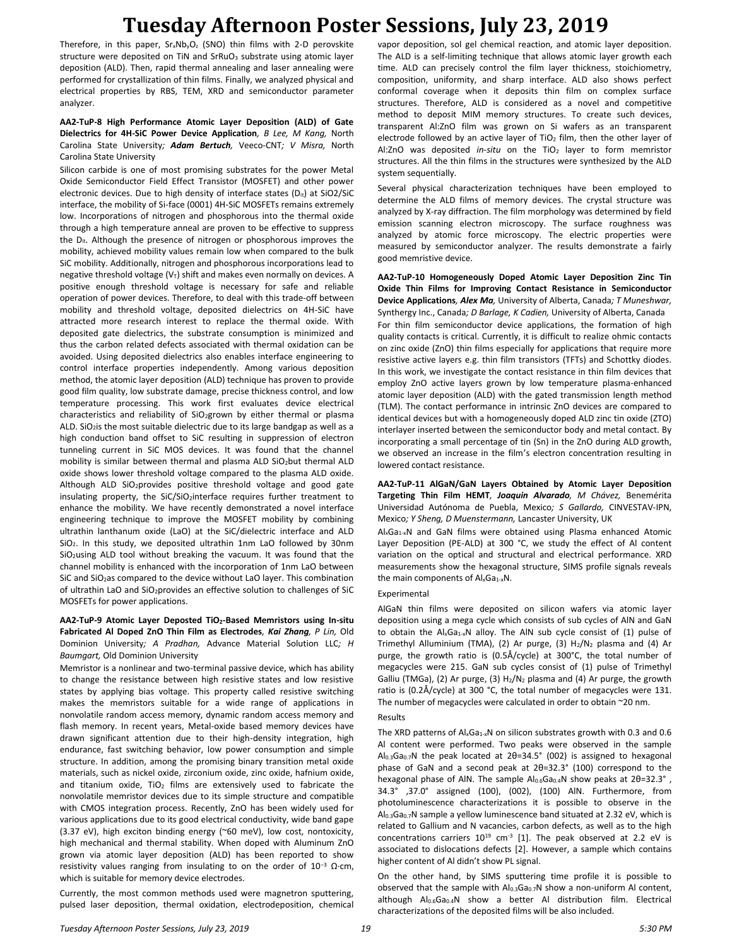Therefore, in this paper,  $Sr_xNb_yO_z$  (SNO) thin films with 2-D perovskite structure were deposited on TiN and SrRuO<sub>3</sub> substrate using atomic layer deposition (ALD). Then, rapid thermal annealing and laser annealing were performed for crystallization of thin films. Finally, we analyzed physical and electrical properties by RBS, TEM, XRD and semiconductor parameter analyzer.

#### **AA2-TuP-8 High Performance Atomic Layer Deposition (ALD) of Gate Dielectrics for 4H-SiC Power Device Application***, B Lee, M Kang,* North Carolina State University*; Adam Bertuch,* Veeco-CNT*; V Misra,* North Carolina State University

Silicon carbide is one of most promising substrates for the power Metal Oxide Semiconductor Field Effect Transistor (MOSFET) and other power electronic devices. Due to high density of interface states  $(D_{it})$  at SiO2/SiC interface, the mobility of Si-face (0001) 4H-SiC MOSFETs remains extremely low. Incorporations of nitrogen and phosphorous into the thermal oxide through a high temperature anneal are proven to be effective to suppress the  $D_{it}$ . Although the presence of nitrogen or phosphorous improves the mobility, achieved mobility values remain low when compared to the bulk SiC mobility. Additionally, nitrogen and phosphorous incorporations lead to negative threshold voltage  $(V_T)$  shift and makes even normally on devices. A positive enough threshold voltage is necessary for safe and reliable operation of power devices. Therefore, to deal with this trade-off between mobility and threshold voltage, deposited dielectrics on 4H-SiC have attracted more research interest to replace the thermal oxide. With deposited gate dielectrics, the substrate consumption is minimized and thus the carbon related defects associated with thermal oxidation can be avoided. Using deposited dielectrics also enables interface engineering to control interface properties independently. Among various deposition method, the atomic layer deposition (ALD) technique has proven to provide good film quality, low substrate damage, precise thickness control, and low temperature processing. This work first evaluates device electrical characteristics and reliability of SiO<sub>2</sub>grown by either thermal or plasma ALD. SiO2is the most suitable dielectric due to its large bandgap as well as a high conduction band offset to SiC resulting in suppression of electron tunneling current in SiC MOS devices. It was found that the channel mobility is similar between thermal and plasma ALD SiO2but thermal ALD oxide shows lower threshold voltage compared to the plasma ALD oxide. Although ALD SiO2provides positive threshold voltage and good gate insulating property, the SiC/SiO<sub>2</sub>interface requires further treatment to enhance the mobility. We have recently demonstrated a novel interface engineering technique to improve the MOSFET mobility by combining ultrathin lanthanum oxide (LaO) at the SiC/dielectric interface and ALD SiO<sub>2</sub>. In this study, we deposited ultrathin 1nm LaO followed by 30nm SiO<sub>2</sub>using ALD tool without breaking the vacuum. It was found that the channel mobility is enhanced with the incorporation of 1nm LaO between SiC and  $SiO<sub>2</sub>$ as compared to the device without LaO layer. This combination of ultrathin LaO and SiO<sub>2</sub>provides an effective solution to challenges of SiC MOSFETs for power applications.

### **AA2-TuP-9 Atomic Layer Deposted TiO2-Based Memristors using In-situ Fabricated Al Doped ZnO Thin Film as Electrodes***, Kai Zhang, P Lin,* Old Dominion University*; A Pradhan,* Advance Material Solution LLC*; H Baumgart,* Old Dominion University

Memristor is a nonlinear and two-terminal passive device, which has ability to change the resistance between high resistive states and low resistive states by applying bias voltage. This property called resistive switching makes the memristors suitable for a wide range of applications in nonvolatile random access memory, dynamic random access memory and flash memory. In recent years, Metal-oxide based memory devices have drawn significant attention due to their high-density integration, high endurance, fast switching behavior, low power consumption and simple structure. In addition, among the promising binary transition metal oxide materials, such as nickel oxide, zirconium oxide, zinc oxide, hafnium oxide, and titanium oxide,  $TiO<sub>2</sub>$  films are extensively used to fabricate the nonvolatile memristor devices due to its simple structure and compatible with CMOS integration process. Recently, ZnO has been widely used for various applications due to its good electrical conductivity, wide band gape (3.37 eV), high exciton binding energy (~60 meV), low cost, nontoxicity, high mechanical and thermal stability. When doped with Aluminum ZnO grown via atomic layer deposition (ALD) has been reported to show resistivity values ranging from insulating to on the order of 10<sup>−</sup><sup>3</sup> Ω·cm, which is suitable for memory device electrodes.

Currently, the most common methods used were magnetron sputtering, pulsed laser deposition, thermal oxidation, electrodeposition, chemical vapor deposition, sol gel chemical reaction, and atomic layer deposition. The ALD is a self-limiting technique that allows atomic layer growth each time. ALD can precisely control the film layer thickness, stoichiometry, composition, uniformity, and sharp interface. ALD also shows perfect conformal coverage when it deposits thin film on complex surface structures. Therefore, ALD is considered as a novel and competitive method to deposit MIM memory structures. To create such devices, transparent Al:ZnO film was grown on Si wafers as an transparent electrode followed by an active layer of TiO<sub>2</sub> film, then the other layer of Al:ZnO was deposited *in-situ* on the TiO<sup>2</sup> layer to form memristor structures. All the thin films in the structures were synthesized by the ALD system sequentially.

Several physical characterization techniques have been employed to determine the ALD films of memory devices. The crystal structure was analyzed by X-ray diffraction. The film morphology was determined by field emission scanning electron microscopy. The surface roughness was analyzed by atomic force microscopy. The electric properties were measured by semiconductor analyzer. The results demonstrate a fairly good memristive device.

**AA2-TuP-10 Homogeneously Doped Atomic Layer Deposition Zinc Tin Oxide Thin Films for Improving Contact Resistance in Semiconductor Device Applications***, Alex Ma,* University of Alberta, Canada*; T Muneshwar,*  Synthergy Inc., Canada*; D Barlage, K Cadien,* University of Alberta, Canada For thin film semiconductor device applications, the formation of high quality contacts is critical. Currently, it is difficult to realize ohmic contacts on zinc oxide (ZnO) thin films especially for applications that require more resistive active layers e.g. thin film transistors (TFTs) and Schottky diodes. In this work, we investigate the contact resistance in thin film devices that employ ZnO active layers grown by low temperature plasma-enhanced atomic layer deposition (ALD) with the gated transmission length method (TLM). The contact performance in intrinsic ZnO devices are compared to identical devices but with a homogeneously doped ALD zinc tin oxide (ZTO) interlayer inserted between the semiconductor body and metal contact. By incorporating a small percentage of tin (Sn) in the ZnO during ALD growth, we observed an increase in the film's electron concentration resulting in lowered contact resistance.

**AA2-TuP-11 AlGaN/GaN Layers Obtained by Atomic Layer Deposition Targeting Thin Film HEMT***, Joaquin Alvarado, M Chávez,* Benemérita Universidad Autónoma de Puebla, Mexico*; S Gallardo,* CINVESTAV-IPN, Mexico*; Y Sheng, D Muenstermann,* Lancaster University, UK

AlxGa1-xN and GaN films were obtained using Plasma enhanced Atomic Layer Deposition (PE-ALD) at 300 °C, we study the effect of Al content variation on the optical and structural and electrical performance. XRD measurements show the hexagonal structure, SIMS profile signals reveals the main components of  $\mathsf{Al}_x\mathsf{Ga}_{1-x}\mathsf{N}$ .

#### Experimental

AlGaN thin films were deposited on silicon wafers via atomic layer deposition using a mega cycle which consists of sub cycles of AlN and GaN to obtain the  $Al_xGa_{1-x}N$  alloy. The AIN sub cycle consist of (1) pulse of Trimethyl Alluminium (TMA), (2) Ar purge, (3)  $H_2/N_2$  plasma and (4) Ar purge, the growth ratio is (0.5Å/cycle) at 300°C, the total number of megacycles were 215. GaN sub cycles consist of (1) pulse of Trimethyl Galliu (TMGa), (2) Ar purge, (3)  $H_2/N_2$  plasma and (4) Ar purge, the growth ratio is (0.2Å/cycle) at 300 °C, the total number of megacycles were 131. The number of megacycles were calculated in order to obtain ~20 nm.

#### Results

The XRD patterns of  $Al_xGa_{1-x}N$  on silicon substrates growth with 0.3 and 0.6 Al content were performed. Two peaks were observed in the sample Al0.3Ga0.7N the peak located at 2θ=34.5° (002) is assigned to hexagonal phase of GaN and a second peak at 2θ=32.3° (100) correspond to the hexagonal phase of AlN. The sample Al<sub>0.6</sub>Ga<sub>0.4</sub>N show peaks at 2θ=32.3°, 34.3° ,37.0° assigned (100), (002), (100) AlN. Furthermore, from photoluminescence characterizations it is possible to observe in the Al0.3Ga0.7N sample a yellow luminescence band situated at 2.32 eV, which is related to Gallium and N vacancies, carbon defects, as well as to the high concentrations carriers  $10^{19}$  cm<sup>-3</sup> [1]. The peak observed at 2.2 eV is associated to dislocations defects [2]. However, a sample which contains higher content of Al didn't show PL signal.

On the other hand, by SIMS sputtering time profile it is possible to observed that the sample with  $Al_{0.3}Ga_{0.7}N$  show a non-uniform Al content, although  $Al_{0.6}Ga_{0.4}N$  show a better Al distribution film. Electrical characterizations of the deposited films will be also included.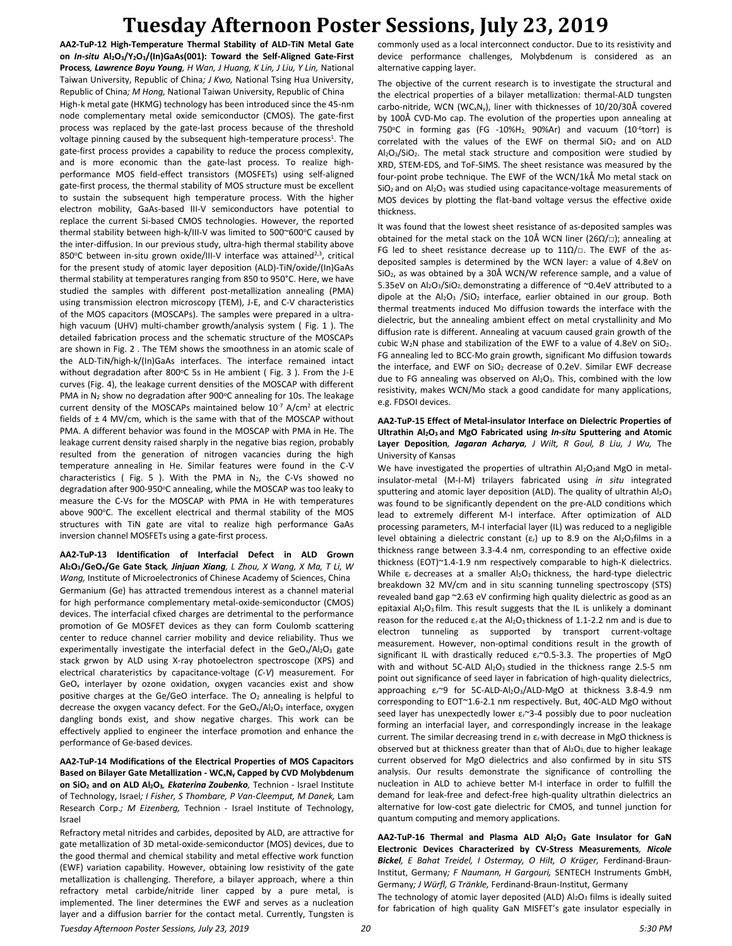**AA2-TuP-12 High-Temperature Thermal Stability of ALD-TiN Metal Gate on** *In-situ* **Al2O3/Y2O3/(In)GaAs(001): Toward the Self-Aligned Gate-First Process***, Lawrence Boyu Young, H Wan, J Huang, K Lin, J Liu, Y Lin,* National Taiwan University, Republic of China*; J Kwo,* National Tsing Hua University, Republic of China*; M Hong,* National Taiwan University, Republic of China High-k metal gate (HKMG) technology has been introduced since the 45-nm node complementary metal oxide semiconductor (CMOS). The gate-first process was replaced by the gate-last process because of the threshold voltage pinning caused by the subsequent high-temperature process<sup>1</sup>. The gate-first process provides a capability to reduce the process complexity, and is more economic than the gate-last process. To realize highperformance MOS field-effect transistors (MOSFETs) using self-aligned gate-first process, the thermal stability of MOS structure must be excellent to sustain the subsequent high temperature process. With the higher electron mobility, GaAs-based III-V semiconductors have potential to replace the current Si-based CMOS technologies. However, the reported thermal stability between high-k/III-V was limited to  $500^{\circ}600^{\circ}$ C caused by the inter-diffusion. In our previous study, ultra-high thermal stability above 850°C between in-situ grown oxide/III-V interface was attained<sup>2,3</sup>, critical for the present study of atomic layer deposition (ALD)-TiN/oxide/(In)GaAs thermal stability at temperatures ranging from 850 to 950°C. Here, we have studied the samples with different post-metallization annealing (PMA) using transmission electron microscopy (TEM), J-E, and C-V characteristics of the MOS capacitors (MOSCAPs). The samples were prepared in a ultrahigh vacuum (UHV) multi-chamber growth/analysis system ( Fig. 1 ). The detailed fabrication process and the schematic structure of the MOSCAPs are shown in Fig. 2 . The TEM shows the smoothness in an atomic scale of the ALD-TiN/high-k/(In)GaAs interfaces. The interface remained intact without degradation after 800 $^{\circ}$ C 5s in He ambient (Fig. 3). From the J-E curves (Fig. 4), the leakage current densities of the MOSCAP with different PMA in  $N_2$  show no degradation after 900 $^{\circ}$ C annealing for 10s. The leakage current density of the MOSCAPs maintained below  $10^{-7}$  A/cm<sup>2</sup> at electric fields of ± 4 MV/cm, which is the same with that of the MOSCAP without PMA. A different behavior was found in the MOSCAP with PMA in He. The leakage current density raised sharply in the negative bias region, probably resulted from the generation of nitrogen vacancies during the high temperature annealing in He. Similar features were found in the C-V characteristics (Fig. 5). With the PMA in  $N_2$ , the C-Vs showed no degradation after 900-950°C annealing, while the MOSCAP was too leaky to measure the C-Vs for the MOSCAP with PMA in He with temperatures above 900°C. The excellent electrical and thermal stability of the MOS structures with TiN gate are vital to realize high performance GaAs inversion channel MOSFETs using a gate-first process.

**AA2-TuP-13 Identification of Interfacial Defect in ALD Grown Al2O3/GeOx/Ge Gate Stack***, Jinjuan Xiang, L Zhou, X Wang, X Ma, T Li, W Wang,* Institute of Microelectronics of Chinese Academy of Sciences, China Germanium (Ge) has attracted tremendous interest as a channel material for high performance complementary metal-oxide-semiconductor (CMOS) devices. The interfacial cfixed charges are detrimental to the performance promotion of Ge MOSFET devices as they can form Coulomb scattering center to reduce channel carrier mobility and device reliability. Thus we experimentally investigate the interfacial defect in the  $\text{GeO}_x/\text{Al}_2\text{O}_3$  gate stack grwon by ALD using X-ray photoelectron spectroscope (XPS) and electrical charateristics by capacitance-voltage (*C-V*) measurement. For  $GeO<sub>x</sub>$  interlayer by ozone oxidation, oxygen vacancies exist and show positive charges at the Ge/GeO interface. The O<sub>2</sub> annealing is helpful to decrease the oxygen vacancy defect. For the GeO<sub>x</sub>/Al<sub>2</sub>O<sub>3</sub> interface, oxygen dangling bonds exist, and show negative charges. This work can be effectively applied to engineer the interface promotion and enhance the performance of Ge-based devices.

**AA2-TuP-14 Modifications of the Electrical Properties of MOS Capacitors Based on Bilayer Gate Metallization - WCxN<sup>y</sup> Capped by CVD Molybdenum on SiO<sup>2</sup> and on ALD Al2O3***, Ekaterina Zoubenko,* Technion - Israel Institute of Technology, Israel*; I Fisher, S Thombare, P Van-Cleemput, M Danek,* Lam Research Corp.*; M Eizenberg,* Technion - Israel Institute of Technology, Israel

Refractory metal nitrides and carbides, deposited by ALD, are attractive for gate metallization of 3D metal-oxide-semiconductor (MOS) devices, due to the good thermal and chemical stability and metal effective work function (EWF) variation capability. However, obtaining low resistivity of the gate metallization is challenging. Therefore, a bilayer approach, where a thin refractory metal carbide/nitride liner capped by a pure metal, is implemented. The liner determines the EWF and serves as a nucleation layer and a diffusion barrier for the contact metal. Currently, Tungsten is commonly used as a local interconnect conductor. Due to its resistivity and device performance challenges, Molybdenum is considered as an alternative capping layer.

The objective of the current research is to investigate the structural and the electrical properties of a bilayer metallization: thermal-ALD tungsten carbo-nitride, WCN (WCxNy), liner with thicknesses of 10/20/30Å covered by 100Å CVD-Mo cap. The evolution of the properties upon annealing at 750 $^{\circ}$ C in forming gas (FG -10%H<sub>2</sub>, 90%Ar) and vacuum (10<sup>-6</sup>torr) is correlated with the values of the EWF on thermal  $SiO<sub>2</sub>$  and on ALD Al<sub>2</sub>O<sub>3</sub>/SiO<sub>2</sub>. The metal stack structure and composition were studied by XRD, STEM-EDS, and ToF-SIMS. The sheet resistance was measured by the four-point probe technique. The EWF of the WCN/1kÅ Mo metal stack on  $SiO<sub>2</sub>$  and on Al<sub>2</sub>O<sub>3</sub> was studied using capacitance-voltage measurements of MOS devices by plotting the flat-band voltage versus the effective oxide thickness.

It was found that the lowest sheet resistance of as-deposited samples was obtained for the metal stack on the 10Å WCN liner (26Ω/ $\Box$ ); annealing at FG led to sheet resistance decrease up to  $11\Omega/\square$ . The EWF of the asdeposited samples is determined by the WCN layer: a value of 4.8eV on SiO2, as was obtained by a 30Å WCN/W reference sample, and a value of 5.35eV on Al2O3/SiO2, demonstrating a difference of ~0.4eV attributed to a dipole at the  $Al_2O_3$  /SiO<sub>2</sub> interface, earlier obtained in our group. Both thermal treatments induced Mo diffusion towards the interface with the dielectric, but the annealing ambient effect on metal crystallinity and Mo diffusion rate is different. Annealing at vacuum caused grain growth of the cubic W<sub>2</sub>N phase and stabilization of the EWF to a value of 4.8eV on SiO<sub>2</sub>. FG annealing led to BCC-Mo grain growth, significant Mo diffusion towards the interface, and EWF on SiO<sub>2</sub> decrease of 0.2eV. Similar EWF decrease due to FG annealing was observed on  $Al_2O_3$ . This, combined with the low resistivity, makes WCN/Mo stack a good candidate for many applications, e.g. FDSOI devices.

#### **AA2-TuP-15 Effect of Metal-insulator Interface on Dielectric Properties of Ultrathin Al2O3 and MgO Fabricated using** *In-situ* **Sputtering and Atomic Layer Deposition***, Jagaran Acharya, J Wilt, R Goul, B Liu, J Wu,* The University of Kansas

We have investigated the properties of ultrathin Al2O3and MgO in metalinsulator-metal (M-I-M) trilayers fabricated using *in situ* integrated sputtering and atomic layer deposition (ALD). The quality of ultrathin  $Al_2O_3$ was found to be significantly dependent on the pre-ALD conditions which lead to extremely different M-I interface. After optimization of ALD processing parameters, M-I interfacial layer (IL) was reduced to a negligible level obtaining a dielectric constant  $(\varepsilon_r)$  up to 8.9 on the Al<sub>2</sub>O<sub>3</sub>films in a thickness range between 3.3-4.4 nm, corresponding to an effective oxide thickness (EOT)~1.4-1.9 nm respectively comparable to high-K dielectrics. While ε*r* decreases at a smaller Al2O3 thickness, the hard-type dielectric breakdown 32 MV/cm and in situ scanning tunneling spectroscopy (STS) revealed band gap ~2.63 eV confirming high quality dielectric as good as an epitaxial  $Al_2O_3$  film. This result suggests that the IL is unlikely a dominant reason for the reduced ε*r* at the Al2O3 thickness of 1.1-2.2 nm and is due to electron tunneling as supported by transport current-voltage measurement. However, non-optimal conditions result in the growth of significant IL with drastically reduced ε*r*~0.5-3.3. The properties of MgO with and without 5C-ALD Al<sub>2</sub>O<sub>3</sub> studied in the thickness range 2.5-5 nm point out significance of seed layer in fabrication of high-quality dielectrics, approaching ε*r*~9 for 5C-ALD-Al2O3/ALD-MgO at thickness 3.8-4.9 nm corresponding to EOT~1.6-2.1 nm respectively. But, 40C-ALD MgO without seed layer has unexpectedly lower ε*r*~3-4 possibly due to poor nucleation forming an interfacial layer, and correspondingly increase in the leakage current. The similar decreasing trend in ε*r* with decrease in MgO thickness is observed but at thickness greater than that of  $Al_2O_3$ , due to higher leakage current observed for MgO dielectrics and also confirmed by in situ STS analysis. Our results demonstrate the significance of controlling the nucleation in ALD to achieve better M-I interface in order to fulfill the demand for leak-free and defect-free high-quality ultrathin dielectrics an alternative for low-cost gate dielectric for CMOS, and tunnel junction for quantum computing and memory applications.

**AA2-TuP-16 Thermal and Plasma ALD Al2O<sup>3</sup> Gate Insulator for GaN Electronic Devices Characterized by CV-Stress Measurements***, Nicole Bickel, E Bahat Treidel, I Ostermay, O Hilt, O Krüger,* Ferdinand-Braun-Institut, Germany*; F Naumann, H Gargouri,* SENTECH Instruments GmbH, Germany*; J Würfl, G Tränkle,* Ferdinand-Braun-Institut, Germany

The technology of atomic layer deposited (ALD)  $Al_2O_3$  films is ideally suited for fabrication of high quality GaN MISFET's gate insulator especially in

*Tuesday Afternoon Poster Sessions, July 23, 2019 20 5:30 PM*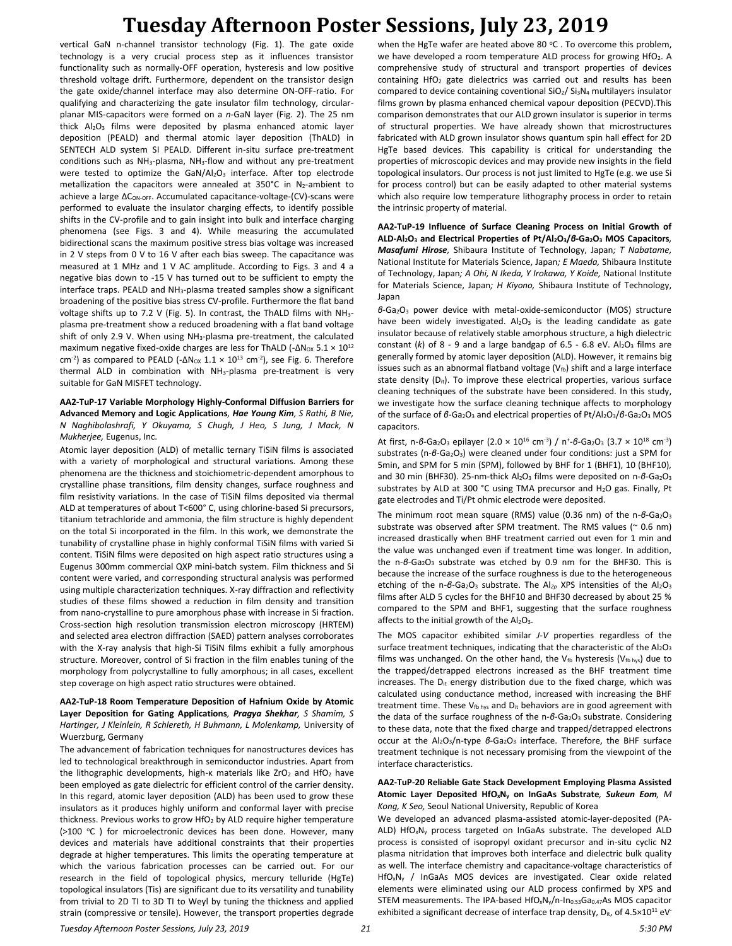vertical GaN n-channel transistor technology (Fig. 1). The gate oxide technology is a very crucial process step as it influences transistor functionality such as normally-OFF operation, hysteresis and low positive threshold voltage drift. Furthermore, dependent on the transistor design the gate oxide/channel interface may also determine ON-OFF-ratio. For qualifying and characterizing the gate insulator film technology, circularplanar MIS-capacitors were formed on a *n*-GaN layer (Fig. 2). The 25 nm thick Al<sub>2</sub>O<sub>3</sub> films were deposited by plasma enhanced atomic layer deposition (PEALD) and thermal atomic layer deposition (ThALD) in SENTECH ALD system SI PEALD. Different in-situ surface pre-treatment conditions such as  $NH<sub>3</sub>$ -plasma,  $NH<sub>3</sub>$ -flow and without any pre-treatment were tested to optimize the  $\text{GaN}/\text{Al}_2\text{O}_3$  interface. After top electrode metallization the capacitors were annealed at  $350^{\circ}$ C in N<sub>2</sub>-ambient to achieve a large  $\Delta C_{ON\text{-OFF}}$ . Accumulated capacitance-voltage-(CV)-scans were performed to evaluate the insulator charging effects, to identify possible shifts in the CV-profile and to gain insight into bulk and interface charging phenomena (see Figs. 3 and 4). While measuring the accumulated bidirectional scans the maximum positive stress bias voltage was increased in 2 V steps from 0 V to 16 V after each bias sweep. The capacitance was measured at 1 MHz and 1 V AC amplitude. According to Figs. 3 and 4 a negative bias down to -15 V has turned out to be sufficient to empty the interface traps. PEALD and NH3-plasma treated samples show a significant broadening of the positive bias stress CV-profile. Furthermore the flat band voltage shifts up to 7.2 V (Fig. 5). In contrast, the ThALD films with NH3 plasma pre-treatment show a reduced broadening with a flat band voltage shift of only 2.9 V. When using NH3-plasma pre-treatment, the calculated maximum negative fixed-oxide charges are less for ThALD (- $ΔN<sub>ox</sub> 5.1 × 10<sup>12</sup>$ cm<sup>-2</sup>) as compared to PEALD (- $\Delta N_{OX}$  1.1  $\times$  10<sup>13</sup> cm<sup>-2</sup>), see Fig. 6. Therefore thermal ALD in combination with NH3-plasma pre-treatment is very suitable for GaN MISFET technology.

**AA2-TuP-17 Variable Morphology Highly-Conformal Diffusion Barriers for Advanced Memory and Logic Applications***, Hae Young Kim, S Rathi, B Nie, N Naghibolashrafi, Y Okuyama, S Chugh, J Heo, S Jung, J Mack, N Mukherjee,* Eugenus, Inc.

Atomic layer deposition (ALD) of metallic ternary TiSiN films is associated with a variety of morphological and structural variations. Among these phenomena are the thickness and stoichiometric-dependent amorphous to crystalline phase transitions, film density changes, surface roughness and film resistivity variations. In the case of TiSiN films deposited via thermal ALD at temperatures of about T<600° C, using chlorine-based Si precursors, titanium tetrachloride and ammonia, the film structure is highly dependent on the total Si incorporated in the film. In this work, we demonstrate the tunability of crystalline phase in highly conformal TiSiN films with varied Si content. TiSiN films were deposited on high aspect ratio structures using a Eugenus 300mm commercial QXP mini-batch system. Film thickness and Si content were varied, and corresponding structural analysis was performed using multiple characterization techniques. X-ray diffraction and reflectivity studies of these films showed a reduction in film density and transition from nano-crystalline to pure amorphous phase with increase in Si fraction. Cross-section high resolution transmission electron microscopy (HRTEM) and selected area electron diffraction (SAED) pattern analyses corroborates with the X-ray analysis that high-Si TiSiN films exhibit a fully amorphous structure. Moreover, control of Si fraction in the film enables tuning of the morphology from polycrystalline to fully amorphous; in all cases, excellent step coverage on high aspect ratio structures were obtained.

#### **AA2-TuP-18 Room Temperature Deposition of Hafnium Oxide by Atomic Layer Deposition for Gating Applications***, Pragya Shekhar, S Shamim, S Hartinger, J Kleinlein, R Schlereth, H Buhmann, L Molenkamp, University of* Wuerzburg, Germany

The advancement of fabrication techniques for nanostructures devices has led to technological breakthrough in semiconductor industries. Apart from the lithographic developments, high-κ materials like ZrO<sub>2</sub> and HfO<sub>2</sub> have been employed as gate dielectric for efficient control of the carrier density. In this regard, atomic layer deposition (ALD) has been used to grow these insulators as it produces highly uniform and conformal layer with precise thickness. Previous works to grow HfO<sup>2</sup> by ALD require higher temperature (>100 °C ) for microelectronic devices has been done. However, many devices and materials have additional constraints that their properties degrade at higher temperatures. This limits the operating temperature at which the various fabrication processes can be carried out. For our research in the field of topological physics, mercury telluride (HgTe) topological insulators (Tis) are significant due to its versatility and tunability from trivial to 2D TI to 3D TI to Weyl by tuning the thickness and applied strain (compressive or tensile). However, the transport properties degrade

when the HgTe wafer are heated above 80  $^{\circ}$ C. To overcome this problem, we have developed a room temperature ALD process for growing HfO<sub>2</sub>. A comprehensive study of structural and transport properties of devices containing HfO<sup>2</sup> gate dielectrics was carried out and results has been compared to device containing coventional SiO<sub>2</sub>/ Si<sub>3</sub>N<sub>4</sub> multilayers insulator films grown by plasma enhanced chemical vapour deposition (PECVD).This comparison demonstrates that our ALD grown insulator is superior in terms of structural properties. We have already shown that microstructures fabricated with ALD grown insulator shows quantum spin hall effect for 2D HgTe based devices. This capability is critical for understanding the properties of microscopic devices and may provide new insights in the field topological insulators. Our process is not just limited to HgTe (e.g. we use Si for process control) but can be easily adapted to other material systems which also require low temperature lithography process in order to retain the intrinsic property of material.

**AA2-TuP-19 Influence of Surface Cleaning Process on Initial Growth of ALD-Al2O<sup>3</sup> and Electrical Properties of Pt/Al2O3/***β***-Ga2O<sup>3</sup> MOS Capacitors***, Masafumi Hirose,* Shibaura Institute of Technology, Japan*; T Nabatame,*  National Institute for Materials Science, Japan*; E Maeda,* Shibaura Institute of Technology, Japan*; A Ohi, N Ikeda, Y Irokawa, Y Koide,* National Institute for Materials Science, Japan*; H Kiyono,* Shibaura Institute of Technology, Japan

*β*-Ga2O<sup>3</sup> power device with metal-oxide-semiconductor (MOS) structure have been widely investigated.  $Al_2O_3$  is the leading candidate as gate insulator because of relatively stable amorphous structure, a high dielectric constant  $(k)$  of  $8 - 9$  and a large bandgap of  $6.5 - 6.8$  eV. Al<sub>2</sub>O<sub>3</sub> films are generally formed by atomic layer deposition (ALD). However, it remains big issues such as an abnormal flatband voltage ( $V_{fb}$ ) shift and a large interface state density  $(D_{it})$ . To improve these electrical properties, various surface cleaning techniques of the substrate have been considered. In this study, we investigate how the surface cleaning technique affects to morphology of the surface of *β*-Ga<sub>2</sub>O<sub>3</sub> and electrical properties of Pt/Al<sub>2</sub>O<sub>3</sub>/*β*-Ga<sub>2</sub>O<sub>3</sub> MOS capacitors.

At first, n-*β*-Ga<sub>2</sub>O<sub>3</sub> epilayer (2.0 × 10<sup>16</sup> cm<sup>-3</sup>) / n<sup>+</sup>-β-Ga<sub>2</sub>O<sub>3</sub> (3.7 × 10<sup>18</sup> cm<sup>-3</sup>) substrates (n-*β*-Ga<sub>2</sub>O<sub>3</sub>) were cleaned under four conditions: just a SPM for 5min, and SPM for 5 min (SPM), followed by BHF for 1 (BHF1), 10 (BHF10), and 30 min (BHF30). 25-nm-thick Al<sub>2</sub>O<sub>3</sub> films were deposited on n-β-Ga<sub>2</sub>O<sub>3</sub> substrates by ALD at 300 °C using TMA precursor and H<sub>2</sub>O gas. Finally, Pt gate electrodes and Ti/Pt ohmic electrode were deposited.

The minimum root mean square (RMS) value (0.36 nm) of the n-*β*-Ga<sub>2</sub>O<sub>3</sub> substrate was observed after SPM treatment. The RMS values ( $\sim$  0.6 nm) increased drastically when BHF treatment carried out even for 1 min and the value was unchanged even if treatment time was longer. In addition, the n-β-Ga<sub>2</sub>O<sub>3</sub> substrate was etched by 0.9 nm for the BHF30. This is because the increase of the surface roughness is due to the heterogeneous etching of the n-*β*-Ga<sub>2</sub>O<sub>3</sub> substrate. The Al<sub>2p</sub> XPS intensities of the Al<sub>2</sub>O<sub>3</sub> films after ALD 5 cycles for the BHF10 and BHF30 decreased by about 25 % compared to the SPM and BHF1, suggesting that the surface roughness affects to the initial growth of the  $A$ <sub>2</sub>O<sub>3</sub>.

The MOS capacitor exhibited similar *J-V* properties regardless of the surface treatment techniques, indicating that the characteristic of the  $A_1O_3$ films was unchanged. On the other hand, the  $V_{fb}$  hysteresis ( $V_{fb}$  hys) due to the trapped/detrapped electrons increased as the BHF treatment time increases. The  $D_{it}$  energy distribution due to the fixed charge, which was calculated using conductance method, increased with increasing the BHF treatment time. These  $V_{fb\;hys}$  and  $D_{it}$  behaviors are in good agreement with the data of the surface roughness of the n-*β*-Ga<sub>2</sub>O<sub>3</sub> substrate. Considering to these data, note that the fixed charge and trapped/detrapped electrons occur at the Al<sub>2</sub>O<sub>3</sub>/n-type *β*-Ga<sub>2</sub>O<sub>3</sub> interface. Therefore, the BHF surface treatment technique is not necessary promising from the viewpoint of the interface characteristics.

#### **AA2-TuP-20 Reliable Gate Stack Development Employing Plasma Assisted Atomic Layer Deposited HfOxN<sup>y</sup> on InGaAs Substrate***, Sukeun Eom, M Kong, K Seo,* Seoul National University, Republic of Korea

We developed an advanced plasma-assisted atomic-layer-deposited (PA-ALD) HfOxN<sup>y</sup> process targeted on InGaAs substrate. The developed ALD process is consisted of isopropyl oxidant precursor and in-situ cyclic N2 plasma nitridation that improves both interface and dielectric bulk quality as well. The interface chemistry and capacitance-voltage characteristics of HfOxN<sup>y</sup> / InGaAs MOS devices are investigated. Clear oxide related elements were eliminated using our ALD process confirmed by XPS and STEM measurements. The IPA-based HfO<sub>x</sub>N<sub>y</sub>/n-In<sub>0.53</sub>Ga<sub>0.47</sub>As MOS capacitor exhibited a significant decrease of interface trap density,  $D_{it}$ , of  $4.5 \times 10^{11}$  eV<sup>-</sup>

*Tuesday Afternoon Poster Sessions, July 23, 2019 21 5:30 PM*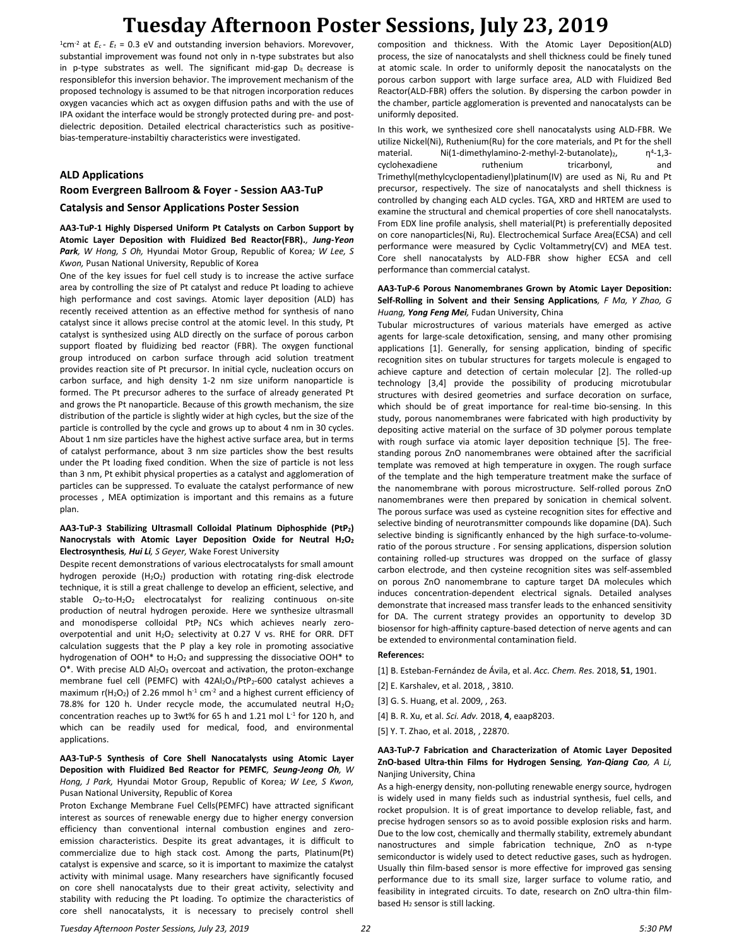$^{1}$ cm<sup>-2</sup> at  $E_c$  -  $E_t$  = 0.3 eV and outstanding inversion behaviors. Morevover, substantial improvement was found not only in n-type substrates but also in p-type substrates as well. The significant mid-gap  $D_{it}$  decrease is responsiblefor this inversion behavior. The improvement mechanism of the proposed technology is assumed to be that nitrogen incorporation reduces oxygen vacancies which act as oxygen diffusion paths and with the use of IPA oxidant the interface would be strongly protected during pre- and postdielectric deposition. Detailed electrical characteristics such as positivebias-temperature-instabiltiy characteristics were investigated.

### **ALD Applications**

### **Room Evergreen Ballroom & Foyer - Session AA3-TuP**

### **Catalysis and Sensor Applications Poster Session**

**AA3-TuP-1 Highly Dispersed Uniform Pt Catalysts on Carbon Support by Atomic Layer Deposition with Fluidized Bed Reactor(FBR).***, Jung-Yeon Park, W Hong, S Oh,* Hyundai Motor Group, Republic of Korea*; W Lee, S Kwon,* Pusan National University, Republic of Korea

One of the key issues for fuel cell study is to increase the active surface area by controlling the size of Pt catalyst and reduce Pt loading to achieve high performance and cost savings. Atomic layer deposition (ALD) has recently received attention as an effective method for synthesis of nano catalyst since it allows precise control at the atomic level. In this study, Pt catalyst is synthesized using ALD directly on the surface of porous carbon support floated by fluidizing bed reactor (FBR). The oxygen functional group introduced on carbon surface through acid solution treatment provides reaction site of Pt precursor. In initial cycle, nucleation occurs on carbon surface, and high density 1-2 nm size uniform nanoparticle is formed. The Pt precursor adheres to the surface of already generated Pt and grows the Pt nanoparticle. Because of this growth mechanism, the size distribution of the particle is slightly wider at high cycles, but the size of the particle is controlled by the cycle and grows up to about 4 nm in 30 cycles. About 1 nm size particles have the highest active surface area, but in terms of catalyst performance, about 3 nm size particles show the best results under the Pt loading fixed condition. When the size of particle is not less than 3 nm, Pt exhibit physical properties as a catalyst and agglomeration of particles can be suppressed. To evaluate the catalyst performance of new processes , MEA optimization is important and this remains as a future plan.

#### **AA3-TuP-3 Stabilizing Ultrasmall Colloidal Platinum Diphosphide (PtP2) Nanocrystals with Atomic Layer Deposition Oxide for Neutral H2O<sup>2</sup> Electrosynthesis***, Hui Li, S Geyer,* Wake Forest University

Despite recent demonstrations of various electrocatalysts for small amount hydrogen peroxide  $(H_2O_2)$  production with rotating ring-disk electrode technique, it is still a great challenge to develop an efficient, selective, and stable O<sub>2</sub>-to-H<sub>2</sub>O<sub>2</sub> electrocatalyst for realizing continuous on-site production of neutral hydrogen peroxide. Here we synthesize ultrasmall and monodisperse colloidal PtP<sub>2</sub> NCs which achieves nearly zerooverpotential and unit  $H_2O_2$  selectivity at 0.27 V vs. RHE for ORR. DFT calculation suggests that the P play a key role in promoting associative hydrogenation of OOH\* to H2O<sup>2</sup> and suppressing the dissociative OOH\* to  $O^*$ . With precise ALD  $Al_2O_3$  overcoat and activation, the proton-exchange membrane fuel cell (PEMFC) with  $42Al_2O_3/PtP_2-600$  catalyst achieves a maximum r( $H_2O_2$ ) of 2.26 mmol h<sup>-1</sup> cm<sup>-2</sup> and a highest current efficiency of 78.8% for 120 h. Under recycle mode, the accumulated neutral  $H_2O_2$ concentration reaches up to 3wt% for 65 h and 1.21 mol  $L<sup>-1</sup>$  for 120 h, and which can be readily used for medical, food, and environmental applications.

### **AA3-TuP-5 Synthesis of Core Shell Nanocatalysts using Atomic Layer Deposition with Fluidized Bed Reactor for PEMFC***, Seung-Jeong Oh, W Hong, J Park,* Hyundai Motor Group, Republic of Korea*; W Lee, S Kwon,*  Pusan National University, Republic of Korea

Proton Exchange Membrane Fuel Cells(PEMFC) have attracted significant interest as sources of renewable energy due to higher energy conversion efficiency than conventional internal combustion engines and zeroemission characteristics. Despite its great advantages, it is difficult to commercialize due to high stack cost. Among the parts, Platinum(Pt) catalyst is expensive and scarce, so it is important to maximize the catalyst activity with minimal usage. Many researchers have significantly focused on core shell nanocatalysts due to their great activity, selectivity and stability with reducing the Pt loading. To optimize the characteristics of core shell nanocatalysts, it is necessary to precisely control shell

composition and thickness. With the Atomic Layer Deposition(ALD) process, the size of nanocatalysts and shell thickness could be finely tuned at atomic scale. In order to uniformly deposit the nanocatalysts on the porous carbon support with large surface area, ALD with Fluidized Bed Reactor(ALD-FBR) offers the solution. By dispersing the carbon powder in the chamber, particle agglomeration is prevented and nanocatalysts can be uniformly deposited.

In this work, we synthesized core shell nanocatalysts using ALD-FBR. We utilize Nickel(Ni), Ruthenium(Ru) for the core materials, and Pt for the shell material. Ni(1-dimethylamino-2-methyl-2-butanolate)<sub>2</sub>, 4 -1,3 cyclohexadiene ruthenium tricarbonyl, and Trimethyl(methylcyclopentadienyl)platinum(IV) are used as Ni, Ru and Pt precursor, respectively. The size of nanocatalysts and shell thickness is controlled by changing each ALD cycles. TGA, XRD and HRTEM are used to examine the structural and chemical properties of core shell nanocatalysts. From EDX line profile analysis, shell material(Pt) is preferentially deposited on core nanoparticles(Ni, Ru). Electrochemical Surface Area(ECSA) and cell performance were measured by Cyclic Voltammetry(CV) and MEA test. Core shell nanocatalysts by ALD-FBR show higher ECSA and cell performance than commercial catalyst.

#### **AA3-TuP-6 Porous Nanomembranes Grown by Atomic Layer Deposition: Self-Rolling in Solvent and their Sensing Applications***, F Ma, Y Zhao, G Huang, Yong Feng Mei,* Fudan University, China

Tubular microstructures of various materials have emerged as active agents for large-scale detoxification, sensing, and many other promising applications [1]. Generally, for sensing application, binding of specific recognition sites on tubular structures for targets molecule is engaged to achieve capture and detection of certain molecular [2]. The rolled-up technology [3,4] provide the possibility of producing microtubular structures with desired geometries and surface decoration on surface, which should be of great importance for real-time bio-sensing. In this study, porous nanomembranes were fabricated with high productivity by depositing active material on the surface of 3D polymer porous template with rough surface via atomic layer deposition technique [5]. The freestanding porous ZnO nanomembranes were obtained after the sacrificial template was removed at high temperature in oxygen. The rough surface of the template and the high temperature treatment make the surface of the nanomembrane with porous microstructure. Self-rolled porous ZnO nanomembranes were then prepared by sonication in chemical solvent. The porous surface was used as cysteine recognition sites for effective and selective binding of neurotransmitter compounds like dopamine (DA). Such selective binding is significantly enhanced by the high surface-to-volumeratio of the porous structure . For sensing applications, dispersion solution containing rolled-up structures was dropped on the surface of glassy carbon electrode, and then cysteine recognition sites was self-assembled on porous ZnO nanomembrane to capture target DA molecules which induces concentration-dependent electrical signals. Detailed analyses demonstrate that increased mass transfer leads to the enhanced sensitivity for DA. The current strategy provides an opportunity to develop 3D biosensor for high-affinity capture-based detection of nerve agents and can be extended to environmental contamination field.

#### **References:**

[1] B. Esteban-Fernández de Ávila, et al. *Acc. Chem. Res.* 2018, **51**, 1901.

- [2] E. Karshalev, et al. 2018, , 3810.
- [3] G. S. Huang, et al. 2009, , 263.
- [4] B. R. Xu, et al. *Sci. Adv.* 2018, **4**, eaap8203.
- [5] Y. T. Zhao, et al. 2018, , 22870.

### **AA3-TuP-7 Fabrication and Characterization of Atomic Layer Deposited ZnO-based Ultra-thin Films for Hydrogen Sensing***, Yan-Qiang Cao, A Li,*  Nanjing University, China

As a high-energy density, non-polluting renewable energy source, hydrogen is widely used in many fields such as industrial synthesis, fuel cells, and rocket propulsion. It is of great importance to develop reliable, fast, and precise hydrogen sensors so as to avoid possible explosion risks and harm. Due to the low cost, chemically and thermally stability, extremely abundant nanostructures and simple fabrication technique, ZnO as n-type semiconductor is widely used to detect reductive gases, such as hydrogen. Usually thin film-based sensor is more effective for improved gas sensing performance due to its small size, larger surface to volume ratio, and feasibility in integrated circuits. To date, research on ZnO ultra-thin filmbased  $H<sub>2</sub>$  sensor is still lacking.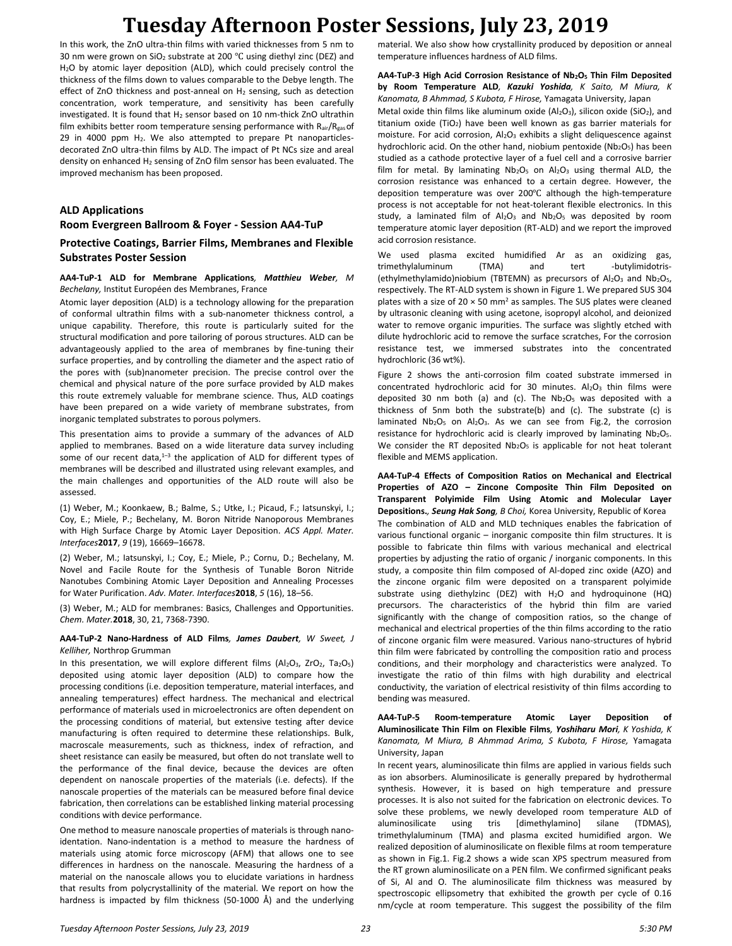In this work, the ZnO ultra-thin films with varied thicknesses from 5 nm to 30 nm were grown on  $SiO<sub>2</sub>$  substrate at 200 °C using diethyl zinc (DEZ) and H<sub>2</sub>O by atomic layer deposition (ALD), which could precisely control the thickness of the films down to values comparable to the Debye length. The effect of ZnO thickness and post-anneal on H<sub>2</sub> sensing, such as detection concentration, work temperature, and sensitivity has been carefully investigated. It is found that H<sub>2</sub> sensor based on 10 nm-thick ZnO ultrathin film exhibits better room temperature sensing performance with Rair/Rgas of 29 in 4000 ppm  $H_2$ . We also attempted to prepare Pt nanoparticlesdecorated ZnO ultra-thin films by ALD. The impact of Pt NCs size and areal density on enhanced  $H_2$  sensing of ZnO film sensor has been evaluated. The improved mechanism has been proposed.

### **ALD Applications**

**Room Evergreen Ballroom & Foyer - Session AA4-TuP**

### **Protective Coatings, Barrier Films, Membranes and Flexible Substrates Poster Session**

#### **AA4-TuP-1 ALD for Membrane Applications***, Matthieu Weber, M Bechelany,* Institut Européen des Membranes, France

Atomic layer deposition (ALD) is a technology allowing for the preparation of conformal ultrathin films with a sub-nanometer thickness control, a unique capability. Therefore, this route is particularly suited for the structural modification and pore tailoring of porous structures. ALD can be advantageously applied to the area of membranes by fine-tuning their surface properties, and by controlling the diameter and the aspect ratio of the pores with (sub)nanometer precision. The precise control over the chemical and physical nature of the pore surface provided by ALD makes this route extremely valuable for membrane science. Thus, ALD coatings have been prepared on a wide variety of membrane substrates, from inorganic templated substrates to porous polymers.

This presentation aims to provide a summary of the advances of ALD applied to membranes. Based on a wide literature data survey including some of our recent data,<sup>1-3</sup> the application of ALD for different types of membranes will be described and illustrated using relevant examples, and the main challenges and opportunities of the ALD route will also be assessed.

(1) Weber, M.; Koonkaew, B.; Balme, S.; Utke, I.; Picaud, F.; Iatsunskyi, I.; Coy, E.; Miele, P.; Bechelany, M. Boron Nitride Nanoporous Membranes with High Surface Charge by Atomic Layer Deposition. *ACS Appl. Mater. Interfaces***2017**, *9* (19), 16669–16678.

(2) Weber, M.; Iatsunskyi, I.; Coy, E.; Miele, P.; Cornu, D.; Bechelany, M. Novel and Facile Route for the Synthesis of Tunable Boron Nitride Nanotubes Combining Atomic Layer Deposition and Annealing Processes for Water Purification. *Adv. Mater. Interfaces***2018**, *5* (16), 18–56.

(3) Weber, M.; ALD for membranes: Basics, Challenges and Opportunities. *Chem. Mater.***2018**, 30, 21, 7368-7390.

#### **AA4-TuP-2 Nano-Hardness of ALD Films***, James Daubert, W Sweet, J Kelliher,* Northrop Grumman

In this presentation, we will explore different films ( $Al_2O_3$ ,  $ZrO_2$ ,  $Ta_2O_5$ ) deposited using atomic layer deposition (ALD) to compare how the processing conditions (i.e. deposition temperature, material interfaces, and annealing temperatures) effect hardness. The mechanical and electrical performance of materials used in microelectronics are often dependent on the processing conditions of material, but extensive testing after device manufacturing is often required to determine these relationships. Bulk, macroscale measurements, such as thickness, index of refraction, and sheet resistance can easily be measured, but often do not translate well to the performance of the final device, because the devices are often dependent on nanoscale properties of the materials (i.e. defects). If the nanoscale properties of the materials can be measured before final device fabrication, then correlations can be established linking material processing conditions with device performance.

One method to measure nanoscale properties of materials is through nanoidentation. Nano-indentation is a method to measure the hardness of materials using atomic force microscopy (AFM) that allows one to see differences in hardness on the nanoscale. Measuring the hardness of a material on the nanoscale allows you to elucidate variations in hardness that results from polycrystallinity of the material. We report on how the hardness is impacted by film thickness (50-1000 Å) and the underlying material. We also show how crystallinity produced by deposition or anneal temperature influences hardness of ALD films.

#### **AA4-TuP-3 High Acid Corrosion Resistance of Nb2O<sup>5</sup> Thin Film Deposited by Room Temperature ALD***, Kazuki Yoshida, K Saito, M Miura, K Kanomata, B Ahmmad, S Kubota, F Hirose,* Yamagata University, Japan

Metal oxide thin films like aluminum oxide (Al<sub>2</sub>O<sub>3</sub>), silicon oxide (SiO<sub>2</sub>), and titanium oxide (TiO<sub>2</sub>) have been well known as gas barrier materials for moisture. For acid corrosion, Al<sub>2</sub>O<sub>3</sub> exhibits a slight deliquescence against hydrochloric acid. On the other hand, niobium pentoxide (Nb2O<sub>5</sub>) has been studied as a cathode protective layer of a fuel cell and a corrosive barrier film for metal. By laminating  $Nb<sub>2</sub>O<sub>5</sub>$  on  $Al<sub>2</sub>O<sub>3</sub>$  using thermal ALD, the corrosion resistance was enhanced to a certain degree. However, the deposition temperature was over 200℃ although the high-temperature process is not acceptable for not heat-tolerant flexible electronics. In this study, a laminated film of  $Al_2O_3$  and  $Nb_2O_5$  was deposited by room temperature atomic layer deposition (RT-ALD) and we report the improved acid corrosion resistance.

We used plasma excited humidified Ar as an oxidizing gas, trimethylaluminum (TMA) and tert -butylimidotris- (ethylmethylamido)niobium (TBTEMN) as precursors of  $Al_2O_3$  and  $Nb_2O_5$ , respectively. The RT-ALD system is shown in Figure 1. We prepared SUS 304 plates with a size of 20  $\times$  50 mm<sup>2</sup> as samples. The SUS plates were cleaned by ultrasonic cleaning with using acetone, isopropyl alcohol, and deionized water to remove organic impurities. The surface was slightly etched with dilute hydrochloric acid to remove the surface scratches, For the corrosion resistance test, we immersed substrates into the concentrated hydrochloric (36 wt%).

Figure 2 shows the anti-corrosion film coated substrate immersed in concentrated hydrochloric acid for 30 minutes. Al<sub>2</sub>O<sub>3</sub> thin films were deposited 30 nm both (a) and (c). The  $Nb<sub>2</sub>O<sub>5</sub>$  was deposited with a thickness of 5nm both the substrate(b) and (c). The substrate (c) is laminated Nb<sub>2</sub>O<sub>5</sub> on Al<sub>2</sub>O<sub>3</sub>. As we can see from Fig.2, the corrosion resistance for hydrochloric acid is clearly improved by laminating Nb2O5. We consider the RT deposited  $Nb<sub>2</sub>O<sub>5</sub>$  is applicable for not heat tolerant flexible and MEMS application.

**AA4-TuP-4 Effects of Composition Ratios on Mechanical and Electrical Properties of AZO – Zincone Composite Thin Film Deposited on Transparent Polyimide Film Using Atomic and Molecular Layer Depositions.***, Seung Hak Song, B Choi,* Korea University, Republic of Korea The combination of ALD and MLD techniques enables the fabrication of various functional organic – inorganic composite thin film structures. It is possible to fabricate thin films with various mechanical and electrical properties by adjusting the ratio of organic / inorganic components. In this study, a composite thin film composed of Al-doped zinc oxide (AZO) and the zincone organic film were deposited on a transparent polyimide substrate using diethylzinc (DEZ) with  $H_2O$  and hydroquinone (HQ) precursors. The characteristics of the hybrid thin film are varied significantly with the change of composition ratios, so the change of mechanical and electrical properties of the thin films according to the ratio of zincone organic film were measured. Various nano-structures of hybrid thin film were fabricated by controlling the composition ratio and process conditions, and their morphology and characteristics were analyzed. To investigate the ratio of thin films with high durability and electrical conductivity, the variation of electrical resistivity of thin films according to bending was measured.

### **AA4-TuP-5 Room-temperature Atomic Layer Deposition of Aluminosilicate Thin Film on Flexible Films***, Yoshiharu Mori, K Yoshida, K Kanomata, M Miura, B Ahmmad Arima, S Kubota, F Hirose,* Yamagata University, Japan

In recent years, aluminosilicate thin films are applied in various fields such as ion absorbers. Aluminosilicate is generally prepared by hydrothermal synthesis. However, it is based on high temperature and pressure processes. It is also not suited for the fabrication on electronic devices. To solve these problems, we newly developed room temperature ALD of aluminosilicate using tris [dimethylamino] silane (TDMAS), trimethylaluminum (TMA) and plasma excited humidified argon. We realized deposition of aluminosilicate on flexible films at room temperature as shown in Fig.1. Fig.2 shows a wide scan XPS spectrum measured from the RT grown aluminosilicate on a PEN film. We confirmed significant peaks of Si, Al and O. The aluminosilicate film thickness was measured by spectroscopic ellipsometry that exhibited the growth per cycle of 0.16 nm/cycle at room temperature. This suggest the possibility of the film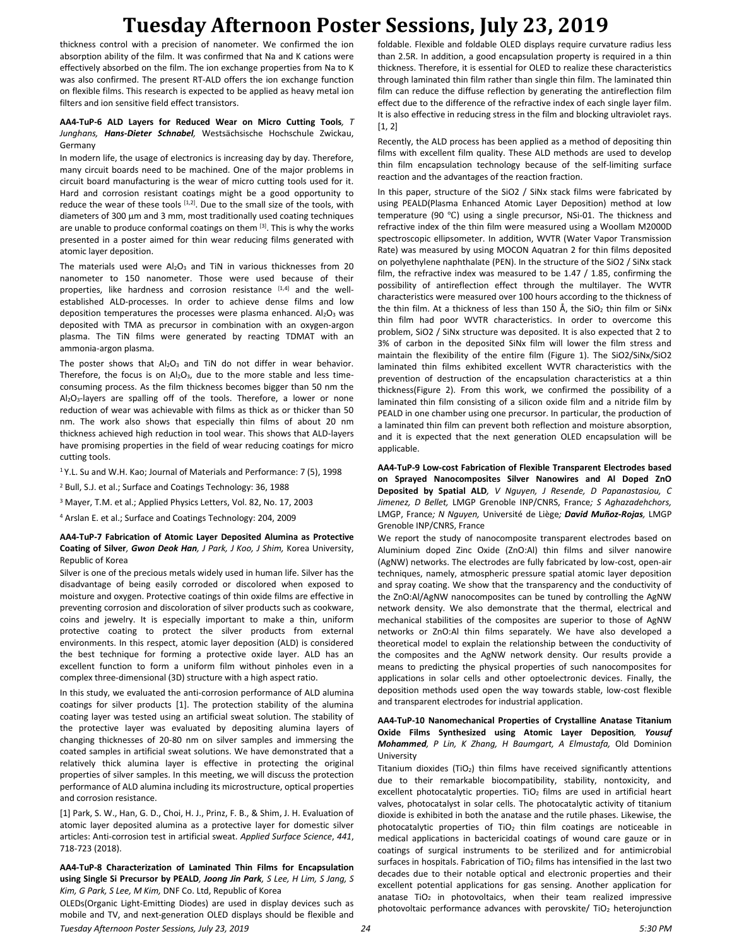thickness control with a precision of nanometer. We confirmed the ion absorption ability of the film. It was confirmed that Na and K cations were effectively absorbed on the film. The ion exchange properties from Na to K was also confirmed. The present RT-ALD offers the ion exchange function on flexible films. This research is expected to be applied as heavy metal ion filters and ion sensitive field effect transistors.

#### **AA4-TuP-6 ALD Layers for Reduced Wear on Micro Cutting Tools***, T Junghans, Hans-Dieter Schnabel,* Westsächsische Hochschule Zwickau, Germany

In modern life, the usage of electronics is increasing day by day. Therefore, many circuit boards need to be machined. One of the major problems in circuit board manufacturing is the wear of micro cutting tools used for it. Hard and corrosion resistant coatings might be a good opportunity to reduce the wear of these tools [1,2]. Due to the small size of the tools, with diameters of 300 µm and 3 mm, most traditionally used coating techniques are unable to produce conformal coatings on them <sup>[3]</sup>. This is why the works presented in a poster aimed for thin wear reducing films generated with atomic layer deposition.

The materials used were  $Al_2O_3$  and TiN in various thicknesses from 20 nanometer to 150 nanometer. Those were used because of their properties, like hardness and corrosion resistance [1,4] and the wellestablished ALD-processes. In order to achieve dense films and low deposition temperatures the processes were plasma enhanced.  $Al_2O_3$  was deposited with TMA as precursor in combination with an oxygen-argon plasma. The TiN films were generated by reacting TDMAT with an ammonia-argon plasma.

The poster shows that  $Al_2O_3$  and TiN do not differ in wear behavior. Therefore, the focus is on  $Al_2O_3$ , due to the more stable and less timeconsuming process. As the film thickness becomes bigger than 50 nm the Al<sub>2</sub>O<sub>3</sub>-layers are spalling off of the tools. Therefore, a lower or none reduction of wear was achievable with films as thick as or thicker than 50 nm. The work also shows that especially thin films of about 20 nm thickness achieved high reduction in tool wear. This shows that ALD-layers have promising properties in the field of wear reducing coatings for micro cutting tools.

<sup>1</sup>Y.L. Su and W.H. Kao; Journal of Materials and Performance: 7 (5), 1998

<sup>2</sup> Bull, S.J. et al.; Surface and Coatings Technology: 36, 1988

<sup>3</sup> Mayer, T.M. et al.; Applied Physics Letters, Vol. 82, No. 17, 2003

<sup>4</sup> Arslan E. et al.; Surface and Coatings Technology: 204, 2009

#### **AA4-TuP-7 Fabrication of Atomic Layer Deposited Alumina as Protective Coating of Silver***, Gwon Deok Han, J Park, J Koo, J Shim,* Korea University, Republic of Korea

Silver is one of the precious metals widely used in human life. Silver has the disadvantage of being easily corroded or discolored when exposed to moisture and oxygen. Protective coatings of thin oxide films are effective in preventing corrosion and discoloration of silver products such as cookware, coins and jewelry. It is especially important to make a thin, uniform protective coating to protect the silver products from external environments. In this respect, atomic layer deposition (ALD) is considered the best technique for forming a protective oxide layer. ALD has an excellent function to form a uniform film without pinholes even in a complex three-dimensional (3D) structure with a high aspect ratio.

In this study, we evaluated the anti-corrosion performance of ALD alumina coatings for silver products [1]. The protection stability of the alumina coating layer was tested using an artificial sweat solution. The stability of the protective layer was evaluated by depositing alumina layers of changing thicknesses of 20-80 nm on silver samples and immersing the coated samples in artificial sweat solutions. We have demonstrated that a relatively thick alumina layer is effective in protecting the original properties of silver samples. In this meeting, we will discuss the protection performance of ALD alumina including its microstructure, optical properties and corrosion resistance.

[1] Park, S. W., Han, G. D., Choi, H. J., Prinz, F. B., & Shim, J. H. Evaluation of atomic layer deposited alumina as a protective layer for domestic silver articles: Anti-corrosion test in artificial sweat. *Applied Surface Science*, *441*, 718-723 (2018).

**AA4-TuP-8 Characterization of Laminated Thin Films for Encapsulation using Single Si Precursor by PEALD***, Joong Jin Park, S Lee, H Lim, S Jang, S Kim, G Park, S Lee, M Kim,* DNF Co. Ltd, Republic of Korea

*Tuesday Afternoon Poster Sessions, July 23, 2019 24 5:30 PM* OLEDs(Organic Light-Emitting Diodes) are used in display devices such as mobile and TV, and next-generation OLED displays should be flexible and

foldable. Flexible and foldable OLED displays require curvature radius less than 2.5R. In addition, a good encapsulation property is required in a thin thickness. Therefore, it is essential for OLED to realize these characteristics through laminated thin film rather than single thin film. The laminated thin film can reduce the diffuse reflection by generating the antireflection film effect due to the difference of the refractive index of each single layer film. It is also effective in reducing stress in the film and blocking ultraviolet rays. [1, 2]

Recently, the ALD process has been applied as a method of depositing thin films with excellent film quality. These ALD methods are used to develop thin film encapsulation technology because of the self-limiting surface reaction and the advantages of the reaction fraction.

In this paper, structure of the SiO2 / SiNx stack films were fabricated by using PEALD(Plasma Enhanced Atomic Layer Deposition) method at low temperature (90 ℃) using a single precursor, NSi-01. The thickness and refractive index of the thin film were measured using a Woollam M2000D spectroscopic ellipsometer. In addition, WVTR (Water Vapor Transmission Rate) was measured by using MOCON Aquatran 2 for thin films deposited on polyethylene naphthalate (PEN). In the structure of the SiO2 / SiNx stack film, the refractive index was measured to be 1.47 / 1.85, confirming the possibility of antireflection effect through the multilayer. The WVTR characteristics were measured over 100 hours according to the thickness of the thin film. At a thickness of less than 150 Å, the SiO<sub>2</sub> thin film or SiNx thin film had poor WVTR characteristics. In order to overcome this problem, SiO2 / SiNx structure was deposited. It is also expected that 2 to 3% of carbon in the deposited SiNx film will lower the film stress and maintain the flexibility of the entire film (Figure 1). The SiO2/SiNx/SiO2 laminated thin films exhibited excellent WVTR characteristics with the prevention of destruction of the encapsulation characteristics at a thin thickness(Figure 2). From this work, we confirmed the possibility of a laminated thin film consisting of a silicon oxide film and a nitride film by PEALD in one chamber using one precursor. In particular, the production of a laminated thin film can prevent both reflection and moisture absorption, and it is expected that the next generation OLED encapsulation will be applicable.

**AA4-TuP-9 Low-cost Fabrication of Flexible Transparent Electrodes based on Sprayed Nanocomposites Silver Nanowires and Al Doped ZnO Deposited by Spatial ALD***, V Nguyen, J Resende, D Papanastasiou, C Jimenez, D Bellet,* LMGP Grenoble INP/CNRS, France*; S Aghazadehchors,*  LMGP, France*; N Nguyen,* Université de Liège*; David Muñoz-Rojas,* LMGP Grenoble INP/CNRS, France

We report the study of nanocomposite transparent electrodes based on Aluminium doped Zinc Oxide (ZnO:Al) thin films and silver nanowire (AgNW) networks. The electrodes are fully fabricated by low-cost, open-air techniques, namely, atmospheric pressure spatial atomic layer deposition and spray coating. We show that the transparency and the conductivity of the ZnO:Al/AgNW nanocomposites can be tuned by controlling the AgNW network density. We also demonstrate that the thermal, electrical and mechanical stabilities of the composites are superior to those of AgNW networks or ZnO:Al thin films separately. We have also developed a theoretical model to explain the relationship between the conductivity of the composites and the AgNW network density. Our results provide a means to predicting the physical properties of such nanocomposites for applications in solar cells and other optoelectronic devices. Finally, the deposition methods used open the way towards stable, low-cost flexible and transparent electrodes for industrial application.

#### **AA4-TuP-10 Nanomechanical Properties of Crystalline Anatase Titanium Oxide Films Synthesized using Atomic Layer Deposition***, Yousuf Mohammed, P Lin, K Zhang, H Baumgart, A Elmustafa,* Old Dominion University

Titanium dioxides (TiO<sub>2</sub>) thin films have received significantly attentions due to their remarkable biocompatibility, stability, nontoxicity, and excellent photocatalytic properties. TiO<sub>2</sub> films are used in artificial heart valves, photocatalyst in solar cells. The photocatalytic activity of titanium dioxide is exhibited in both the anatase and the rutile phases. Likewise, the photocatalytic properties of  $TiO<sub>2</sub>$  thin film coatings are noticeable in medical applications in bactericidal coatings of wound care gauze or in coatings of surgical instruments to be sterilized and for antimicrobial surfaces in hospitals. Fabrication of  $TiO<sub>2</sub>$  films has intensified in the last two decades due to their notable optical and electronic properties and their excellent potential applications for gas sensing. Another application for anatase  $TiO<sub>2</sub>$  in photovoltaics, when their team realized impressive photovoltaic performance advances with perovskite/ $TiO<sub>2</sub>$  heterojunction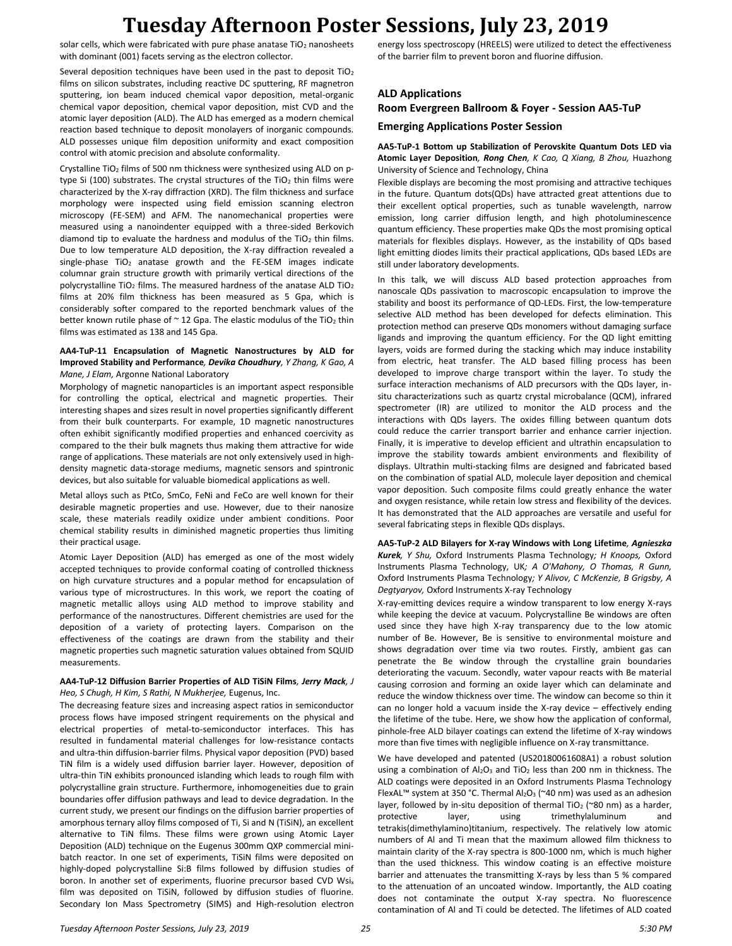solar cells, which were fabricated with pure phase anatase  $TiO<sub>2</sub>$  nanosheets with dominant (001) facets serving as the electron collector.

Several deposition techniques have been used in the past to deposit TiO<sub>2</sub> films on silicon substrates, including reactive DC sputtering, RF magnetron sputtering, ion beam induced chemical vapor deposition, metal-organic chemical vapor deposition, chemical vapor deposition, mist CVD and the atomic layer deposition (ALD). The ALD has emerged as a modern chemical reaction based technique to deposit monolayers of inorganic compounds. ALD possesses unique film deposition uniformity and exact composition control with atomic precision and absolute conformality.

Crystalline TiO<sub>2</sub> films of 500 nm thickness were synthesized using ALD on ptype Si (100) substrates. The crystal structures of the TiO<sub>2</sub> thin films were characterized by the X-ray diffraction (XRD). The film thickness and surface morphology were inspected using field emission scanning electron microscopy (FE-SEM) and AFM. The nanomechanical properties were measured using a nanoindenter equipped with a three-sided Berkovich diamond tip to evaluate the hardness and modulus of the  $TiO<sub>2</sub>$  thin films. Due to low temperature ALD deposition, the X-ray diffraction revealed a single-phase  $TiO<sub>2</sub>$  anatase growth and the FE-SEM images indicate columnar grain structure growth with primarily vertical directions of the polycrystalline TiO<sub>2</sub> films. The measured hardness of the anatase ALD TiO<sub>2</sub> films at 20% film thickness has been measured as 5 Gpa, which is considerably softer compared to the reported benchmark values of the better known rutile phase of  $\sim$  12 Gpa. The elastic modulus of the TiO<sub>2</sub> thin films was estimated as 138 and 145 Gpa.

### **AA4-TuP-11 Encapsulation of Magnetic Nanostructures by ALD for Improved Stability and Performance***, Devika Choudhury, Y Zhang, K Gao, A Mane, J Elam,* Argonne National Laboratory

Morphology of magnetic nanoparticles is an important aspect responsible for controlling the optical, electrical and magnetic properties. Their interesting shapes and sizes result in novel properties significantly different from their bulk counterparts. For example, 1D magnetic nanostructures often exhibit significantly modified properties and enhanced coercivity as compared to the their bulk magnets thus making them attractive for wide range of applications. These materials are not only extensively used in highdensity magnetic data-storage mediums, magnetic sensors and spintronic devices, but also suitable for valuable biomedical applications as well.

Metal alloys such as PtCo, SmCo, FeNi and FeCo are well known for their desirable magnetic properties and use. However, due to their nanosize scale, these materials readily oxidize under ambient conditions. Poor chemical stability results in diminished magnetic properties thus limiting their practical usage.

Atomic Layer Deposition (ALD) has emerged as one of the most widely accepted techniques to provide conformal coating of controlled thickness on high curvature structures and a popular method for encapsulation of various type of microstructures. In this work, we report the coating of magnetic metallic alloys using ALD method to improve stability and performance of the nanostructures. Different chemistries are used for the deposition of a variety of protecting layers. Comparison on the effectiveness of the coatings are drawn from the stability and their magnetic properties such magnetic saturation values obtained from SQUID measurements.

### **AA4-TuP-12 Diffusion Barrier Properties of ALD TiSiN Films***, Jerry Mack, J Heo, S Chugh, H Kim, S Rathi, N Mukherjee,* Eugenus, Inc.

The decreasing feature sizes and increasing aspect ratios in semiconductor process flows have imposed stringent requirements on the physical and electrical properties of metal-to-semiconductor interfaces. This has resulted in fundamental material challenges for low-resistance contacts and ultra-thin diffusion-barrier films. Physical vapor deposition (PVD) based TiN film is a widely used diffusion barrier layer. However, deposition of ultra-thin TiN exhibits pronounced islanding which leads to rough film with polycrystalline grain structure. Furthermore, inhomogeneities due to grain boundaries offer diffusion pathways and lead to device degradation. In the current study, we present our findings on the diffusion barrier properties of amorphous ternary alloy films composed of Ti, Si and N (TiSiN), an excellent alternative to TiN films. These films were grown using Atomic Layer Deposition (ALD) technique on the Eugenus 300mm QXP commercial minibatch reactor. In one set of experiments, TiSiN films were deposited on highly-doped polycrystalline Si:B films followed by diffusion studies of boron. In another set of experiments, fluorine precursor based CVD Wsi<sub>x</sub> film was deposited on TiSiN, followed by diffusion studies of fluorine. Secondary Ion Mass Spectrometry (SIMS) and High-resolution electron

energy loss spectroscopy (HREELS) were utilized to detect the effectiveness of the barrier film to prevent boron and fluorine diffusion.

## **ALD Applications Room Evergreen Ballroom & Foyer - Session AA5-TuP**

## **Emerging Applications Poster Session**

### **AA5-TuP-1 Bottom up Stabilization of Perovskite Quantum Dots LED via Atomic Layer Deposition***, Rong Chen, K Cao, Q Xiang, B Zhou,* Huazhong University of Science and Technology, China

Flexible displays are becoming the most promising and attractive techiques in the future. Quantum dots(QDs) have attracted great attentions due to their excellent optical properties, such as tunable wavelength, narrow emission, long carrier diffusion length, and high photoluminescence quantum efficiency. These properties make QDs the most promising optical materials for flexibles displays. However, as the instability of QDs based light emitting diodes limits their practical applications, QDs based LEDs are still under laboratory developments.

In this talk, we will discuss ALD based protection approaches from nanoscale QDs passivation to macroscopic encapsulation to improve the stability and boost its performance of QD-LEDs. First, the low-temperature selective ALD method has been developed for defects elimination. This protection method can preserve QDs monomers without damaging surface ligands and improving the quantum efficiency. For the QD light emitting layers, voids are formed during the stacking which may induce instability from electric, heat transfer. The ALD based filling process has been developed to improve charge transport within the layer. To study the surface interaction mechanisms of ALD precursors with the QDs layer, insitu characterizations such as quartz crystal microbalance (QCM), infrared spectrometer (IR) are utilized to monitor the ALD process and the interactions with QDs layers. The oxides filling between quantum dots could reduce the carrier transport barrier and enhance carrier injection. Finally, it is imperative to develop efficient and ultrathin encapsulation to improve the stability towards ambient environments and flexibility of displays. Ultrathin multi-stacking films are designed and fabricated based on the combination of spatial ALD, molecule layer deposition and chemical vapor deposition. Such composite films could greatly enhance the water and oxygen resistance, while retain low stress and flexibility of the devices. It has demonstrated that the ALD approaches are versatile and useful for several fabricating steps in flexible QDs displays.

### **AA5-TuP-2 ALD Bilayers for X-ray Windows with Long Lifetime***, Agnieszka Kurek, Y Shu,* Oxford Instruments Plasma Technology*; H Knoops,* Oxford Instruments Plasma Technology, UK*; A O'Mahony, O Thomas, R Gunn,*  Oxford Instruments Plasma Technology*; Y Alivov, C McKenzie, B Grigsby, A Degtyaryov,* Oxford Instruments X-ray Technology

X-ray-emitting devices require a window transparent to low energy X-rays while keeping the device at vacuum. Polycrystalline Be windows are often used since they have high X-ray transparency due to the low atomic number of Be. However, Be is sensitive to environmental moisture and shows degradation over time via two routes. Firstly, ambient gas can penetrate the Be window through the crystalline grain boundaries deteriorating the vacuum. Secondly, water vapour reacts with Be material causing corrosion and forming an oxide layer which can delaminate and reduce the window thickness over time. The window can become so thin it can no longer hold a vacuum inside the X-ray device – effectively ending the lifetime of the tube. Here, we show how the application of conformal, pinhole-free ALD bilayer coatings can extend the lifetime of X-ray windows more than five times with negligible influence on X-ray transmittance.

We have developed and patented (US20180061608A1) a robust solution using a combination of  $Al_2O_3$  and TiO<sub>2</sub> less than 200 nm in thickness. The ALD coatings were deposited in an Oxford Instruments Plasma Technology FlexAL™ system at 350 °C. Thermal Al<sub>2</sub>O<sub>3</sub> (~40 nm) was used as an adhesion layer, followed by in-situ deposition of thermal TiO<sub>2</sub> (~80 nm) as a harder, protective layer, using trimethylaluminum and tetrakis(dimethylamino)titanium, respectively. The relatively low atomic numbers of Al and Ti mean that the maximum allowed film thickness to maintain clarity of the X-ray spectra is 800-1000 nm, which is much higher than the used thickness. This window coating is an effective moisture barrier and attenuates the transmitting X-rays by less than 5 % compared to the attenuation of an uncoated window. Importantly, the ALD coating does not contaminate the output X-ray spectra. No fluorescence contamination of Al and Ti could be detected. The lifetimes of ALD coated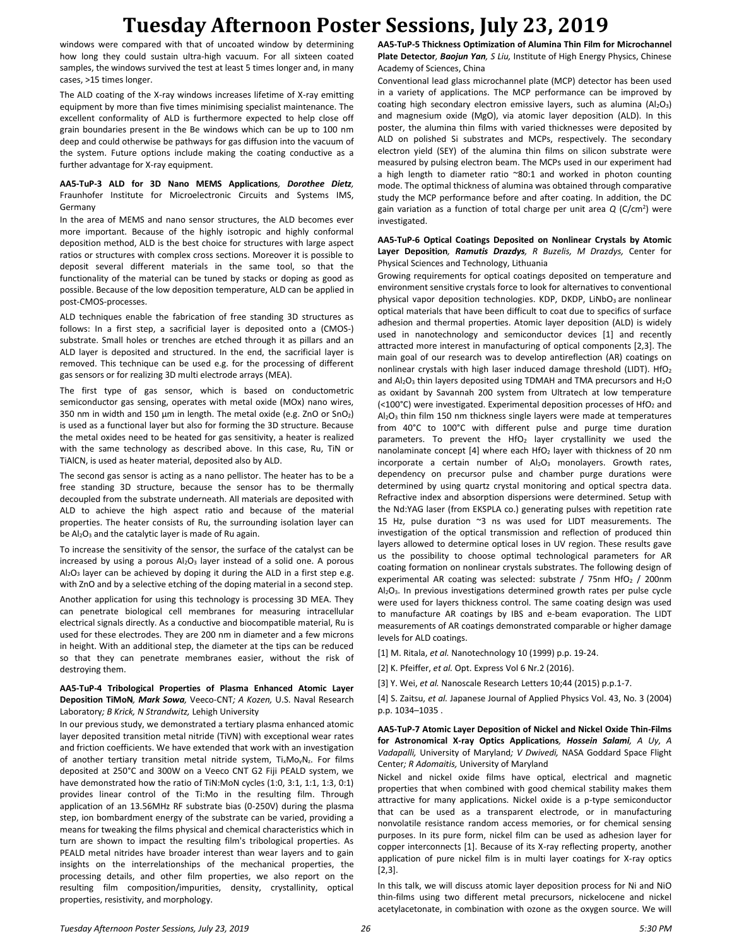windows were compared with that of uncoated window by determining how long they could sustain ultra-high vacuum. For all sixteen coated samples, the windows survived the test at least 5 times longer and, in many cases, >15 times longer.

The ALD coating of the X-ray windows increases lifetime of X-ray emitting equipment by more than five times minimising specialist maintenance. The excellent conformality of ALD is furthermore expected to help close off grain boundaries present in the Be windows which can be up to 100 nm deep and could otherwise be pathways for gas diffusion into the vacuum of the system. Future options include making the coating conductive as a further advantage for X-ray equipment.

### **AA5-TuP-3 ALD for 3D Nano MEMS Applications***, Dorothee Dietz,*  Fraunhofer Institute for Microelectronic Circuits and Systems IMS, Germany

In the area of MEMS and nano sensor structures, the ALD becomes ever more important. Because of the highly isotropic and highly conformal deposition method, ALD is the best choice for structures with large aspect ratios or structures with complex cross sections. Moreover it is possible to deposit several different materials in the same tool, so that the functionality of the material can be tuned by stacks or doping as good as possible. Because of the low deposition temperature, ALD can be applied in post-CMOS-processes.

ALD techniques enable the fabrication of free standing 3D structures as follows: In a first step, a sacrificial layer is deposited onto a (CMOS-) substrate. Small holes or trenches are etched through it as pillars and an ALD layer is deposited and structured. In the end, the sacrificial layer is removed. This technique can be used e.g. for the processing of different gas sensors or for realizing 3D multi electrode arrays (MEA).

The first type of gas sensor, which is based on conductometric semiconductor gas sensing, operates with metal oxide (MOx) nano wires, 350 nm in width and 150 µm in length. The metal oxide (e.g. ZnO or SnO<sub>2</sub>) is used as a functional layer but also for forming the 3D structure. Because the metal oxides need to be heated for gas sensitivity, a heater is realized with the same technology as described above. In this case, Ru, TiN or TiAlCN, is used as heater material, deposited also by ALD.

The second gas sensor is acting as a nano pellistor. The heater has to be a free standing 3D structure, because the sensor has to be thermally decoupled from the substrate underneath. All materials are deposited with ALD to achieve the high aspect ratio and because of the material properties. The heater consists of Ru, the surrounding isolation layer can be  $Al_2O_3$  and the catalytic layer is made of Ru again.

To increase the sensitivity of the sensor, the surface of the catalyst can be increased by using a porous  $Al_2O_3$  layer instead of a solid one. A porous Al2O<sup>3</sup> layer can be achieved by doping it during the ALD in a first step e.g. with ZnO and by a selective etching of the doping material in a second step.

Another application for using this technology is processing 3D MEA. They can penetrate biological cell membranes for measuring intracellular electrical signals directly. As a conductive and biocompatible material, Ru is used for these electrodes. They are 200 nm in diameter and a few microns in height. With an additional step, the diameter at the tips can be reduced so that they can penetrate membranes easier, without the risk of destroying them.

### **AA5-TuP-4 Tribological Properties of Plasma Enhanced Atomic Layer Deposition TiMoN***, Mark Sowa,* Veeco-CNT*; A Kozen,* U.S. Naval Research Laboratory*; B Krick, N Strandwitz,* Lehigh University

In our previous study, we demonstrated a tertiary plasma enhanced atomic layer deposited transition metal nitride (TiVN) with exceptional wear rates and friction coefficients. We have extended that work with an investigation of another tertiary transition metal nitride system, Ti<sub>x</sub>Mo<sub>v</sub>N<sub>z</sub>. For films deposited at 250°C and 300W on a Veeco CNT G2 Fiji PEALD system, we have demonstrated how the ratio of TiN:MoN cycles (1:0, 3:1, 1:1, 1:3, 0:1) provides linear control of the Ti:Mo in the resulting film. Through application of an 13.56MHz RF substrate bias (0-250V) during the plasma step, ion bombardment energy of the substrate can be varied, providing a means for tweaking the films physical and chemical characteristics which in turn are shown to impact the resulting film's tribological properties. As PEALD metal nitrides have broader interest than wear layers and to gain insights on the interrelationships of the mechanical properties, the processing details, and other film properties, we also report on the resulting film composition/impurities, density, crystallinity, optical properties, resistivity, and morphology.

**AA5-TuP-5 Thickness Optimization of Alumina Thin Film for Microchannel Plate Detector***, Baojun Yan, S Liu,* Institute of High Energy Physics, Chinese Academy of Sciences, China

Conventional lead glass microchannel plate (MCP) detector has been used in a variety of applications. The MCP performance can be improved by coating high secondary electron emissive layers, such as alumina  $(A1<sub>2</sub>O<sub>3</sub>)$ and magnesium oxide (MgO), via atomic layer deposition (ALD). In this poster, the alumina thin films with varied thicknesses were deposited by ALD on polished Si substrates and MCPs, respectively. The secondary electron yield (SEY) of the alumina thin films on silicon substrate were measured by pulsing electron beam. The MCPs used in our experiment had a high length to diameter ratio  $\approx 80:1$  and worked in photon counting mode. The optimal thickness of alumina was obtained through comparative study the MCP performance before and after coating. In addition, the DC gain variation as a function of total charge per unit area *Q* (C/cm<sup>2</sup> ) were investigated.

### **AA5-TuP-6 Optical Coatings Deposited on Nonlinear Crystals by Atomic Layer Deposition***, Ramutis Drazdys, R Buzelis, M Drazdys,* Center for Physical Sciences and Technology, Lithuania

Growing requirements for optical coatings deposited on temperature and environment sensitive crystals force to look for alternatives to conventional physical vapor deposition technologies. KDP, DKDP, LiNbO<sub>3</sub> are nonlinear optical materials that have been difficult to coat due to specifics of surface adhesion and thermal properties. Atomic layer deposition (ALD) is widely used in nanotechnology and semiconductor devices [1] and recently attracted more interest in manufacturing of optical components [2,3]. The main goal of our research was to develop antireflection (AR) coatings on nonlinear crystals with high laser induced damage threshold (LIDT). HfO<sub>2</sub> and  $Al_2O_3$  thin layers deposited using TDMAH and TMA precursors and  $H_2O$ as oxidant by Savannah 200 system from Ultratech at low temperature (<100°C) were investigated. Experimental deposition processes of HfO<sup>2</sup> and  $Al<sub>2</sub>O<sub>3</sub>$  thin film 150 nm thickness single layers were made at temperatures from 40°C to 100°C with different pulse and purge time duration parameters. To prevent the HfO<sub>2</sub> layer crystallinity we used the nanolaminate concept [4] where each  $HfO<sub>2</sub>$  layer with thickness of 20 nm incorporate a certain number of  $Al_2O_3$  monolayers. Growth rates, dependency on precursor pulse and chamber purge durations were determined by using quartz crystal monitoring and optical spectra data. Refractive index and absorption dispersions were determined. Setup with the Nd:YAG laser (from EKSPLA co.) generating pulses with repetition rate 15 Hz, pulse duration ~3 ns was used for LIDT measurements. The investigation of the optical transmission and reflection of produced thin layers allowed to determine optical loses in UV region. These results gave us the possibility to choose optimal technological parameters for AR coating formation on nonlinear crystals substrates. The following design of experimental AR coating was selected: substrate / 75nm HfO<sub>2</sub> / 200nm Al2O3. In previous investigations determined growth rates per pulse cycle were used for layers thickness control. The same coating design was used to manufacture AR coatings by IBS and e-beam evaporation. The LIDT measurements of AR coatings demonstrated comparable or higher damage levels for ALD coatings.

[1] M. Ritala, *et al.* Nanotechnology 10 (1999) p.p. 19-24.

[2] K. Pfeiffer, *et al.* Opt. Express Vol 6 Nr.2 (2016).

[3] Y. Wei, *et al.* Nanoscale Research Letters 10;44 (2015) p.p.1-7.

[4] S. Zaitsu, *et al.* Japanese Journal of Applied Physics Vol. 43, No. 3 (2004) p.p. 1034–1035 .

**AA5-TuP-7 Atomic Layer Deposition of Nickel and Nickel Oxide Thin-Films for Astronomical X-ray Optics Applications***, Hossein Salami, A Uy, A Vadapalli,* University of Maryland*; V Dwivedi,* NASA Goddard Space Flight Center*; R Adomaitis,* University of Maryland

Nickel and nickel oxide films have optical, electrical and magnetic properties that when combined with good chemical stability makes them attractive for many applications. Nickel oxide is a p-type semiconductor that can be used as a transparent electrode, or in manufacturing nonvolatile resistance random access memories, or for chemical sensing purposes. In its pure form, nickel film can be used as adhesion layer for copper interconnects [1]. Because of its X-ray reflecting property, another application of pure nickel film is in multi layer coatings for X-ray optics [2,3].

In this talk, we will discuss atomic layer deposition process for Ni and NiO thin-films using two different metal precursors, nickelocene and nickel acetylacetonate, in combination with ozone as the oxygen source. We will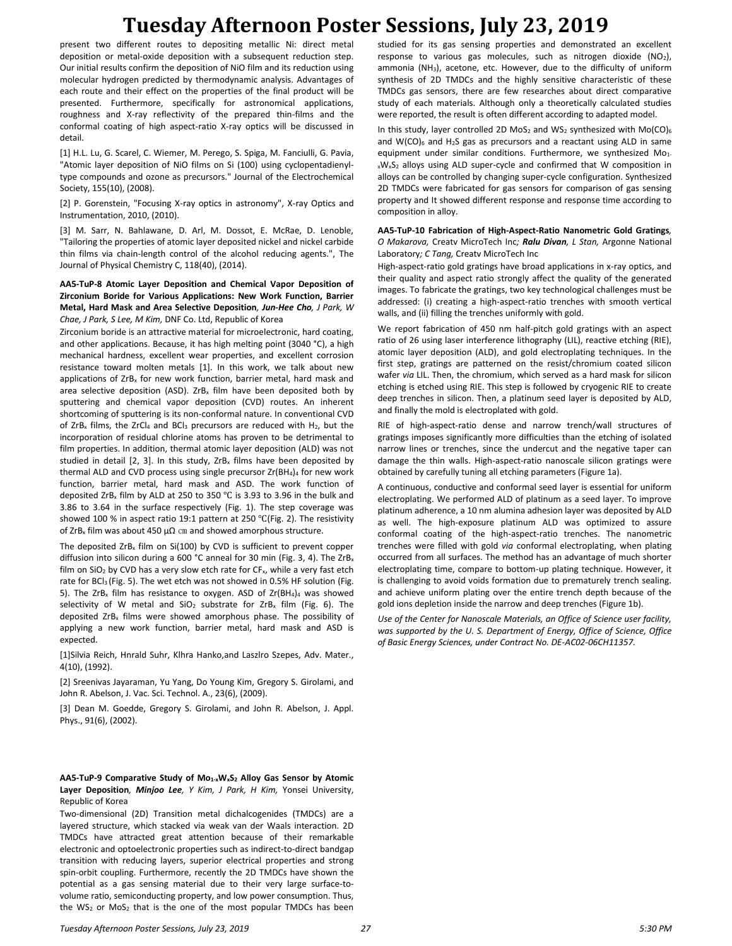present two different routes to depositing metallic Ni: direct metal deposition or metal-oxide deposition with a subsequent reduction step. Our initial results confirm the deposition of NiO film and its reduction using molecular hydrogen predicted by thermodynamic analysis. Advantages of each route and their effect on the properties of the final product will be presented. Furthermore, specifically for astronomical applications, roughness and X-ray reflectivity of the prepared thin-films and the conformal coating of high aspect-ratio X-ray optics will be discussed in detail.

[1] H.L. Lu, G. Scarel, C. Wiemer, M. Perego, S. Spiga, M. Fanciulli, G. Pavia, "Atomic layer deposition of NiO films on Si (100) using cyclopentadienyltype compounds and ozone as precursors." Journal of the Electrochemical Society, 155(10), (2008).

[2] P. Gorenstein, "Focusing X-ray optics in astronomy", X-ray Optics and Instrumentation, 2010, (2010).

[3] M. Sarr, N. Bahlawane, D. Arl, M. Dossot, E. McRae, D. Lenoble, "Tailoring the properties of atomic layer deposited nickel and nickel carbide thin films via chain-length control of the alcohol reducing agents.", The Journal of Physical Chemistry C, 118(40), (2014).

### **AA5-TuP-8 Atomic Layer Deposition and Chemical Vapor Deposition of Zirconium Boride for Various Applications: New Work Function, Barrier Metal, Hard Mask and Area Selective Deposition***, Jun-Hee Cho, J Park, W Chae, J Park, S Lee, M Kim,* DNF Co. Ltd, Republic of Korea

Zirconium boride is an attractive material for microelectronic, hard coating, and other applications. Because, it has high melting point (3040 °C), a high mechanical hardness, excellent wear properties, and excellent corrosion resistance toward molten metals [1]. In this work, we talk about new applications of  $ZrB<sub>x</sub>$  for new work function, barrier metal, hard mask and area selective deposition (ASD). ZrB<sub>x</sub> film have been deposited both by sputtering and chemical vapor deposition (CVD) routes. An inherent shortcoming of sputtering is its non-conformal nature. In conventional CVD of ZrB<sub>x</sub> films, the ZrCl<sub>4</sub> and BCl<sub>3</sub> precursors are reduced with H<sub>2</sub>, but the incorporation of residual chlorine atoms has proven to be detrimental to film properties. In addition, thermal atomic layer deposition (ALD) was not studied in detail  $[2, 3]$ . In this study, ZrB<sub>x</sub> films have been deposited by thermal ALD and CVD process using single precursor Zr(BH4)4 for new work function, barrier metal, hard mask and ASD. The work function of deposited ZrB<sup>x</sup> film by ALD at 250 to 350 ℃ is 3.93 to 3.96 in the bulk and 3.86 to 3.64 in the surface respectively (Fig. 1). The step coverage was showed 100 % in aspect ratio 19:1 pattern at 250 ℃(Fig. 2). The resistivity of ZrB<sub>x</sub> film was about 450  $\mu\Omega$  cm and showed amorphous structure.

The deposited  $ZrB_x$  film on Si(100) by CVD is sufficient to prevent copper diffusion into silicon during a 600 °C anneal for 30 min (Fig. 3, 4). The ZrB<sub>x</sub> film on  $SiO<sub>2</sub>$  by CVD has a very slow etch rate for CF<sub>x</sub>, while a very fast etch rate for BCl<sub>3</sub> (Fig. 5). The wet etch was not showed in 0.5% HF solution (Fig. 5). The ZrB<sub>x</sub> film has resistance to oxygen. ASD of Zr(BH<sub>4</sub>)<sub>4</sub> was showed selectivity of W metal and  $SiO<sub>2</sub>$  substrate for ZrB<sub>x</sub> film (Fig. 6). The deposited ZrB<sub>x</sub> films were showed amorphous phase. The possibility of applying a new work function, barrier metal, hard mask and ASD is expected.

[1]Silvia Reich, Hnrald Suhr, Klhra Hanko,and Laszlro Szepes, Adv. Mater., 4(10), (1992).

[2] Sreenivas Jayaraman, Yu Yang, Do Young Kim, Gregory S. Girolami, and John R. Abelson, J. Vac. Sci. Technol. A., 23(6), (2009).

[3] Dean M. Goedde, Gregory S. Girolami, and John R. Abelson, J. Appl. Phys., 91(6), (2002).

**AA5-TuP-9 Comparative Study of Mo1-xWxS<sup>2</sup> Alloy Gas Sensor by Atomic Layer Deposition***, Minjoo Lee, Y Kim, J Park, H Kim,* Yonsei University, Republic of Korea

Two-dimensional (2D) Transition metal dichalcogenides (TMDCs) are a layered structure, which stacked via weak van der Waals interaction. 2D TMDCs have attracted great attention because of their remarkable electronic and optoelectronic properties such as indirect-to-direct bandgap transition with reducing layers, superior electrical properties and strong spin-orbit coupling. Furthermore, recently the 2D TMDCs have shown the potential as a gas sensing material due to their very large surface-tovolume ratio, semiconducting property, and low power consumption. Thus, the WS<sub>2</sub> or MoS<sub>2</sub> that is the one of the most popular TMDCs has been

studied for its gas sensing properties and demonstrated an excellent response to various gas molecules, such as nitrogen dioxide (NO2), ammonia (NH3), acetone, etc. However, due to the difficulty of uniform synthesis of 2D TMDCs and the highly sensitive characteristic of these TMDCs gas sensors, there are few researches about direct comparative study of each materials. Although only a theoretically calculated studies were reported, the result is often different according to adapted model.

In this study, layer controlled 2D MoS<sub>2</sub> and WS<sub>2</sub> synthesized with Mo(CO)<sub>6</sub> and  $W(CO)_6$  and H<sub>2</sub>S gas as precursors and a reactant using ALD in same equipment under similar conditions. Furthermore, we synthesized Mo<sub>1-</sub>  $xW_xS_2$  alloys using ALD super-cycle and confirmed that W composition in alloys can be controlled by changing super-cycle configuration. Synthesized 2D TMDCs were fabricated for gas sensors for comparison of gas sensing property and It showed different response and response time according to composition in alloy.

#### **AA5-TuP-10 Fabrication of High-Aspect-Ratio Nanometric Gold Gratings***, O Makarova,* Creatv MicroTech Inc*; Ralu Divan, L Stan,* Argonne National Laboratory*; C Tang,* Creatv MicroTech Inc

High-aspect-ratio gold gratings have broad applications in x-ray optics, and their quality and aspect ratio strongly affect the quality of the generated images. To fabricate the gratings, two key technological challenges must be addressed: (i) creating a high-aspect-ratio trenches with smooth vertical walls, and (ii) filling the trenches uniformly with gold.

We report fabrication of 450 nm half-pitch gold gratings with an aspect ratio of 26 using laser interference lithography (LIL), reactive etching (RIE), atomic layer deposition (ALD), and gold electroplating techniques. In the first step, gratings are patterned on the resist/chromium coated silicon wafer *via* LIL. Then, the chromium, which served as a hard mask for silicon etching is etched using RIE. This step is followed by cryogenic RIE to create deep trenches in silicon. Then, a platinum seed layer is deposited by ALD, and finally the mold is electroplated with gold.

RIE of high-aspect-ratio dense and narrow trench/wall structures of gratings imposes significantly more difficulties than the etching of isolated narrow lines or trenches, since the undercut and the negative taper can damage the thin walls. High-aspect-ratio nanoscale silicon gratings were obtained by carefully tuning all etching parameters (Figure 1a).

A continuous, conductive and conformal seed layer is essential for uniform electroplating. We performed ALD of platinum as a seed layer. To improve platinum adherence, a 10 nm alumina adhesion layer was deposited by ALD as well. The high-exposure platinum ALD was optimized to assure conformal coating of the high-aspect-ratio trenches. The nanometric trenches were filled with gold *via* conformal electroplating, when plating occurred from all surfaces. The method has an advantage of much shorter electroplating time, compare to bottom-up plating technique. However, it is challenging to avoid voids formation due to prematurely trench sealing. and achieve uniform plating over the entire trench depth because of the gold ions depletion inside the narrow and deep trenches (Figure 1b).

*Use of the Center for Nanoscale Materials, an Office of Science user facility, was supported by the U. S. Department of Energy, Office of Science, Office of Basic Energy Sciences, under Contract No. DE-AC02-06CH11357.*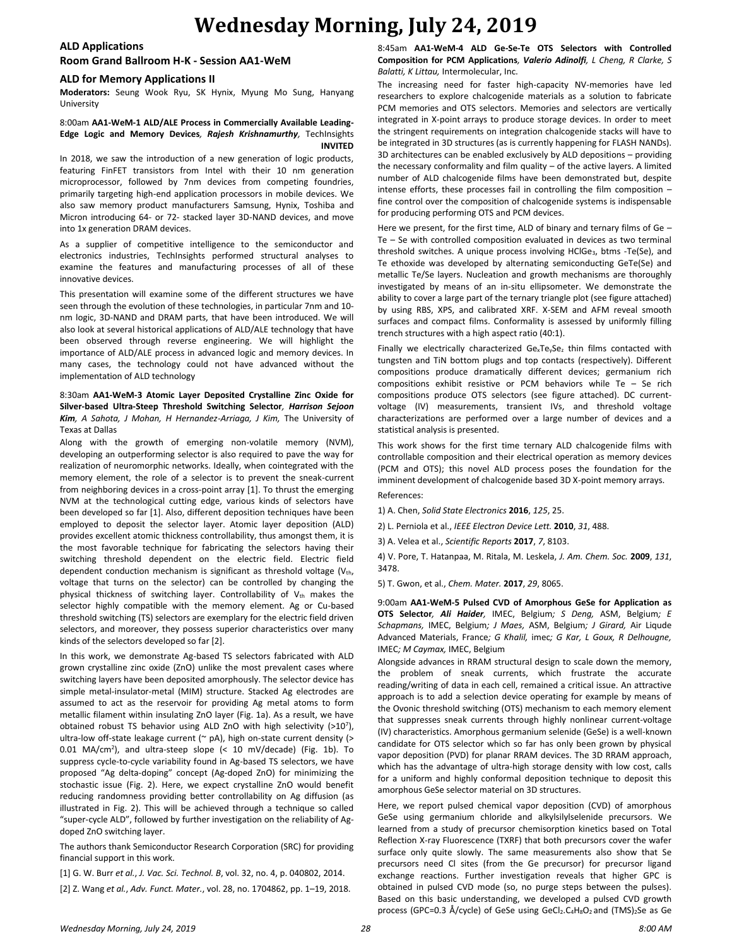## **Wednesday Morning, July 24, 2019**

### **ALD Applications**

**Room Grand Ballroom H-K - Session AA1-WeM**

#### **ALD for Memory Applications II**

**Moderators:** Seung Wook Ryu, SK Hynix, Myung Mo Sung, Hanyang University

#### 8:00am **AA1-WeM-1 ALD/ALE Process in Commercially Available Leading-Edge Logic and Memory Devices***, Rajesh Krishnamurthy,* TechInsights **INVITED**

In 2018, we saw the introduction of a new generation of logic products, featuring FinFET transistors from Intel with their 10 nm generation microprocessor, followed by 7nm devices from competing foundries, primarily targeting high-end application processors in mobile devices. We also saw memory product manufacturers Samsung, Hynix, Toshiba and Micron introducing 64- or 72- stacked layer 3D-NAND devices, and move into 1x generation DRAM devices.

As a supplier of competitive intelligence to the semiconductor and electronics industries, TechInsights performed structural analyses to examine the features and manufacturing processes of all of these innovative devices.

This presentation will examine some of the different structures we have seen through the evolution of these technologies, in particular 7nm and 10 nm logic, 3D-NAND and DRAM parts, that have been introduced. We will also look at several historical applications of ALD/ALE technology that have been observed through reverse engineering. We will highlight the importance of ALD/ALE process in advanced logic and memory devices. In many cases, the technology could not have advanced without the implementation of ALD technology

#### 8:30am **AA1-WeM-3 Atomic Layer Deposited Crystalline Zinc Oxide for Silver-based Ultra-Steep Threshold Switching Selector***, Harrison Sejoon Kim, A Sahota, J Mohan, H Hernandez-Arriaga, J Kim,* The University of Texas at Dallas

Along with the growth of emerging non-volatile memory (NVM), developing an outperforming selector is also required to pave the way for realization of neuromorphic networks. Ideally, when cointegrated with the memory element, the role of a selector is to prevent the sneak-current from neighboring devices in a cross-point array [1]. To thrust the emerging NVM at the technological cutting edge, various kinds of selectors have been developed so far [1]. Also, different deposition techniques have been employed to deposit the selector layer. Atomic layer deposition (ALD) provides excellent atomic thickness controllability, thus amongst them, it is the most favorable technique for fabricating the selectors having their switching threshold dependent on the electric field. Electric field dependent conduction mechanism is significant as threshold voltage  $(V_{th}$ , voltage that turns on the selector) can be controlled by changing the physical thickness of switching layer. Controllability of  $V_{th}$  makes the selector highly compatible with the memory element. Ag or Cu-based threshold switching (TS) selectors are exemplary for the electric field driven selectors, and moreover, they possess superior characteristics over many kinds of the selectors developed so far [2].

In this work, we demonstrate Ag-based TS selectors fabricated with ALD grown crystalline zinc oxide (ZnO) unlike the most prevalent cases where switching layers have been deposited amorphously. The selector device has simple metal-insulator-metal (MIM) structure. Stacked Ag electrodes are assumed to act as the reservoir for providing Ag metal atoms to form metallic filament within insulating ZnO layer (Fig. 1a). As a result, we have obtained robust TS behavior using ALD ZnO with high selectivity (>10<sup>7</sup> ), ultra-low off-state leakage current (~ pA), high on-state current density (> 0.01 MA/cm<sup>2</sup>), and ultra-steep slope (< 10 mV/decade) (Fig. 1b). To suppress cycle-to-cycle variability found in Ag-based TS selectors, we have proposed "Ag delta-doping" concept (Ag-doped ZnO) for minimizing the stochastic issue (Fig. 2). Here, we expect crystalline ZnO would benefit reducing randomness providing better controllability on Ag diffusion (as illustrated in Fig. 2). This will be achieved through a technique so called "super-cycle ALD", followed by further investigation on the reliability of Agdoped ZnO switching layer.

The authors thank Semiconductor Research Corporation (SRC) for providing financial support in this work.

[1] G. W. Burr *et al.*, *J. Vac. Sci. Technol. B*, vol. 32, no. 4, p. 040802, 2014. [2] Z. Wang *et al.*, *Adv. Funct. Mater.*, vol. 28, no. 1704862, pp. 1–19, 2018.

### 8:45am **AA1-WeM-4 ALD Ge-Se-Te OTS Selectors with Controlled Composition for PCM Applications***, Valerio Adinolfi, L Cheng, R Clarke, S Balatti, K Littau,* Intermolecular, Inc.

The increasing need for faster high-capacity NV-memories have led researchers to explore chalcogenide materials as a solution to fabricate PCM memories and OTS selectors. Memories and selectors are vertically integrated in X-point arrays to produce storage devices. In order to meet the stringent requirements on integration chalcogenide stacks will have to be integrated in 3D structures (as is currently happening for FLASH NANDs). 3D architectures can be enabled exclusively by ALD depositions – providing the necessary conformality and film quality – of the active layers. A limited number of ALD chalcogenide films have been demonstrated but, despite intense efforts, these processes fail in controlling the film composition – fine control over the composition of chalcogenide systems is indispensable for producing performing OTS and PCM devices.

Here we present, for the first time, ALD of binary and ternary films of Ge -Te – Se with controlled composition evaluated in devices as two terminal threshold switches. A unique process involving HClGe<sub>3</sub>, btms -Te(Se), and Te ethoxide was developed by alternating semiconducting GeTe(Se) and metallic Te/Se layers. Nucleation and growth mechanisms are thoroughly investigated by means of an in-situ ellipsometer. We demonstrate the ability to cover a large part of the ternary triangle plot (see figure attached) by using RBS, XPS, and calibrated XRF. X-SEM and AFM reveal smooth surfaces and compact films. Conformality is assessed by uniformly filling trench structures with a high aspect ratio (40:1).

Finally we electrically characterized  $Ge_xTe_ySe_z$  thin films contacted with tungsten and TiN bottom plugs and top contacts (respectively). Different compositions produce dramatically different devices; germanium rich compositions exhibit resistive or PCM behaviors while Te – Se rich compositions produce OTS selectors (see figure attached). DC currentvoltage (IV) measurements, transient IVs, and threshold voltage characterizations are performed over a large number of devices and a statistical analysis is presented.

This work shows for the first time ternary ALD chalcogenide films with controllable composition and their electrical operation as memory devices (PCM and OTS); this novel ALD process poses the foundation for the imminent development of chalcogenide based 3D X-point memory arrays.

## References:

1) A. Chen' *Solid State Electronics* **2016**' *125*' 25.

2) L. Perniola et al.' *IEEE Electron Device Lett.* **2010**' *31*' 488.

3) A. Velea et al.' *Scientific Reports* **2017**' *7*' 8103.

4) V. Pore, T. Hatanpaa, M. Ritala, M. Leskela, J. Am. Chem. Soc. 2009, 131, 3478.

5) T. Gwon' et al.' *Chem. Mater.* **2017**' *29*' 8065.

9:00am **AA1-WeM-5 Pulsed CVD of Amorphous GeSe for Application as OTS Selector***, Ali Haider,* IMEC, Belgium*; S Deng,* ASM, Belgium*; E Schapmans,* IMEC, Belgium*; J Maes,* ASM, Belgium*; J Girard,* Air Liqude Advanced Materials, France*; G Khalil,* imec*; G Kar, L Goux, R Delhougne,*  IMEC*; M Caymax,* IMEC, Belgium

Alongside advances in RRAM structural design to scale down the memory, the problem of sneak currents, which frustrate the accurate reading/writing of data in each cell, remained a critical issue. An attractive approach is to add a selection device operating for example by means of the Ovonic threshold switching (OTS) mechanism to each memory element that suppresses sneak currents through highly nonlinear current-voltage (IV) characteristics. Amorphous germanium selenide (GeSe) is a well-known candidate for OTS selector which so far has only been grown by physical vapor deposition (PVD) for planar RRAM devices. The 3D RRAM approach, which has the advantage of ultra-high storage density with low cost, calls for a uniform and highly conformal deposition technique to deposit this amorphous GeSe selector material on 3D structures.

Here, we report pulsed chemical vapor deposition (CVD) of amorphous GeSe using germanium chloride and alkylsilylselenide precursors. We learned from a study of precursor chemisorption kinetics based on Total Reflection X-ray Fluorescence (TXRF) that both precursors cover the wafer surface only quite slowly. The same measurements also show that Se precursors need Cl sites (from the Ge precursor) for precursor ligand exchange reactions. Further investigation reveals that higher GPC is obtained in pulsed CVD mode (so, no purge steps between the pulses). Based on this basic understanding, we developed a pulsed CVD growth process (GPC=0.3 Å/cycle) of GeSe using GeCl<sub>2</sub>.C<sub>4</sub>H<sub>8</sub>O<sub>2</sub> and (TMS)<sub>2</sub>Se as Ge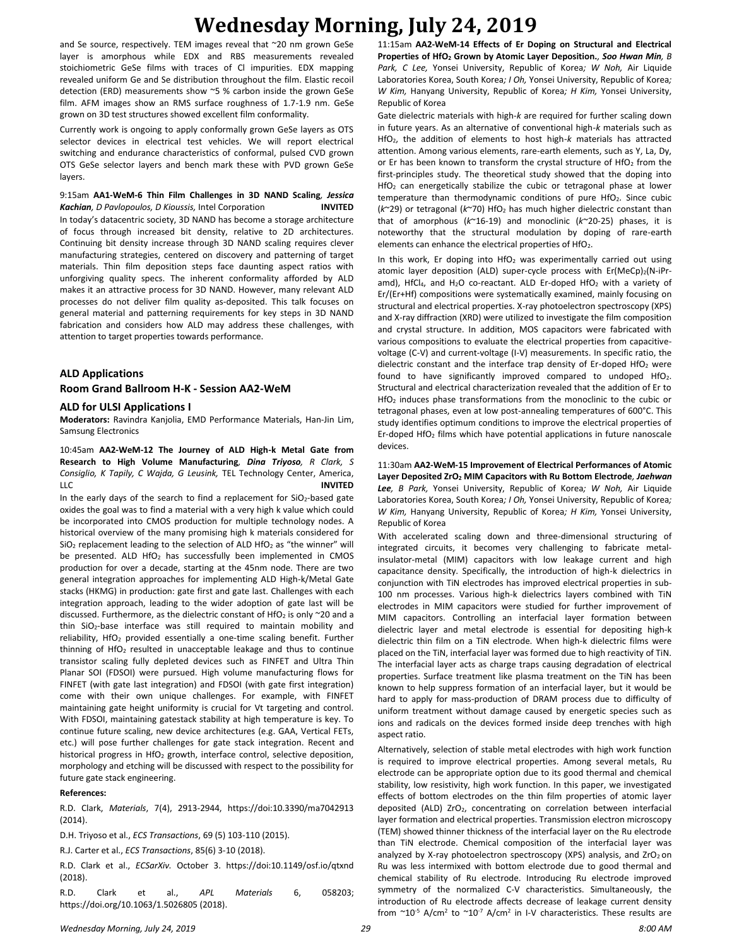# **Wednesday Morning, July 24, 2019**

and Se source, respectively. TEM images reveal that ~20 nm grown GeSe layer is amorphous while EDX and RBS measurements revealed stoichiometric GeSe films with traces of Cl impurities. EDX mapping revealed uniform Ge and Se distribution throughout the film. Elastic recoil detection (ERD) measurements show ~5 % carbon inside the grown GeSe film. AFM images show an RMS surface roughness of 1.7-1.9 nm. GeSe grown on 3D test structures showed excellent film conformality.

Currently work is ongoing to apply conformally grown GeSe layers as OTS selector devices in electrical test vehicles. We will report electrical switching and endurance characteristics of conformal, pulsed CVD grown OTS GeSe selector layers and bench mark these with PVD grown GeSe layers.

9:15am **AA1-WeM-6 Thin Film Challenges in 3D NAND Scaling***, Jessica Kachian, D Pavlopoulos, D Kioussis,* Intel Corporation **INVITED** In today's datacentric society, 3D NAND has become a storage architecture of focus through increased bit density, relative to 2D architectures. Continuing bit density increase through 3D NAND scaling requires clever manufacturing strategies, centered on discovery and patterning of target materials. Thin film deposition steps face daunting aspect ratios with unforgiving quality specs. The inherent conformality afforded by ALD makes it an attractive process for 3D NAND. However, many relevant ALD processes do not deliver film quality as-deposited. This talk focuses on general material and patterning requirements for key steps in 3D NAND fabrication and considers how ALD may address these challenges, with attention to target properties towards performance.

### **ALD Applications**

### **Room Grand Ballroom H-K - Session AA2-WeM**

#### **ALD for ULSI Applications I**

**Moderators:** Ravindra Kanjolia, EMD Performance Materials, Han-Jin Lim, Samsung Electronics

10:45am **AA2-WeM-12 The Journey of ALD High-k Metal Gate from Research to High Volume Manufacturing***, Dina Triyoso, R Clark, S Consiglio, K Tapily, C Wajda, G Leusink,* TEL Technology Center, America, LLC **INVITED**

In the early days of the search to find a replacement for  $SiO_2$ -based gate oxides the goal was to find a material with a very high k value which could be incorporated into CMOS production for multiple technology nodes. A historical overview of the many promising high k materials considered for  $SiO<sub>2</sub>$  replacement leading to the selection of ALD HfO<sub>2</sub> as "the winner" will be presented. ALD HfO<sub>2</sub> has successfully been implemented in CMOS production for over a decade, starting at the 45nm node. There are two general integration approaches for implementing ALD High-k/Metal Gate stacks (HKMG) in production: gate first and gate last. Challenges with each integration approach, leading to the wider adoption of gate last will be discussed. Furthermore, as the dielectric constant of HfO<sub>2</sub> is only  $\sim$ 20 and a thin SiO2-base interface was still required to maintain mobility and reliability, HfO<sub>2</sub> provided essentially a one-time scaling benefit. Further thinning of HfO<sub>2</sub> resulted in unacceptable leakage and thus to continue transistor scaling fully depleted devices such as FINFET and Ultra Thin Planar SOI (FDSOI) were pursued. High volume manufacturing flows for FINFET (with gate last integration) and FDSOI (with gate first integration) come with their own unique challenges. For example, with FINFET maintaining gate height uniformity is crucial for Vt targeting and control. With FDSOI, maintaining gatestack stability at high temperature is key. To continue future scaling, new device architectures (e.g. GAA, Vertical FETs, etc.) will pose further challenges for gate stack integration. Recent and historical progress in HfO<sub>2</sub> growth, interface control, selective deposition, morphology and etching will be discussed with respect to the possibility for future gate stack engineering.

#### **References:**

R.D. Clark, *Materials*, 7(4), 2913-2944, https://doi:10.3390/ma7042913 (2014).

D.H. Triyoso et al., *ECS Transactions*, 69 (5) 103-110 (2015).

R.J. Carter et al., *ECS Transactions*, 85(6) 3-10 (2018).

R.D. Clark et al., *ECSarXiv.* October 3. https://doi:10.1149/osf.io/qtxnd (2018).

R.D. Clark et al., *APL Materials* 6, 058203; https://doi.org/10.1063/1.5026805 (2018).

11:15am **AA2-WeM-14 Effects of Er Doping on Structural and Electrical Properties of HfO<sup>2</sup> Grown by Atomic Layer Deposition.***, Soo Hwan Min, B Park, C Lee,* Yonsei University, Republic of Korea*; W Noh,* Air Liquide Laboratories Korea, South Korea*; I Oh,* Yonsei University, Republic of Korea*; W Kim,* Hanyang University, Republic of Korea*; H Kim,* Yonsei University, Republic of Korea

Gate dielectric materials with high-*k* are required for further scaling down in future years. As an alternative of conventional high-*k* materials such as HfO2, the addition of elements to host high-*k* materials has attracted attention. Among various elements, rare-earth elements, such as Y, La, Dy, or Er has been known to transform the crystal structure of HfO<sub>2</sub> from the first-principles study. The theoretical study showed that the doping into HfO<sup>2</sup> can energetically stabilize the cubic or tetragonal phase at lower temperature than thermodynamic conditions of pure HfO<sub>2</sub>. Since cubic (*k*~29) or tetragonal (*k*~70) HfO<sup>2</sup> has much higher dielectric constant than that of amorphous (*k*~16-19) and monoclinic (*k*~20-25) phases, it is noteworthy that the structural modulation by doping of rare-earth elements can enhance the electrical properties of HfO<sub>2</sub>.

In this work, Er doping into  $HfO<sub>2</sub>$  was experimentally carried out using atomic layer deposition (ALD) super-cycle process with Er(MeCp)2(N-iPramd), HfCl<sub>4</sub>, and H<sub>2</sub>O co-reactant. ALD Er-doped HfO<sub>2</sub> with a variety of Er/(Er+Hf) compositions were systematically examined, mainly focusing on structural and electrical properties. X-ray photoelectron spectroscopy (XPS) and X-ray diffraction (XRD) were utilized to investigate the film composition and crystal structure. In addition, MOS capacitors were fabricated with various compositions to evaluate the electrical properties from capacitivevoltage (C-V) and current-voltage (I-V) measurements. In specific ratio, the dielectric constant and the interface trap density of Er-doped HfO<sub>2</sub> were found to have significantly improved compared to undoped HfO<sub>2</sub>. Structural and electrical characterization revealed that the addition of Er to HfO<sub>2</sub> induces phase transformations from the monoclinic to the cubic or tetragonal phases, even at low post-annealing temperatures of 600°C. This study identifies optimum conditions to improve the electrical properties of Er-doped HfO<sup>2</sup> films which have potential applications in future nanoscale devices.

11:30am **AA2-WeM-15 Improvement of Electrical Performances of Atomic Layer Deposited ZrO<sup>2</sup> MIM Capacitors with Ru Bottom Electrode***, Jaehwan Lee, B Park,* Yonsei University, Republic of Korea*; W Noh,* Air Liquide Laboratories Korea, South Korea*; I Oh,* Yonsei University, Republic of Korea*; W Kim,* Hanyang University, Republic of Korea*; H Kim,* Yonsei University, Republic of Korea

With accelerated scaling down and three-dimensional structuring of integrated circuits, it becomes very challenging to fabricate metalinsulator-metal (MIM) capacitors with low leakage current and high capacitance density. Specifically, the introduction of high-k dielectrics in conjunction with TiN electrodes has improved electrical properties in sub-100 nm processes. Various high-k dielectrics layers combined with TiN electrodes in MIM capacitors were studied for further improvement of MIM capacitors. Controlling an interfacial layer formation between dielectric layer and metal electrode is essential for depositing high-k dielectric thin film on a TiN electrode. When high-k dielectric films were placed on the TiN, interfacial layer was formed due to high reactivity of TiN. The interfacial layer acts as charge traps causing degradation of electrical properties. Surface treatment like plasma treatment on the TiN has been known to help suppress formation of an interfacial layer, but it would be hard to apply for mass-production of DRAM process due to difficulty of uniform treatment without damage caused by energetic species such as ions and radicals on the devices formed inside deep trenches with high aspect ratio.

Alternatively, selection of stable metal electrodes with high work function is required to improve electrical properties. Among several metals, Ru electrode can be appropriate option due to its good thermal and chemical stability, low resistivity, high work function. In this paper, we investigated effects of bottom electrodes on the thin film properties of atomic layer deposited (ALD) ZrO2, concentrating on correlation between interfacial layer formation and electrical properties. Transmission electron microscopy (TEM) showed thinner thickness of the interfacial layer on the Ru electrode than TiN electrode. Chemical composition of the interfacial layer was analyzed by X-ray photoelectron spectroscopy (XPS) analysis, and  $ZrO<sub>2</sub>$  on Ru was less intermixed with bottom electrode due to good thermal and chemical stability of Ru electrode. Introducing Ru electrode improved symmetry of the normalized C-V characteristics. Simultaneously, the introduction of Ru electrode affects decrease of leakage current density from  $\sim$ 10<sup>-5</sup> A/cm<sup>2</sup> to  $\sim$ 10<sup>-7</sup> A/cm<sup>2</sup> in I-V characteristics. These results are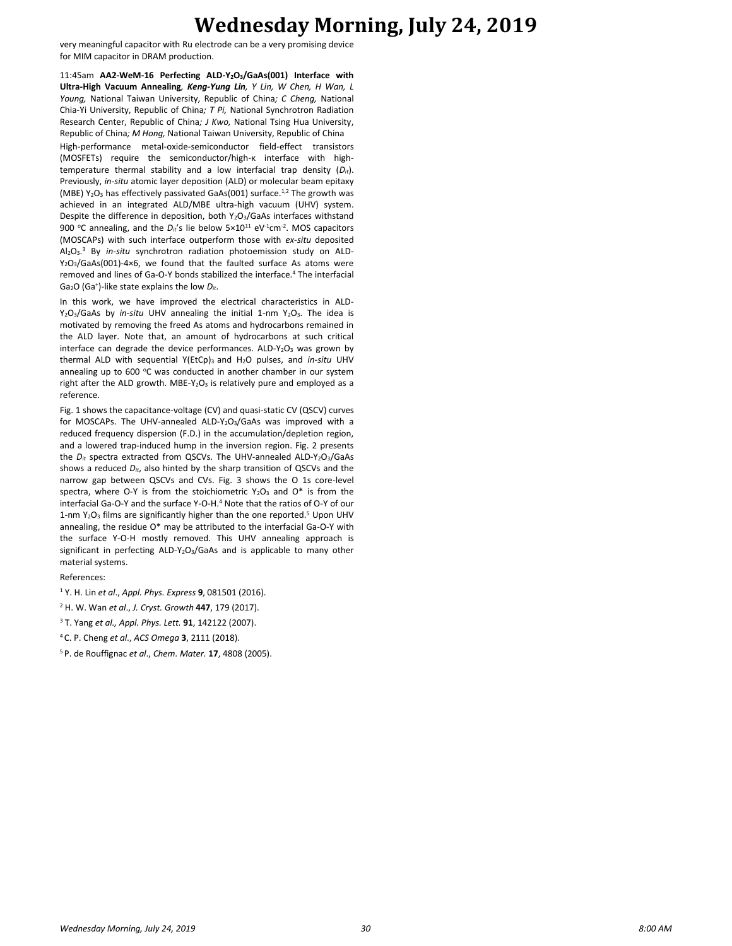## **Wednesday Morning, July 24, 2019**

very meaningful capacitor with Ru electrode can be a very promising device for MIM capacitor in DRAM production.

11:45am **AA2-WeM-16 Perfecting ALD-Y2O3/GaAs(001) Interface with Ultra-High Vacuum Annealing***, Keng-Yung Lin, Y Lin, W Chen, H Wan, L Young,* National Taiwan University, Republic of China*; C Cheng,* National Chia-Yi University, Republic of China*; T Pi,* National Synchrotron Radiation Research Center, Republic of China*; J Kwo,* National Tsing Hua University, Republic of China*; M Hong,* National Taiwan University, Republic of China High-performance metal-oxide-semiconductor field-effect transistors (MOSFETs) require the semiconductor/high-κ interface with hightemperature thermal stability and a low interfacial trap density (*Dit*). Previously, *in-situ* atomic layer deposition (ALD) or molecular beam epitaxy (MBE)  $Y_2O_3$  has effectively passivated GaAs(001) surface.<sup>1,2</sup> The growth was achieved in an integrated ALD/MBE ultra-high vacuum (UHV) system. Despite the difference in deposition, both Y<sub>2</sub>O<sub>3</sub>/GaAs interfaces withstand 900 °C annealing, and the  $D_{it}$ 's lie below  $5 \times 10^{11}$  eV<sup>-1</sup>cm<sup>-2</sup>. MOS capacitors (MOSCAPs) with such interface outperform those with *ex-situ* deposited Al<sub>2</sub>O<sub>3</sub>.<sup>3</sup> By *in-situ* synchrotron radiation photoemission study on ALD- $Y_2O_3/GaAs(001)-4\times6$ , we found that the faulted surface As atoms were removed and lines of Ga-O-Y bonds stabilized the interface.<sup>4</sup> The interfacial Ga2O (Ga<sup>+</sup> )-like state explains the low *Dit*.

In this work, we have improved the electrical characteristics in ALD-Y<sub>2</sub>O<sub>3</sub>/GaAs by *in-situ* UHV annealing the initial 1-nm Y<sub>2</sub>O<sub>3</sub>. The idea is motivated by removing the freed As atoms and hydrocarbons remained in the ALD layer. Note that, an amount of hydrocarbons at such critical interface can degrade the device performances.  $ALD-Y<sub>2</sub>O<sub>3</sub>$  was grown by thermal ALD with sequential Y(EtCp)<sub>3</sub> and H<sub>2</sub>O pulses, and *in-situ* UHV annealing up to 600  $\degree$ C was conducted in another chamber in our system right after the ALD growth. MBE-Y<sub>2</sub>O<sub>3</sub> is relatively pure and employed as a reference.

Fig. 1 shows the capacitance-voltage (CV) and quasi-static CV (QSCV) curves for MOSCAPs. The UHV-annealed ALD-Y2O3/GaAs was improved with a reduced frequency dispersion (F.D.) in the accumulation/depletion region, and a lowered trap-induced hump in the inversion region. Fig. 2 presents the *D<sub>it</sub>* spectra extracted from QSCVs. The UHV-annealed ALD-Y<sub>2</sub>O<sub>3</sub>/GaAs shows a reduced *Dit*, also hinted by the sharp transition of QSCVs and the narrow gap between QSCVs and CVs. Fig. 3 shows the O 1s core-level spectra, where O-Y is from the stoichiometric  $Y_2O_3$  and  $O^*$  is from the interfacial Ga-O-Y and the surface Y-O-H.<sup>4</sup> Note that the ratios of O-Y of our 1-nm  $Y_2O_3$  films are significantly higher than the one reported.<sup>5</sup> Upon UHV annealing, the residue O\* may be attributed to the interfacial Ga-O-Y with the surface Y-O-H mostly removed. This UHV annealing approach is significant in perfecting ALD-Y<sub>2</sub>O<sub>3</sub>/GaAs and is applicable to many other material systems.

#### References:

- <sup>1</sup> Y. H. Lin *et al*., *Appl. Phys. Express* **9**, 081501 (2016).
- <sup>2</sup> H. W. Wan *et al*., *J. Cryst. Growth* **447**, 179 (2017).
- <sup>3</sup> T. Yang *et al., Appl. Phys. Lett.* **91**, 142122 (2007).
- <sup>4</sup>C. P. Cheng *et al*., *ACS Omega* **3**, 2111 (2018).
- 5 P. de Rouffignac *et al*., *Chem. Mater.* **17**, 4808 (2005).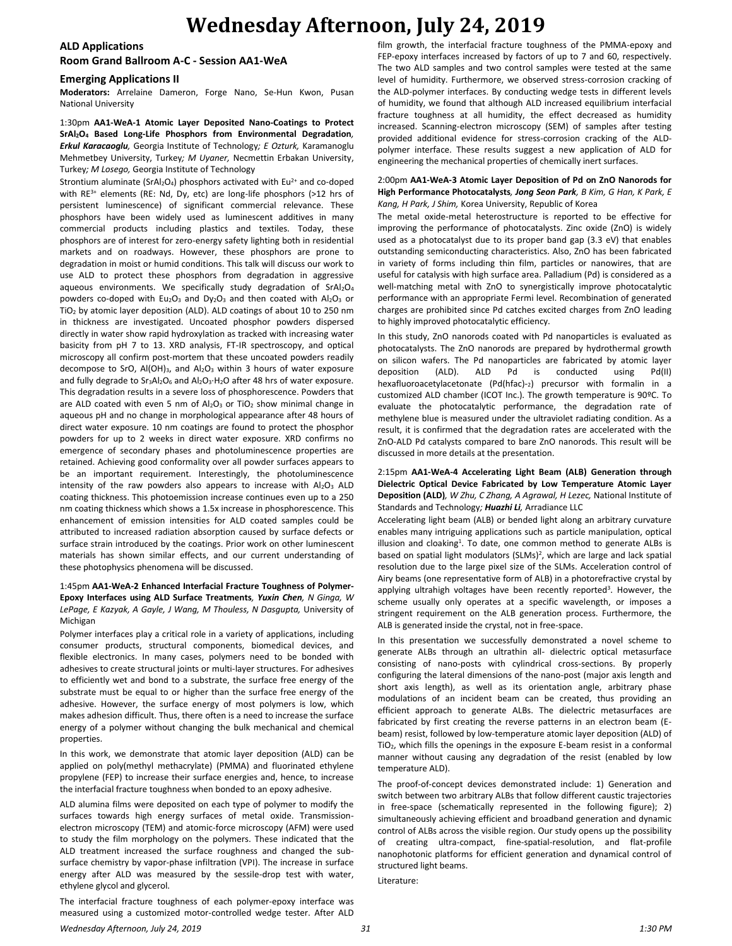### **ALD Applications**

#### **Room Grand Ballroom A-C - Session AA1-WeA**

#### **Emerging Applications II**

**Moderators:** Arrelaine Dameron, Forge Nano, Se-Hun Kwon, Pusan National University

1:30pm **AA1-WeA-1 Atomic Layer Deposited Nano-Coatings to Protect SrAl2O<sup>4</sup> Based Long-Life Phosphors from Environmental Degradation***, Erkul Karacaoglu,* Georgia Institute of Technology*; E Ozturk,* Karamanoglu Mehmetbey University, Turkey*; M Uyaner,* Necmettin Erbakan University, Turkey*; M Losego,* Georgia Institute of Technology

Strontium aluminate (SrAl<sub>2</sub>O<sub>4</sub>) phosphors activated with Eu<sup>2+</sup> and co-doped with RE<sup>3+</sup> elements (RE: Nd, Dy, etc) are long-life phosphors (>12 hrs of persistent luminescence) of significant commercial relevance. These phosphors have been widely used as luminescent additives in many commercial products including plastics and textiles. Today, these phosphors are of interest for zero-energy safety lighting both in residential markets and on roadways. However, these phosphors are prone to degradation in moist or humid conditions. This talk will discuss our work to use ALD to protect these phosphors from degradation in aggressive aqueous environments. We specifically study degradation of SrAl<sub>2</sub>O<sub>4</sub> powders co-doped with  $Eu_2O_3$  and  $Dy_2O_3$  and then coated with  $Al_2O_3$  or TiO<sup>2</sup> by atomic layer deposition (ALD). ALD coatings of about 10 to 250 nm in thickness are investigated. Uncoated phosphor powders dispersed directly in water show rapid hydroxylation as tracked with increasing water basicity from pH 7 to 13. XRD analysis, FT-IR spectroscopy, and optical microscopy all confirm post-mortem that these uncoated powders readily decompose to SrO, Al(OH) $_3$ , and Al<sub>2</sub>O<sub>3</sub> within 3 hours of water exposure and fully degrade to  $Sr_3Al_2O_6$  and  $Al_2O_3·H_2O$  after 48 hrs of water exposure. This degradation results in a severe loss of phosphorescence. Powders that are ALD coated with even 5 nm of  $Al_2O_3$  or TiO<sub>2</sub> show minimal change in aqueous pH and no change in morphological appearance after 48 hours of direct water exposure. 10 nm coatings are found to protect the phosphor powders for up to 2 weeks in direct water exposure. XRD confirms no emergence of secondary phases and photoluminescence properties are retained. Achieving good conformality over all powder surfaces appears to be an important requirement. Interestingly, the photoluminescence intensity of the raw powders also appears to increase with  $Al_2O_3$  ALD coating thickness. This photoemission increase continues even up to a 250 nm coating thickness which shows a 1.5x increase in phosphorescence. This enhancement of emission intensities for ALD coated samples could be attributed to increased radiation absorption caused by surface defects or surface strain introduced by the coatings. Prior work on other luminescent materials has shown similar effects, and our current understanding of these photophysics phenomena will be discussed.

#### 1:45pm **AA1-WeA-2 Enhanced Interfacial Fracture Toughness of Polymer-Epoxy Interfaces using ALD Surface Treatments***, Yuxin Chen, N Ginga, W*  LePage, E Kazyak, A Gayle, J Wang, M Thouless, N Dasgupta, University of Michigan

Polymer interfaces play a critical role in a variety of applications, including consumer products, structural components, biomedical devices, and flexible electronics. In many cases, polymers need to be bonded with adhesives to create structural joints or multi-layer structures. For adhesives to efficiently wet and bond to a substrate, the surface free energy of the substrate must be equal to or higher than the surface free energy of the adhesive. However, the surface energy of most polymers is low, which makes adhesion difficult. Thus, there often is a need to increase the surface energy of a polymer without changing the bulk mechanical and chemical properties.

In this work, we demonstrate that atomic layer deposition (ALD) can be applied on poly(methyl methacrylate) (PMMA) and fluorinated ethylene propylene (FEP) to increase their surface energies and, hence, to increase the interfacial fracture toughness when bonded to an epoxy adhesive.

ALD alumina films were deposited on each type of polymer to modify the surfaces towards high energy surfaces of metal oxide. Transmissionelectron microscopy (TEM) and atomic-force microscopy (AFM) were used to study the film morphology on the polymers. These indicated that the ALD treatment increased the surface roughness and changed the subsurface chemistry by vapor-phase infiltration (VPI). The increase in surface energy after ALD was measured by the sessile-drop test with water, ethylene glycol and glycerol.

The interfacial fracture toughness of each polymer-epoxy interface was measured using a customized motor-controlled wedge tester. After ALD

film growth, the interfacial fracture toughness of the PMMA-epoxy and FEP-epoxy interfaces increased by factors of up to 7 and 60, respectively. The two ALD samples and two control samples were tested at the same level of humidity. Furthermore, we observed stress-corrosion cracking of the ALD-polymer interfaces. By conducting wedge tests in different levels of humidity, we found that although ALD increased equilibrium interfacial fracture toughness at all humidity, the effect decreased as humidity increased. Scanning-electron microscopy (SEM) of samples after testing provided additional evidence for stress-corrosion cracking of the ALDpolymer interface. These results suggest a new application of ALD for engineering the mechanical properties of chemically inert surfaces.

#### 2:00pm **AA1-WeA-3 Atomic Layer Deposition of Pd on ZnO Nanorods for High Performance Photocatalysts***, Jong Seon Park, B Kim, G Han, K Park, E Kang, H Park, J Shim,* Korea University, Republic of Korea

The metal oxide-metal heterostructure is reported to be effective for improving the performance of photocatalysts. Zinc oxide (ZnO) is widely used as a photocatalyst due to its proper band gap (3.3 eV) that enables outstanding semiconducting characteristics. Also, ZnO has been fabricated in variety of forms including thin film, particles or nanowires, that are useful for catalysis with high surface area. Palladium (Pd) is considered as a well-matching metal with ZnO to synergistically improve photocatalytic performance with an appropriate Fermi level. Recombination of generated charges are prohibited since Pd catches excited charges from ZnO leading to highly improved photocatalytic efficiency.

In this study, ZnO nanorods coated with Pd nanoparticles is evaluated as photocatalysts. The ZnO nanorods are prepared by hydrothermal growth on silicon wafers. The Pd nanoparticles are fabricated by atomic layer deposition (ALD). ALD Pd is conducted using Pd(II) hexafluoroacetylacetonate (Pd(hfac)-2) precursor with formalin in a customized ALD chamber (ICOT Inc.). The growth temperature is 90ºC. To evaluate the photocatalytic performance, the degradation rate of methylene blue is measured under the ultraviolet radiating condition. As a result, it is confirmed that the degradation rates are accelerated with the ZnO-ALD Pd catalysts compared to bare ZnO nanorods. This result will be discussed in more details at the presentation.

#### 2:15pm **AA1-WeA-4 Accelerating Light Beam (ALB) Generation through Dielectric Optical Device Fabricated by Low Temperature Atomic Layer Deposition (ALD)***, W Zhu, C Zhang, A Agrawal, H Lezec,* National Institute of Standards and Technology*; Huazhi Li,* Arradiance LLC

Accelerating light beam (ALB) or bended light along an arbitrary curvature enables many intriguing applications such as particle manipulation, optical illusion and cloaking<sup>1</sup>. To date, one common method to generate ALBs is based on spatial light modulators (SLMs)<sup>2</sup>, which are large and lack spatial resolution due to the large pixel size of the SLMs. Acceleration control of Airy beams (one representative form of ALB) in a photorefractive crystal by applying ultrahigh voltages have been recently reported<sup>3</sup>. However, the scheme usually only operates at a specific wavelength, or imposes a stringent requirement on the ALB generation process. Furthermore, the ALB is generated inside the crystal, not in free-space.

In this presentation we successfully demonstrated a novel scheme to generate ALBs through an ultrathin all- dielectric optical metasurface consisting of nano-posts with cylindrical cross-sections. By properly configuring the lateral dimensions of the nano-post (major axis length and short axis length), as well as its orientation angle, arbitrary phase modulations of an incident beam can be created, thus providing an efficient approach to generate ALBs. The dielectric metasurfaces are fabricated by first creating the reverse patterns in an electron beam (Ebeam) resist, followed by low-temperature atomic layer deposition (ALD) of TiO2, which fills the openings in the exposure E-beam resist in a conformal manner without causing any degradation of the resist (enabled by low temperature ALD).

The proof-of-concept devices demonstrated include: 1) Generation and switch between two arbitrary ALBs that follow different caustic trajectories in free-space (schematically represented in the following figure); 2) simultaneously achieving efficient and broadband generation and dynamic control of ALBs across the visible region. Our study opens up the possibility of creating ultra-compact, fine-spatial-resolution, and flat-profile nanophotonic platforms for efficient generation and dynamical control of structured light beams.

Literature: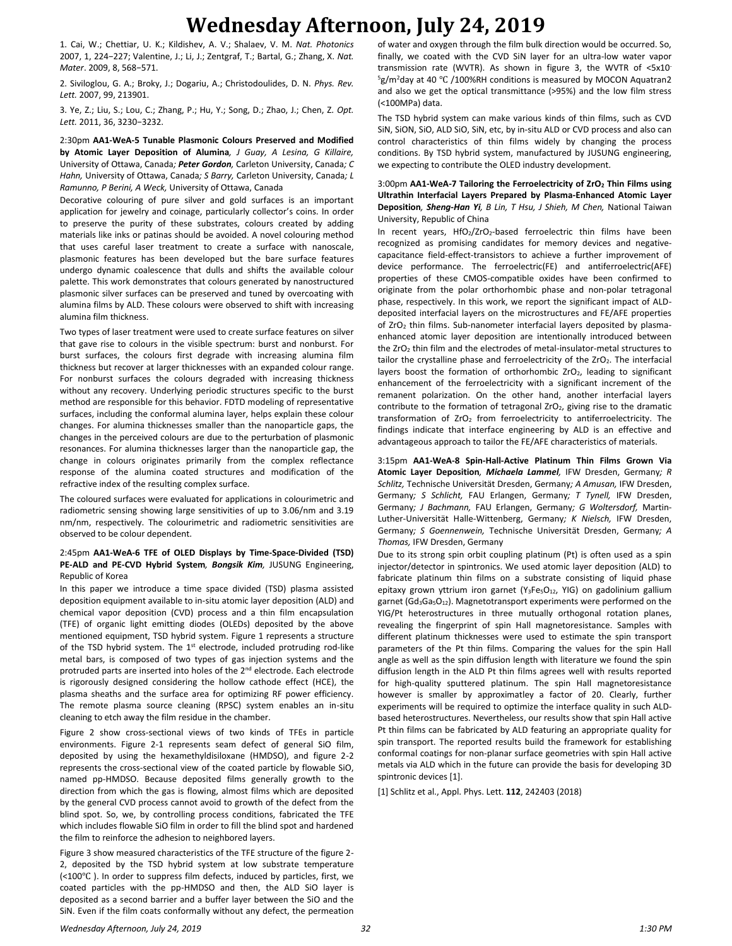1. Cai, W.; Chettiar, U. K.; Kildishev, A. V.; Shalaev, V. M. *Nat. Photonics* 2007, 1, 224−227; Valentine, J.; Li, J.; Zentgraf, T.; Bartal, G.; Zhang, X. *Nat. Mater*. 2009, 8, 568−571.

2. Siviloglou, G. A.; Broky, J.; Dogariu, A.; Christodoulides, D. N. *Phys. Rev. Lett.* 2007, 99, 213901.

3. Ye, Z.; Liu, S.; Lou, C.; Zhang, P.; Hu, Y.; Song, D.; Zhao, J.; Chen, Z. *Opt. Lett.* 2011, 36, 3230−3232.

2:30pm **AA1-WeA-5 Tunable Plasmonic Colours Preserved and Modified by Atomic Layer Deposition of Alumina***, J Guay, A Lesina, G Killaire,*  University of Ottawa, Canada*; Peter Gordon,* Carleton University, Canada*; C Hahn,* University of Ottawa, Canada*; S Barry,* Carleton University, Canada*; L Ramunno, P Berini, A Weck,* University of Ottawa, Canada

Decorative colouring of pure silver and gold surfaces is an important application for jewelry and coinage, particularly collector's coins. In order to preserve the purity of these substrates, colours created by adding materials like inks or patinas should be avoided. A novel colouring method that uses careful laser treatment to create a surface with nanoscale, plasmonic features has been developed but the bare surface features undergo dynamic coalescence that dulls and shifts the available colour palette. This work demonstrates that colours generated by nanostructured plasmonic silver surfaces can be preserved and tuned by overcoating with alumina films by ALD. These colours were observed to shift with increasing alumina film thickness.

Two types of laser treatment were used to create surface features on silver that gave rise to colours in the visible spectrum: burst and nonburst. For burst surfaces, the colours first degrade with increasing alumina film thickness but recover at larger thicknesses with an expanded colour range. For nonburst surfaces the colours degraded with increasing thickness without any recovery. Underlying periodic structures specific to the burst method are responsible for this behavior. FDTD modeling of representative surfaces, including the conformal alumina layer, helps explain these colour changes. For alumina thicknesses smaller than the nanoparticle gaps, the changes in the perceived colours are due to the perturbation of plasmonic resonances. For alumina thicknesses larger than the nanoparticle gap, the change in colours originates primarily from the complex reflectance response of the alumina coated structures and modification of the refractive index of the resulting complex surface.

The coloured surfaces were evaluated for applications in colourimetric and radiometric sensing showing large sensitivities of up to 3.06/nm and 3.19 nm/nm, respectively. The colourimetric and radiometric sensitivities are observed to be colour dependent.

#### 2:45pm **AA1-WeA-6 TFE of OLED Displays by Time-Space-Divided (TSD) PE-ALD and PE-CVD Hybrid System***, Bongsik Kim,* JUSUNG Engineering, Republic of Korea

In this paper we introduce a time space divided (TSD) plasma assisted deposition equipment available to in-situ atomic layer deposition (ALD) and chemical vapor deposition (CVD) process and a thin film encapsulation (TFE) of organic light emitting diodes (OLEDs) deposited by the above mentioned equipment, TSD hybrid system. Figure 1 represents a structure of the TSD hybrid system. The 1<sup>st</sup> electrode, included protruding rod-like metal bars, is composed of two types of gas injection systems and the protruded parts are inserted into holes of the 2<sup>nd</sup> electrode. Each electrode is rigorously designed considering the hollow cathode effect (HCE), the plasma sheaths and the surface area for optimizing RF power efficiency. The remote plasma source cleaning (RPSC) system enables an in-situ cleaning to etch away the film residue in the chamber.

Figure 2 show cross-sectional views of two kinds of TFEs in particle environments. Figure 2-1 represents seam defect of general SiO film, deposited by using the hexamethyldisiloxane (HMDSO), and figure 2-2 represents the cross-sectional view of the coated particle by flowable SiO, named pp-HMDSO. Because deposited films generally growth to the direction from which the gas is flowing, almost films which are deposited by the general CVD process cannot avoid to growth of the defect from the blind spot. So, we, by controlling process conditions, fabricated the TFE which includes flowable SiO film in order to fill the blind spot and hardened the film to reinforce the adhesion to neighbored layers.

Figure 3 show measured characteristics of the TFE structure of the figure 2- 2, deposited by the TSD hybrid system at low substrate temperature (<100℃ ). In order to suppress film defects, induced by particles, first, we coated particles with the pp-HMDSO and then, the ALD SiO layer is deposited as a second barrier and a buffer layer between the SiO and the SiN. Even if the film coats conformally without any defect, the permeation

of water and oxygen through the film bulk direction would be occurred. So, finally, we coated with the CVD SiN layer for an ultra-low water vapor transmission rate (WVTR). As shown in figure 3, the WVTR of <5x10- <sup>5</sup>g/m<sup>2</sup>day at 40 ℃ /100%RH conditions is measured by MOCON Aquatran2 and also we get the optical transmittance (>95%) and the low film stress (<100MPa) data.

The TSD hybrid system can make various kinds of thin films, such as CVD SiN, SiON, SiO, ALD SiO, SiN, etc, by in-situ ALD or CVD process and also can control characteristics of thin films widely by changing the process conditions. By TSD hybrid system, manufactured by JUSUNG engineering, we expecting to contribute the OLED industry development.

#### 3:00pm **AA1-WeA-7 Tailoring the Ferroelectricity of ZrO<sup>2</sup> Thin Films using Ultrathin Interfacial Layers Prepared by Plasma-Enhanced Atomic Layer Deposition***, Sheng-Han Yi, B Lin, T Hsu, J Shieh, M Chen,* National Taiwan University, Republic of China

In recent years, HfO2/ZrO2-based ferroelectric thin films have been recognized as promising candidates for memory devices and negativecapacitance field-effect-transistors to achieve a further improvement of device performance. The ferroelectric(FE) and antiferroelectric(AFE) properties of these CMOS-compatible oxides have been confirmed to originate from the polar orthorhombic phase and non-polar tetragonal phase, respectively. In this work, we report the significant impact of ALDdeposited interfacial layers on the microstructures and FE/AFE properties of ZrO<sub>2</sub> thin films. Sub-nanometer interfacial layers deposited by plasmaenhanced atomic layer deposition are intentionally introduced between the  $ZrO<sub>2</sub>$  thin film and the electrodes of metal-insulator-metal structures to tailor the crystalline phase and ferroelectricity of the  $ZrO<sub>2</sub>$ . The interfacial layers boost the formation of orthorhombic  $ZrO<sub>2</sub>$ , leading to significant enhancement of the ferroelectricity with a significant increment of the remanent polarization. On the other hand, another interfacial layers contribute to the formation of tetragonal ZrO<sub>2</sub>, giving rise to the dramatic transformation of ZrO<sub>2</sub> from ferroelectricity to antiferroelectricity. The findings indicate that interface engineering by ALD is an effective and advantageous approach to tailor the FE/AFE characteristics of materials.

3:15pm **AA1-WeA-8 Spin-Hall-Active Platinum Thin Films Grown Via Atomic Layer Deposition***, Michaela Lammel,* IFW Dresden, Germany*; R Schlitz,* Technische Universität Dresden, Germany*; A Amusan,* IFW Dresden, Germany*; S Schlicht,* FAU Erlangen, Germany*; T Tynell,* IFW Dresden, Germany*; J Bachmann,* FAU Erlangen, Germany*; G Woltersdorf,* Martin-Luther-Universität Halle-Wittenberg, Germany*; K Nielsch,* IFW Dresden, Germany*; S Goennenwein,* Technische Universität Dresden, Germany*; A Thomas,* IFW Dresden, Germany

Due to its strong spin orbit coupling platinum (Pt) is often used as a spin injector/detector in spintronics. We used atomic layer deposition (ALD) to fabricate platinum thin films on a substrate consisting of liquid phase epitaxy grown yttrium iron garnet (Y<sub>3</sub>Fe<sub>5</sub>O<sub>12</sub>, YIG) on gadolinium gallium garnet (Gd<sub>3</sub>Ga<sub>5</sub>O<sub>12</sub>). Magnetotransport experiments were performed on the YIG/Pt heterostructures in three mutually orthogonal rotation planes, revealing the fingerprint of spin Hall magnetoresistance. Samples with different platinum thicknesses were used to estimate the spin transport parameters of the Pt thin films. Comparing the values for the spin Hall angle as well as the spin diffusion length with literature we found the spin diffusion length in the ALD Pt thin films agrees well with results reported for high-quality sputtered platinum. The spin Hall magnetoresistance however is smaller by approximatley a factor of 20. Clearly, further experiments will be required to optimize the interface quality in such ALDbased heterostructures. Nevertheless, our results show that spin Hall active Pt thin films can be fabricated by ALD featuring an appropriate quality for spin transport. The reported results build the framework for establishing conformal coatings for non-planar surface geometries with spin Hall active metals via ALD which in the future can provide the basis for developing 3D spintronic devices [1].

[1] Schlitz et al., Appl. Phys. Lett. **112**, 242403 (2018)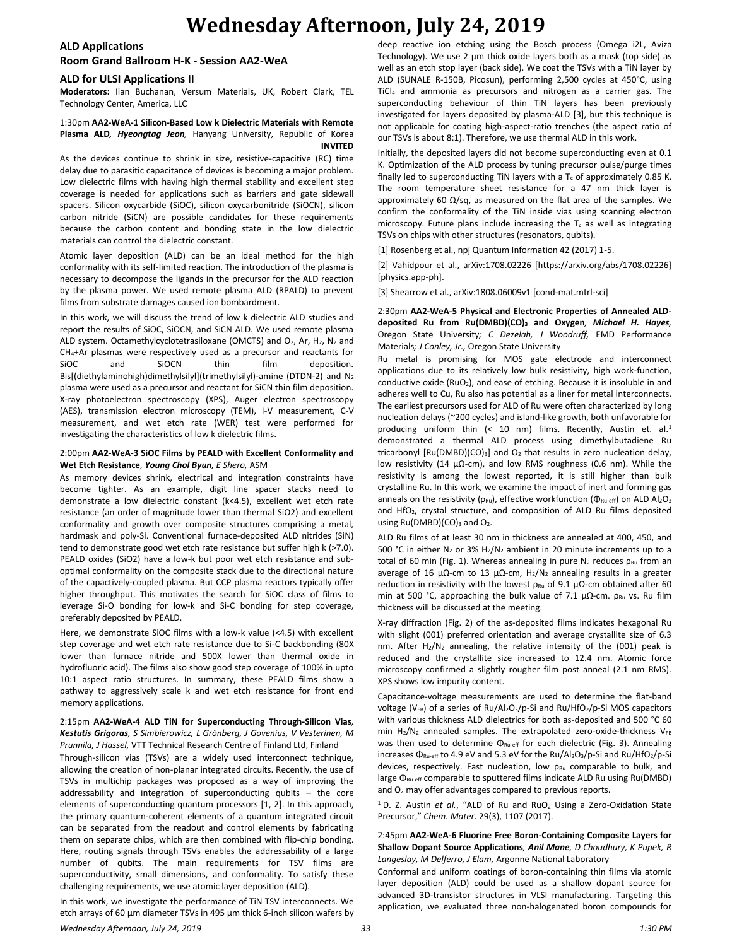### **ALD Applications**

## **Room Grand Ballroom H-K - Session AA2-WeA**

## **ALD for ULSI Applications II**

**Moderators:** Iian Buchanan, Versum Materials, UK, Robert Clark, TEL Technology Center, America, LLC

#### 1:30pm **AA2-WeA-1 Silicon-Based Low k Dielectric Materials with Remote Plasma ALD***, Hyeongtag Jeon,* Hanyang University, Republic of Korea **INVITED**

As the devices continue to shrink in size, resistive-capacitive (RC) time delay due to parasitic capacitance of devices is becoming a major problem. Low dielectric films with having high thermal stability and excellent step coverage is needed for applications such as barriers and gate sidewall spacers. Silicon oxycarbide (SiOC), silicon oxycarbonitride (SiOCN), silicon carbon nitride (SiCN) are possible candidates for these requirements because the carbon content and bonding state in the low dielectric materials can control the dielectric constant.

Atomic layer deposition (ALD) can be an ideal method for the high conformality with its self-limited reaction. The introduction of the plasma is necessary to decompose the ligands in the precursor for the ALD reaction by the plasma power. We used remote plasma ALD (RPALD) to prevent films from substrate damages caused ion bombardment.

In this work, we will discuss the trend of low k dielectric ALD studies and report the results of SiOC, SiOCN, and SiCN ALD. We used remote plasma ALD system. Octamethylcyclotetrasiloxane (OMCTS) and  $O_2$ , Ar, H<sub>2</sub>, N<sub>2</sub> and CH4+Ar plasmas were respectively used as a precursor and reactants for SiOC and SiOCN thin film deposition. Bis[(diethylaminohigh)dimethylsilyl](trimethylsilyl)-amine (DTDN-2) and N<sub>2</sub> plasma were used as a precursor and reactant for SiCN thin film deposition. X-ray photoelectron spectroscopy (XPS), Auger electron spectroscopy (AES), transmission electron microscopy (TEM), I-V measurement, C-V measurement, and wet etch rate (WER) test were performed for investigating the characteristics of low k dielectric films.

### 2:00pm **AA2-WeA-3 SiOC Films by PEALD with Excellent Conformality and Wet Etch Resistance***, Young Chol Byun, E Shero,* ASM

As memory devices shrink, electrical and integration constraints have become tighter. As an example, digit line spacer stacks need to demonstrate a low dielectric constant (k<4.5), excellent wet etch rate resistance (an order of magnitude lower than thermal SiO2) and excellent conformality and growth over composite structures comprising a metal, hardmask and poly-Si. Conventional furnace-deposited ALD nitrides (SiN) tend to demonstrate good wet etch rate resistance but suffer high k (>7.0). PEALD oxides (SiO2) have a low-k but poor wet etch resistance and suboptimal conformality on the composite stack due to the directional nature of the capactively-coupled plasma. But CCP plasma reactors typically offer higher throughput. This motivates the search for SiOC class of films to leverage Si-O bonding for low-k and Si-C bonding for step coverage, preferably deposited by PEALD.

Here, we demonstrate SiOC films with a low-k value (<4.5) with excellent step coverage and wet etch rate resistance due to Si-C backbonding (80X lower than furnace nitride and 500X lower than thermal oxide in hydrofluoric acid). The films also show good step coverage of 100% in upto 10:1 aspect ratio structures. In summary, these PEALD films show a pathway to aggressively scale k and wet etch resistance for front end memory applications.

#### 2:15pm **AA2-WeA-4 ALD TiN for Superconducting Through-Silicon Vias***, Kestutis Grigoras, S Simbierowicz, L Grönberg, J Govenius, V Vesterinen, M Prunnila, J Hassel,* VTT Technical Research Centre of Finland Ltd, Finland

Through-silicon vias (TSVs) are a widely used interconnect technique, allowing the creation of non-planar integrated circuits. Recently, the use of TSVs in multichip packages was proposed as a way of improving the addressability and integration of superconducting qubits – the core elements of superconducting quantum processors [1, 2]. In this approach, the primary quantum-coherent elements of a quantum integrated circuit can be separated from the readout and control elements by fabricating them on separate chips, which are then combined with flip-chip bonding. Here, routing signals through TSVs enables the addressability of a large number of qubits. The main requirements for TSV films are superconductivity, small dimensions, and conformality. To satisfy these challenging requirements, we use atomic layer deposition (ALD).

In this work, we investigate the performance of TiN TSV interconnects. We etch arrays of 60 µm diameter TSVs in 495 µm thick 6-inch silicon wafers by

deep reactive ion etching using the Bosch process (Omega i2L, Aviza Technology). We use 2 µm thick oxide layers both as a mask (top side) as well as an etch stop layer (back side). We coat the TSVs with a TiN layer by ALD (SUNALE R-150B, Picosun), performing 2,500 cycles at 450°C, using TiCl<sup>4</sup> and ammonia as precursors and nitrogen as a carrier gas. The superconducting behaviour of thin TiN layers has been previously investigated for layers deposited by plasma-ALD [3], but this technique is not applicable for coating high-aspect-ratio trenches (the aspect ratio of our TSVs is about 8:1). Therefore, we use thermal ALD in this work.

Initially, the deposited layers did not become superconducting even at 0.1 K. Optimization of the ALD process by tuning precursor pulse/purge times finally led to superconducting TiN layers with a  $T_c$  of approximately 0.85 K. The room temperature sheet resistance for a 47 nm thick layer is approximately 60 Ω/sq, as measured on the flat area of the samples. We confirm the conformality of the TiN inside vias using scanning electron microscopy. Future plans include increasing the  $T_c$  as well as integrating TSVs on chips with other structures (resonators, qubits).

[1] Rosenberg et al., npj Quantum Information 42 (2017) 1-5.

[2] Vahidpour et al., arXiv:1708.02226 [https://arxiv.org/abs/1708.02226] [physics.app-ph].

[3] Shearrow et al., arXiv:1808.06009v1 [cond-mat.mtrl-sci]

2:30pm **AA2-WeA-5 Physical and Electronic Properties of Annealed ALDdeposited Ru from Ru(DMBD)(CO)<sup>3</sup> and Oxygen***, Michael H. Hayes,*  Oregon State University*; C Dezelah, J Woodruff,* EMD Performance Materials*; J Conley, Jr.,* Oregon State University

Ru metal is promising for MOS gate electrode and interconnect applications due to its relatively low bulk resistivity, high work-function, conductive oxide  $(RuO<sub>2</sub>)$ , and ease of etching. Because it is insoluble in and adheres well to Cu, Ru also has potential as a liner for metal interconnects. The earliest precursors used for ALD of Ru were often characterized by long nucleation delays (~200 cycles) and island-like growth, both unfavorable for producing uniform thin (< 10 nm) films. Recently, Austin et. al.<sup>1</sup> demonstrated a thermal ALD process using dimethylbutadiene Ru tricarbonyl  $[Ru(DMBD)(CO)<sub>3</sub>]$  and  $O<sub>2</sub>$  that results in zero nucleation delay, low resistivity (14 µΩ-cm), and low RMS roughness (0.6 nm). While the resistivity is among the lowest reported, it is still higher than bulk crystalline Ru. In this work, we examine the impact of inert and forming gas anneals on the resistivity ( $p_{Ru}$ ), effective workfunction ( $\Phi_{Ru\text{-eff}}$ ) on ALD Al2O<sub>3</sub> and HfO<sub>2</sub>, crystal structure, and composition of ALD Ru films deposited using  $Ru(DMBD)(CO)_3$  and  $O_2$ .

ALD Ru films of at least 30 nm in thickness are annealed at 400, 450, and 500 °C in either  $N_2$  or 3%  $H_2/N_2$  ambient in 20 minute increments up to a total of 60 min (Fig. 1). Whereas annealing in pure  $N_2$  reduces  $\rho_{Ru}$  from an average of 16 μΩ-cm to 13 μΩ-cm,  $H_2/N_2$  annealing results in a greater reduction in resistivity with the lowest  $\rho_{Ru}$  of 9.1  $\mu\Omega$ -cm obtained after 60 min at 500 °C, approaching the bulk value of 7.1  $\mu\Omega$ -cm.  $\rho_{Ru}$  vs. Ru film thickness will be discussed at the meeting.

X-ray diffraction (Fig. 2) of the as-deposited films indicates hexagonal Ru with slight (001) preferred orientation and average crystallite size of 6.3 nm. After  $H_2/N_2$  annealing, the relative intensity of the (001) peak is reduced and the crystallite size increased to 12.4 nm. Atomic force microscopy confirmed a slightly rougher film post anneal (2.1 nm RMS). XPS shows low impurity content.

Capacitance-voltage measurements are used to determine the flat-band voltage (VFB) of a series of Ru/Al2O3/p-Si and Ru/HfO2/p-Si MOS capacitors with various thickness ALD dielectrics for both as-deposited and 500 °C 60 min  $H_2/N_2$  annealed samples. The extrapolated zero-oxide-thickness  $V_{FB}$ was then used to determine Φ<sub>Ru-eff</sub> for each dielectric (Fig. 3). Annealing increases Φ<sub>Ru-eff</sub> to 4.9 eV and 5.3 eV for the Ru/Al<sub>2</sub>O<sub>3</sub>/p-Si and Ru/HfO<sub>2</sub>/p-Si devices, respectively. Fast nucleation, low  $\rho_{Ru}$  comparable to bulk, and large  $\Phi_{\text{Ru-eff}}$  comparable to sputtered films indicate ALD Ru using Ru(DMBD) and O<sub>2</sub> may offer advantages compared to previous reports.

<sup>1</sup> D. Z. Austin *et al.*, "ALD of Ru and RuO<sub>2</sub> Using a Zero-Oxidation State Precursor," *Chem. Mater.* 29(3), 1107 (2017).

2:45pm **AA2-WeA-6 Fluorine Free Boron-Containing Composite Layers for Shallow Dopant Source Applications***, Anil Mane, D Choudhury, K Pupek, R Langeslay, M Delferro, J Elam,* Argonne National Laboratory

Conformal and uniform coatings of boron-containing thin films via atomic layer deposition (ALD) could be used as a shallow dopant source for advanced 3D-transistor structures in VLSI manufacturing. Targeting this application, we evaluated three non-halogenated boron compounds for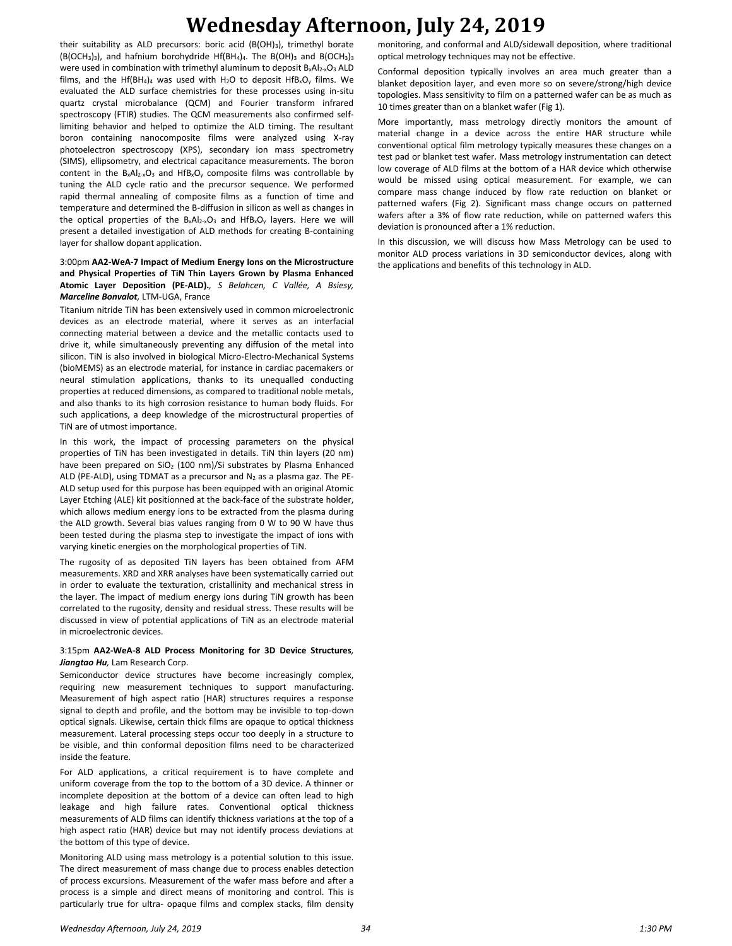their suitability as ALD precursors: boric acid (B(OH)3), trimethyl borate  $(B(OCH<sub>3</sub>)<sub>3</sub>)$ , and hafnium borohydride Hf(BH<sub>4</sub>)<sub>4</sub>. The B(OH)<sub>3</sub> and B(OCH<sub>3</sub>)<sub>3</sub> were used in combination with trimethyl aluminum to deposit B<sub>x</sub>Al<sub>2-x</sub>O<sub>3</sub> ALD films, and the Hf(BH<sub>4</sub>)<sub>4</sub> was used with H<sub>2</sub>O to deposit HfB<sub>x</sub>O<sub>y</sub> films. We evaluated the ALD surface chemistries for these processes using in-situ quartz crystal microbalance (QCM) and Fourier transform infrared spectroscopy (FTIR) studies. The QCM measurements also confirmed selflimiting behavior and helped to optimize the ALD timing. The resultant boron containing nanocomposite films were analyzed using X-ray photoelectron spectroscopy (XPS), secondary ion mass spectrometry (SIMS), ellipsometry, and electrical capacitance measurements. The boron content in the  $B_xAI_{2-x}O_3$  and  $HfB_xO_y$  composite films was controllable by tuning the ALD cycle ratio and the precursor sequence. We performed rapid thermal annealing of composite films as a function of time and temperature and determined the B-diffusion in silicon as well as changes in the optical properties of the  $B_xAI_{2-x}O_3$  and  $HfB_xO_y$  layers. Here we will present a detailed investigation of ALD methods for creating B-containing layer for shallow dopant application.

#### 3:00pm **AA2-WeA-7 Impact of Medium Energy Ions on the Microstructure and Physical Properties of TiN Thin Layers Grown by Plasma Enhanced Atomic Layer Deposition (PE-ALD).***, S Belahcen, C Vallée, A Bsiesy, Marceline Bonvalot,* LTM-UGA, France

Titanium nitride TiN has been extensively used in common microelectronic devices as an electrode material, where it serves as an interfacial connecting material between a device and the metallic contacts used to drive it, while simultaneously preventing any diffusion of the metal into silicon. TiN is also involved in biological Micro-Electro-Mechanical Systems (bioMEMS) as an electrode material, for instance in cardiac pacemakers or neural stimulation applications, thanks to its unequalled conducting properties at reduced dimensions, as compared to traditional noble metals, and also thanks to its high corrosion resistance to human body fluids. For such applications, a deep knowledge of the microstructural properties of TiN are of utmost importance.

In this work, the impact of processing parameters on the physical properties of TiN has been investigated in details. TiN thin layers (20 nm) have been prepared on  $SiO<sub>2</sub>$  (100 nm)/Si substrates by Plasma Enhanced ALD (PE-ALD), using TDMAT as a precursor and  $N_2$  as a plasma gaz. The PE-ALD setup used for this purpose has been equipped with an original Atomic Layer Etching (ALE) kit positionned at the back-face of the substrate holder, which allows medium energy ions to be extracted from the plasma during the ALD growth. Several bias values ranging from 0 W to 90 W have thus been tested during the plasma step to investigate the impact of ions with varying kinetic energies on the morphological properties of TiN.

The rugosity of as deposited TiN layers has been obtained from AFM measurements. XRD and XRR analyses have been systematically carried out in order to evaluate the texturation, cristallinity and mechanical stress in the layer. The impact of medium energy ions during TiN growth has been correlated to the rugosity, density and residual stress. These results will be discussed in view of potential applications of TiN as an electrode material in microelectronic devices.

#### 3:15pm **AA2-WeA-8 ALD Process Monitoring for 3D Device Structures***, Jiangtao Hu,* Lam Research Corp.

Semiconductor device structures have become increasingly complex, requiring new measurement techniques to support manufacturing. Measurement of high aspect ratio (HAR) structures requires a response signal to depth and profile, and the bottom may be invisible to top-down optical signals. Likewise, certain thick films are opaque to optical thickness measurement. Lateral processing steps occur too deeply in a structure to be visible, and thin conformal deposition films need to be characterized inside the feature.

For ALD applications, a critical requirement is to have complete and uniform coverage from the top to the bottom of a 3D device. A thinner or incomplete deposition at the bottom of a device can often lead to high leakage and high failure rates. Conventional optical thickness measurements of ALD films can identify thickness variations at the top of a high aspect ratio (HAR) device but may not identify process deviations at the bottom of this type of device.

Monitoring ALD using mass metrology is a potential solution to this issue. The direct measurement of mass change due to process enables detection of process excursions. Measurement of the wafer mass before and after a process is a simple and direct means of monitoring and control. This is particularly true for ultra- opaque films and complex stacks, film density

monitoring, and conformal and ALD/sidewall deposition, where traditional optical metrology techniques may not be effective.

Conformal deposition typically involves an area much greater than a blanket deposition layer, and even more so on severe/strong/high device topologies. Mass sensitivity to film on a patterned wafer can be as much as 10 times greater than on a blanket wafer (Fig 1).

More importantly, mass metrology directly monitors the amount of material change in a device across the entire HAR structure while conventional optical film metrology typically measures these changes on a test pad or blanket test wafer. Mass metrology instrumentation can detect low coverage of ALD films at the bottom of a HAR device which otherwise would be missed using optical measurement. For example, we can compare mass change induced by flow rate reduction on blanket or patterned wafers (Fig 2). Significant mass change occurs on patterned wafers after a 3% of flow rate reduction, while on patterned wafers this deviation is pronounced after a 1% reduction.

In this discussion, we will discuss how Mass Metrology can be used to monitor ALD process variations in 3D semiconductor devices, along with the applications and benefits of this technology in ALD.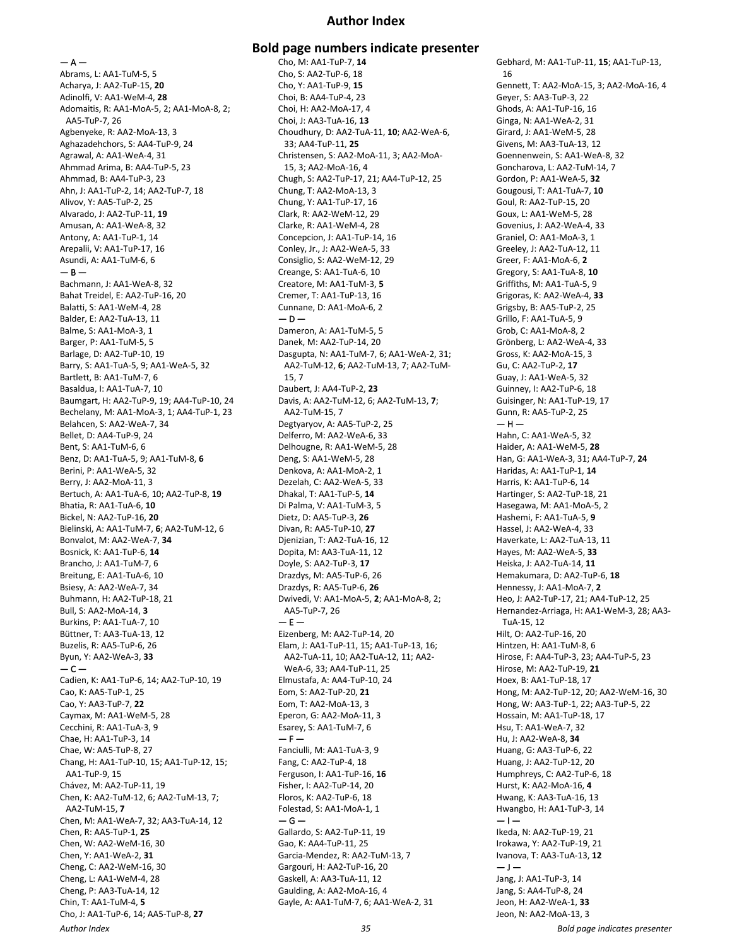## **Author Index**

— A —

Abrams, L: AA1-TuM-5, 5 Acharya, J: AA2-TuP-15, **20** Adinolfi, V: AA1-WeM-4, **28** Adomaitis, R: AA1-MoA-5, 2; AA1-MoA-8, 2; AA5-TuP-7, 26 Agbenyeke, R: AA2-MoA-13, 3 Aghazadehchors, S: AA4-TuP-9, 24 Agrawal, A: AA1-WeA-4, 31 Ahmmad Arima, B: AA4-TuP-5, 23 Ahmmad, B: AA4-TuP-3, 23 Ahn, J: AA1-TuP-2, 14; AA2-TuP-7, 18 Alivov, Y: AA5-TuP-2, 25 Alvarado, J: AA2-TuP-11, **19** Amusan, A: AA1-WeA-8, 32 Antony, A: AA1-TuP-1, 14 Arepalii, V: AA1-TuP-17, 16 Asundi, A: AA1-TuM-6, 6  $-$  B  $-$ Bachmann, J: AA1-WeA-8, 32 Bahat Treidel, E: AA2-TuP-16, 20 Balatti, S: AA1-WeM-4, 28 Balder, E: AA2-TuA-13, 11 Balme, S: AA1-MoA-3, 1 Barger, P: AA1-TuM-5, 5 Barlage, D: AA2-TuP-10, 19 Barry, S: AA1-TuA-5, 9; AA1-WeA-5, 32 Bartlett, B: AA1-TuM-7, 6 Basaldua, I: AA1-TuA-7, 10 Baumgart, H: AA2-TuP-9, 19; AA4-TuP-10, 24 Bechelany, M: AA1-MoA-3, 1; AA4-TuP-1, 23 Belahcen, S: AA2-WeA-7, 34 Bellet, D: AA4-TuP-9, 24 Bent, S: AA1-TuM-6, 6 Benz, D: AA1-TuA-5, 9; AA1-TuM-8, **6** Berini, P: AA1-WeA-5, 32 Berry, J: AA2-MoA-11, 3 Bertuch, A: AA1-TuA-6, 10; AA2-TuP-8, **19** Bhatia, R: AA1-TuA-6, **10** Bickel, N: AA2-TuP-16, **20** Bielinski, A: AA1-TuM-7, **6**; AA2-TuM-12, 6 Bonvalot, M: AA2-WeA-7, **34** Bosnick, K: AA1-TuP-6, **14** Brancho, J: AA1-TuM-7, 6 Breitung, E: AA1-TuA-6, 10 Bsiesy, A: AA2-WeA-7, 34 Buhmann, H: AA2-TuP-18, 21 Bull, S: AA2-MoA-14, **3** Burkins, P: AA1-TuA-7, 10 Büttner, T: AA3-TuA-13, 12 Buzelis, R: AA5-TuP-6, 26 Byun, Y: AA2-WeA-3, **33**  $-$  C  $-$ Cadien, K: AA1-TuP-6, 14; AA2-TuP-10, 19 Cao, K: AA5-TuP-1, 25 Cao, Y: AA3-TuP-7, **22** Caymax, M: AA1-WeM-5, 28 Cecchini, R: AA1-TuA-3, 9 Chae, H: AA1-TuP-3, 14 Chae, W: AA5-TuP-8, 27 Chang, H: AA1-TuP-10, 15; AA1-TuP-12, 15; AA1-TuP-9, 15 Chávez, M: AA2-TuP-11, 19 Chen, K: AA2-TuM-12, 6; AA2-TuM-13, 7; AA2-TuM-15, **7** Chen, M: AA1-WeA-7, 32; AA3-TuA-14, 12 Chen, R: AA5-TuP-1, **25** Chen, W: AA2-WeM-16, 30 Chen, Y: AA1-WeA-2, **31** Cheng, C: AA2-WeM-16, 30 Cheng, L: AA1-WeM-4, 28 Cheng, P: AA3-TuA-14, 12 Chin, T: AA1-TuM-4, **5** Cho, J: AA1-TuP-6, 14; AA5-TuP-8, **27**

## **Bold page numbers indicate presenter**

Cho, M: AA1-TuP-7, **14** Cho, S: AA2-TuP-6, 18 Cho, Y: AA1-TuP-9, **15** Choi, B: AA4-TuP-4, 23 Choi, H: AA2-MoA-17, 4 Choi, J: AA3-TuA-16, **13** Choudhury, D: AA2-TuA-11, **10**; AA2-WeA-6, 33; AA4-TuP-11, **25** Christensen, S: AA2-MoA-11, 3; AA2-MoA-15, 3; AA2-MoA-16, 4 Chugh, S: AA2-TuP-17, 21; AA4-TuP-12, 25 Chung, T: AA2-MoA-13, 3 Chung, Y: AA1-TuP-17, 16 Clark, R: AA2-WeM-12, 29 Clarke, R: AA1-WeM-4, 28 Concepcion, J: AA1-TuP-14, 16 Conley, Jr., J: AA2-WeA-5, 33 Consiglio, S: AA2-WeM-12, 29 Creange, S: AA1-TuA-6, 10 Creatore, M: AA1-TuM-3, **5** Cremer, T: AA1-TuP-13, 16 Cunnane, D: AA1-MoA-6, 2  $-$  D  $-$ Dameron, A: AA1-TuM-5, 5 Danek, M: AA2-TuP-14, 20 Dasgupta, N: AA1-TuM-7, 6; AA1-WeA-2, 31; AA2-TuM-12, **6**; AA2-TuM-13, 7; AA2-TuM-15, 7 Daubert, J: AA4-TuP-2, **23** Davis, A: AA2-TuM-12, 6; AA2-TuM-13, **7**; AA2-TuM-15, 7 Degtyaryov, A: AA5-TuP-2, 25 Delferro, M: AA2-WeA-6, 33 Delhougne, R: AA1-WeM-5, 28 Deng, S: AA1-WeM-5, 28 Denkova, A: AA1-MoA-2, 1 Dezelah, C: AA2-WeA-5, 33 Dhakal, T: AA1-TuP-5, **14** Di Palma, V: AA1-TuM-3, 5 Dietz, D: AA5-TuP-3, **26** Divan, R: AA5-TuP-10, **27** Djenizian, T: AA2-TuA-16, 12 Dopita, M: AA3-TuA-11, 12 Doyle, S: AA2-TuP-3, **17** Drazdys, M: AA5-TuP-6, 26 Drazdys, R: AA5-TuP-6, **26** Dwivedi, V: AA1-MoA-5, **2**; AA1-MoA-8, 2; AA5-TuP-7, 26  $- F -$ Eizenberg, M: AA2-TuP-14, 20 Elam, J: AA1-TuP-11, 15; AA1-TuP-13, 16; AA2-TuA-11, 10; AA2-TuA-12, 11; AA2- WeA-6, 33; AA4-TuP-11, 25 Elmustafa, A: AA4-TuP-10, 24 Eom, S: AA2-TuP-20, **21** Eom, T: AA2-MoA-13, 3 Eperon, G: AA2-MoA-11, 3 Esarey, S: AA1-TuM-7, 6  $- F -$ Fanciulli, M: AA1-TuA-3, 9 Fang, C: AA2-TuP-4, 18 Ferguson, I: AA1-TuP-16, **16** Fisher, I: AA2-TuP-14, 20 Floros, K: AA2-TuP-6, 18 Folestad, S: AA1-MoA-1, 1  $-G -$ Gallardo, S: AA2-TuP-11, 19 Gao, K: AA4-TuP-11, 25 Garcia-Mendez, R: AA2-TuM-13, 7 Gargouri, H: AA2-TuP-16, 20 Gaskell, A: AA3-TuA-11, 12 Gaulding, A: AA2-MoA-16, 4 Gayle, A: AA1-TuM-7, 6; AA1-WeA-2, 31

Gebhard, M: AA1-TuP-11, **15**; AA1-TuP-13, 16 Gennett, T: AA2-MoA-15, 3; AA2-MoA-16, 4 Geyer, S: AA3-TuP-3, 22 Ghods, A: AA1-TuP-16, 16 Ginga, N: AA1-WeA-2, 31 Girard, J: AA1-WeM-5, 28 Givens, M: AA3-TuA-13, 12 Goennenwein, S: AA1-WeA-8, 32 Goncharova, L: AA2-TuM-14, 7 Gordon, P: AA1-WeA-5, **32** Gougousi, T: AA1-TuA-7, **10** Goul, R: AA2-TuP-15, 20 Goux, L: AA1-WeM-5, 28 Govenius, J: AA2-WeA-4, 33 Graniel, O: AA1-MoA-3, 1 Greeley, J: AA2-TuA-12, 11 Greer, F: AA1-MoA-6, **2** Gregory, S: AA1-TuA-8, **10** Griffiths, M: AA1-TuA-5, 9 Grigoras, K: AA2-WeA-4, **33** Grigsby, B: AA5-TuP-2, 25 Grillo, F: AA1-TuA-5, 9 Grob, C: AA1-MoA-8, 2 Grönberg, L: AA2-WeA-4, 33 Gross, K: AA2-MoA-15, 3 Gu, C: AA2-TuP-2, **17** Guay, J: AA1-WeA-5, 32 Guinney, I: AA2-TuP-6, 18 Guisinger, N: AA1-TuP-19, 17 Gunn, R: AA5-TuP-2, 25  $-$  H  $-$ Hahn, C: AA1-WeA-5, 32 Haider, A: AA1-WeM-5, **28** Han, G: AA1-WeA-3, 31; AA4-TuP-7, **24** Haridas, A: AA1-TuP-1, **14** Harris, K: AA1-TuP-6, 14 Hartinger, S: AA2-TuP-18, 21 Hasegawa, M: AA1-MoA-5, 2 Hashemi, F: AA1-TuA-5, **9** Hassel, J: AA2-WeA-4, 33 Haverkate, L: AA2-TuA-13, 11 Hayes, M: AA2-WeA-5, **33** Heiska, J: AA2-TuA-14, **11** Hemakumara, D: AA2-TuP-6, **18** Hennessy, J: AA1-MoA-7, **2** Heo, J: AA2-TuP-17, 21; AA4-TuP-12, 25 Hernandez-Arriaga, H: AA1-WeM-3, 28; AA3- TuA-15, 12 Hilt, O: AA2-TuP-16, 20 Hintzen, H: AA1-TuM-8, 6 Hirose, F: AA4-TuP-3, 23; AA4-TuP-5, 23 Hirose, M: AA2-TuP-19, **21** Hoex, B: AA1-TuP-18, 17 Hong, M: AA2-TuP-12, 20; AA2-WeM-16, 30 Hong, W: AA3-TuP-1, 22; AA3-TuP-5, 22 Hossain, M: AA1-TuP-18, 17 Hsu, T: AA1-WeA-7, 32 Hu, J: AA2-WeA-8, **34** Huang, G: AA3-TuP-6, 22 Huang, J: AA2-TuP-12, 20 Humphreys, C: AA2-TuP-6, 18 Hurst, K: AA2-MoA-16, **4** Hwang, K: AA3-TuA-16, 13 Hwangbo, H: AA1-TuP-3, 14  $-1-$ Ikeda, N: AA2-TuP-19, 21 Irokawa, Y: AA2-TuP-19, 21 Ivanova, T: AA3-TuA-13, **12**  $-1-$ Jang, J: AA1-TuP-3, 14 Jang, S: AA4-TuP-8, 24 Jeon, H: AA2-WeA-1, **33** Jeon, N: AA2-MoA-13, 3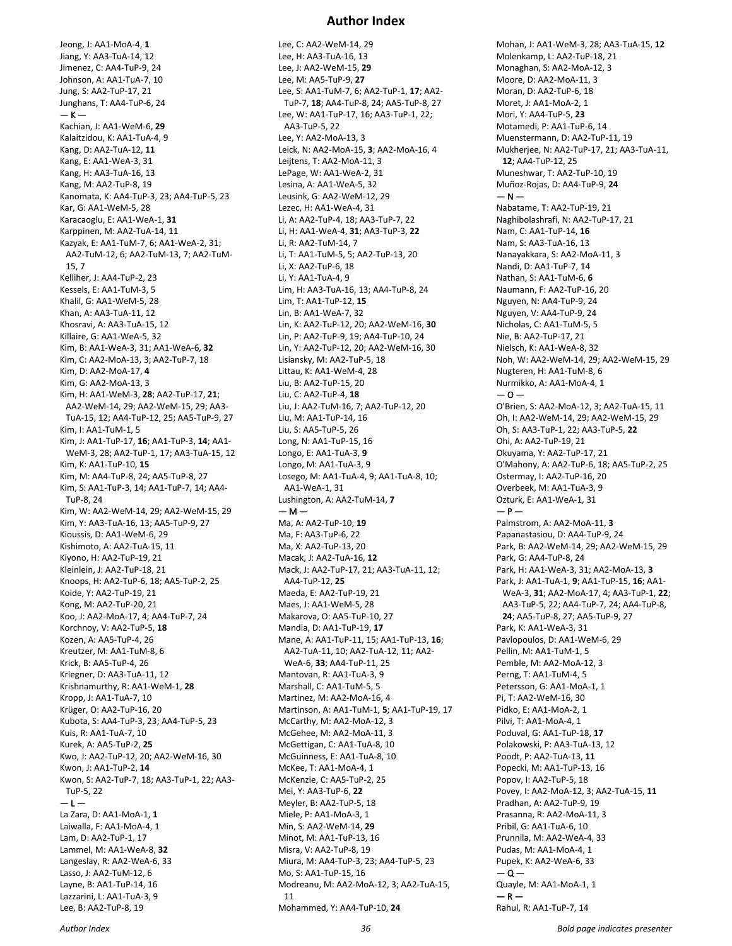Jeong, J: AA1-MoA-4, **1** Jiang, Y: AA3-TuA-14, 12 Jimenez, C: AA4-TuP-9, 24 Johnson, A: AA1-TuA-7, 10 Jung, S: AA2-TuP-17, 21 Junghans, T: AA4-TuP-6, 24  $-$  K  $-$ Kachian, J: AA1-WeM-6, **29** Kalaitzidou, K: AA1-TuA-4, 9 Kang, D: AA2-TuA-12, **11** Kang, E: AA1-WeA-3, 31 Kang, H: AA3-TuA-16, 13 Kang, M: AA2-TuP-8, 19 Kanomata, K: AA4-TuP-3, 23; AA4-TuP-5, 23 Kar, G: AA1-WeM-5, 28 Karacaoglu, E: AA1-WeA-1, **31** Karppinen, M: AA2-TuA-14, 11 Kazyak, E: AA1-TuM-7, 6; AA1-WeA-2, 31; AA2-TuM-12, 6; AA2-TuM-13, 7; AA2-TuM-15, 7 Kelliher, J: AA4-TuP-2, 23 Kessels, E: AA1-TuM-3, 5 Khalil, G: AA1-WeM-5, 28 Khan, A: AA3-TuA-11, 12 Khosravi, A: AA3-TuA-15, 12 Killaire, G: AA1-WeA-5, 32 Kim, B: AA1-WeA-3, 31; AA1-WeA-6, **32** Kim, C: AA2-MoA-13, 3; AA2-TuP-7, 18 Kim, D: AA2-MoA-17, **4** Kim, G: AA2-MoA-13, 3 Kim, H: AA1-WeM-3, **28**; AA2-TuP-17, **21**; AA2-WeM-14, 29; AA2-WeM-15, 29; AA3- TuA-15, 12; AA4-TuP-12, 25; AA5-TuP-9, 27 Kim, I: AA1-TuM-1, 5 Kim, J: AA1-TuP-17, **16**; AA1-TuP-3, **14**; AA1- WeM-3, 28; AA2-TuP-1, 17; AA3-TuA-15, 12 Kim, K: AA1-TuP-10, **15** Kim, M: AA4-TuP-8, 24; AA5-TuP-8, 27 Kim, S: AA1-TuP-3, 14; AA1-TuP-7, 14; AA4- TuP-8, 24 Kim, W: AA2-WeM-14, 29; AA2-WeM-15, 29 Kim, Y: AA3-TuA-16, 13; AA5-TuP-9, 27 Kioussis, D: AA1-WeM-6, 29 Kishimoto, A: AA2-TuA-15, 11 Kiyono, H: AA2-TuP-19, 21 Kleinlein, J: AA2-TuP-18, 21 Knoops, H: AA2-TuP-6, 18; AA5-TuP-2, 25 Koide, Y: AA2-TuP-19, 21 Kong, M: AA2-TuP-20, 21 Koo, J: AA2-MoA-17, 4; AA4-TuP-7, 24 Korchnoy, V: AA2-TuP-5, **18** Kozen, A: AA5-TuP-4, 26 Kreutzer, M: AA1-TuM-8, 6 Krick, B: AA5-TuP-4, 26 Kriegner, D: AA3-TuA-11, 12 Krishnamurthy, R: AA1-WeM-1, **28** Kropp, J: AA1-TuA-7, 10 Krüger, O: AA2-TuP-16, 20 Kubota, S: AA4-TuP-3, 23; AA4-TuP-5, 23 Kuis, R: AA1-TuA-7, 10 Kurek, A: AA5-TuP-2, **25** Kwo, J: AA2-TuP-12, 20; AA2-WeM-16, 30 Kwon, J: AA1-TuP-2, **14** Kwon, S: AA2-TuP-7, 18; AA3-TuP-1, 22; AA3- TuP-5, 22  $-1-$ La Zara, D: AA1-MoA-1, **1** Laiwalla, F: AA1-MoA-4, 1 Lam, D: AA2-TuP-1, 17 Lammel, M: AA1-WeA-8, **32** Langeslay, R: AA2-WeA-6, 33 Lasso, J: AA2-TuM-12, 6 Layne, B: AA1-TuP-14, 16 Lazzarini, L: AA1-TuA-3, 9

Lee, C: AA2-WeM-14, 29 Lee, H: AA3-TuA-16, 13 Lee, J: AA2-WeM-15, **29** Lee, M: AA5-TuP-9, **27** Lee, S: AA1-TuM-7, 6; AA2-TuP-1, **17**; AA2- TuP-7, **18**; AA4-TuP-8, 24; AA5-TuP-8, 27 Lee, W: AA1-TuP-17, 16; AA3-TuP-1, 22; AA3-TuP-5, 22 Lee, Y: AA2-MoA-13, 3 Leick, N: AA2-MoA-15, **3**; AA2-MoA-16, 4 Leijtens, T: AA2-MoA-11, 3 LePage, W: AA1-WeA-2, 31 Lesina, A: AA1-WeA-5, 32 Leusink, G: AA2-WeM-12, 29 Lezec, H: AA1-WeA-4, 31 Li, A: AA2-TuP-4, 18; AA3-TuP-7, 22 Li, H: AA1-WeA-4, **31**; AA3-TuP-3, **22** Li, R: AA2-TuM-14, 7 Li, T: AA1-TuM-5, 5; AA2-TuP-13, 20 Li, X: AA2-TuP-6, 18 Li, Y: AA1-TuA-4, 9 Lim, H: AA3-TuA-16, 13; AA4-TuP-8, 24 Lim, T: AA1-TuP-12, **15** Lin, B: AA1-WeA-7, 32 Lin, K: AA2-TuP-12, 20; AA2-WeM-16, **30** Lin, P: AA2-TuP-9, 19; AA4-TuP-10, 24 Lin, Y: AA2-TuP-12, 20; AA2-WeM-16, 30 Lisiansky, M: AA2-TuP-5, 18 Littau, K: AA1-WeM-4, 28 Liu, B: AA2-TuP-15, 20 Liu, C: AA2-TuP-4, **18** Liu, J: AA2-TuM-16, 7; AA2-TuP-12, 20 Liu, M: AA1-TuP-14, 16 Liu, S: AA5-TuP-5, 26 Long, N: AA1-TuP-15, 16 Longo, E: AA1-TuA-3, **9** Longo, M: AA1-TuA-3, 9 Losego, M: AA1-TuA-4, 9; AA1-TuA-8, 10; AA1-WeA-1, 31 Lushington, A: AA2-TuM-14, **7**  $- M -$ Ma, A: AA2-TuP-10, **19** Ma, F: AA3-TuP-6, 22 Ma, X: AA2-TuP-13, 20 Macak, J: AA2-TuA-16, **12** Mack, J: AA2-TuP-17, 21; AA3-TuA-11, 12; AA4-TuP-12, **25** Maeda, E: AA2-TuP-19, 21 Maes, J: AA1-WeM-5, 28 Makarova, O: AA5-TuP-10, 27 Mandia, D: AA1-TuP-19, **17** Mane, A: AA1-TuP-11, 15; AA1-TuP-13, **16**; AA2-TuA-11, 10; AA2-TuA-12, 11; AA2- WeA-6, **33**; AA4-TuP-11, 25 Mantovan, R: AA1-TuA-3, 9 Marshall, C: AA1-TuM-5, 5 Martinez, M: AA2-MoA-16, 4 Martinson, A: AA1-TuM-1, **5**; AA1-TuP-19, 17 McCarthy, M: AA2-MoA-12, 3 McGehee, M: AA2-MoA-11, 3 McGettigan, C: AA1-TuA-8, 10 McGuinness, E: AA1-TuA-8, 10 McKee, T: AA1-MoA-4, 1 McKenzie, C: AA5-TuP-2, 25 Mei, Y: AA3-TuP-6, **22** Meyler, B: AA2-TuP-5, 18 Miele, P: AA1-MoA-3, 1 Min, S: AA2-WeM-14, **29** Minot, M: AA1-TuP-13, 16 Misra, V: AA2-TuP-8, 19 Miura, M: AA4-TuP-3, 23; AA4-TuP-5, 23 Mo, S: AA1-TuP-15, 16 Modreanu, M: AA2-MoA-12, 3; AA2-TuA-15, 11 Mohammed, Y: AA4-TuP-10, **24**

Mohan, J: AA1-WeM-3, 28; AA3-TuA-15, **12** Molenkamp, L: AA2-TuP-18, 21 Monaghan, S: AA2-MoA-12, 3 Moore, D: AA2-MoA-11, 3 Moran, D: AA2-TuP-6, 18 Moret, J: AA1-MoA-2, 1 Mori, Y: AA4-TuP-5, **23** Motamedi, P: AA1-TuP-6, 14 Muenstermann, D: AA2-TuP-11, 19 Mukherjee, N: AA2-TuP-17, 21; AA3-TuA-11, **12**; AA4-TuP-12, 25 Muneshwar, T: AA2-TuP-10, 19 Muñoz-Rojas, D: AA4-TuP-9, **24**  $- N -$ Nabatame, T: AA2-TuP-19, 21 Naghibolashrafi, N: AA2-TuP-17, 21 Nam, C: AA1-TuP-14, **16** Nam, S: AA3-TuA-16, 13 Nanayakkara, S: AA2-MoA-11, 3 Nandi, D: AA1-TuP-7, 14 Nathan, S: AA1-TuM-6, **6** Naumann, F: AA2-TuP-16, 20 Nguyen, N: AA4-TuP-9, 24 Nguyen, V: AA4-TuP-9, 24 Nicholas, C: AA1-TuM-5, 5 Nie, B: AA2-TuP-17, 21 Nielsch, K: AA1-WeA-8, 32 Noh, W: AA2-WeM-14, 29; AA2-WeM-15, 29 Nugteren, H: AA1-TuM-8, 6 Nurmikko, A: AA1-MoA-4, 1  $-0-$ O'Brien, S: AA2-MoA-12, 3; AA2-TuA-15, 11 Oh, I: AA2-WeM-14, 29; AA2-WeM-15, 29 Oh, S: AA3-TuP-1, 22; AA3-TuP-5, **22** Ohi, A: AA2-TuP-19, 21 Okuyama, Y: AA2-TuP-17, 21 O'Mahony, A: AA2-TuP-6, 18; AA5-TuP-2, 25 Ostermay, I: AA2-TuP-16, 20 Overbeek, M: AA1-TuA-3, 9 Ozturk, E: AA1-WeA-1, 31  $- P -$ Palmstrom, A: AA2-MoA-11, **3** Papanastasiou, D: AA4-TuP-9, 24 Park, B: AA2-WeM-14, 29; AA2-WeM-15, 29 Park, G: AA4-TuP-8, 24 Park, H: AA1-WeA-3, 31; AA2-MoA-13, **3** Park, J: AA1-TuA-1, **9**; AA1-TuP-15, **16**; AA1- WeA-3, **31**; AA2-MoA-17, 4; AA3-TuP-1, **22**; AA3-TuP-5, 22; AA4-TuP-7, 24; AA4-TuP-8, **24**; AA5-TuP-8, 27; AA5-TuP-9, 27 Park, K: AA1-WeA-3, 31 Pavlopoulos, D: AA1-WeM-6, 29 Pellin, M: AA1-TuM-1, 5 Pemble, M: AA2-MoA-12, 3 Perng, T: AA1-TuM-4, 5 Petersson, G: AA1-MoA-1, 1 Pi, T: AA2-WeM-16, 30 Pidko, E: AA1-MoA-2, 1 Pilvi, T: AA1-MoA-4, 1 Poduval, G: AA1-TuP-18, **17** Polakowski, P: AA3-TuA-13, 12 Poodt, P: AA2-TuA-13, **11** Popecki, M: AA1-TuP-13, 16 Popov, I: AA2-TuP-5, 18 Povey, I: AA2-MoA-12, 3; AA2-TuA-15, **11** Pradhan, A: AA2-TuP-9, 19 Prasanna, R: AA2-MoA-11, 3 Pribil, G: AA1-TuA-6, 10 Prunnila, M: AA2-WeA-4, 33 Pudas, M: AA1-MoA-4, 1 Pupek, K: AA2-WeA-6, 33  $-0-$ Quayle, M: AA1-MoA-1, 1  $-$  R  $-$ Rahul, R: AA1-TuP-7, 14

Lee, B: AA2-TuP-8, 19

## **Author Index**